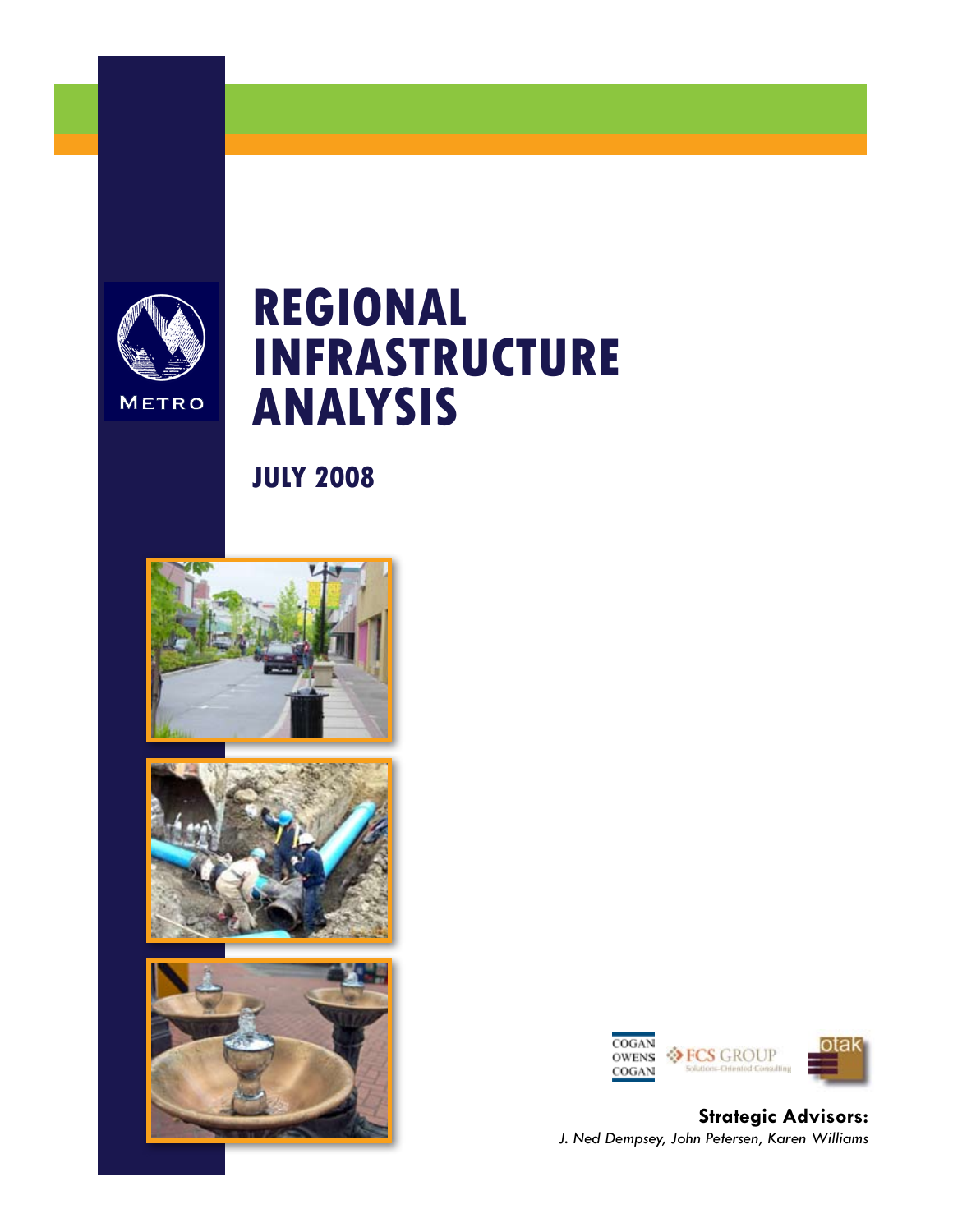

**JULY 2008**









**Strategic Advisors:** *J. Ned Dempsey, John Petersen, Karen Williams*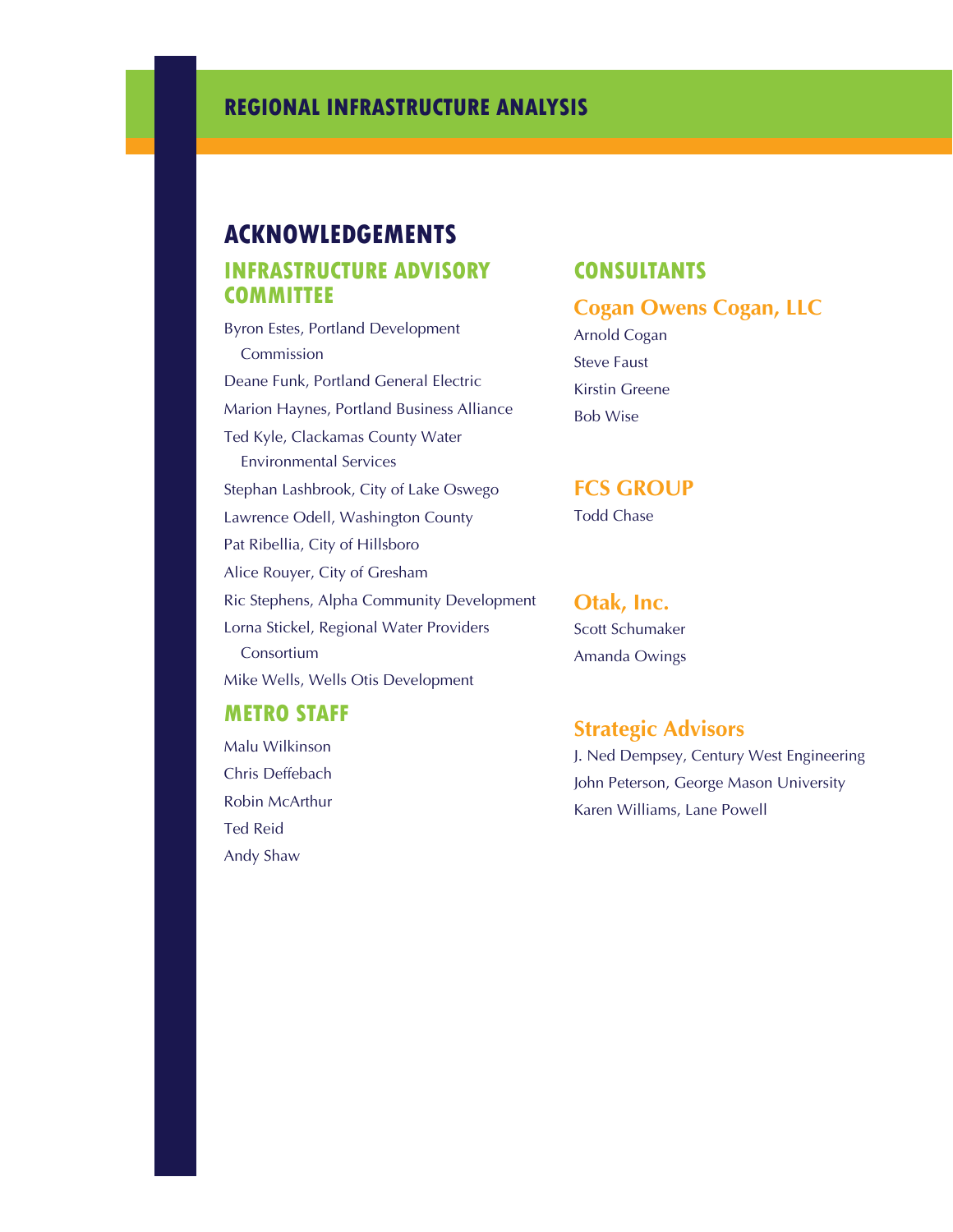# **ACKNOWLEDGEMENTS Infrastructure Advisory Committee**

Byron Estes, Portland Development Commission Deane Funk, Portland General Electric Marion Haynes, Portland Business Alliance Ted Kyle, Clackamas County Water Environmental Services Stephan Lashbrook, City of Lake Oswego Lawrence Odell, Washington County Pat Ribellia, City of Hillsboro Alice Rouyer, City of Gresham Ric Stephens, Alpha Community Development Lorna Stickel, Regional Water Providers Consortium Mike Wells, Wells Otis Development

#### **Metro Staff**

Malu Wilkinson Chris Deffebach Robin McArthur Ted Reid Andy Shaw

### **Consultants**

### **Cogan Owens Cogan, LLC**

Arnold Cogan Steve Faust Kirstin Greene Bob Wise

#### **FCS GROUP**

Todd Chase

#### **Otak, Inc.**

Scott Schumaker Amanda Owings

### **Strategic Advisors**

J. Ned Dempsey, Century West Engineering John Peterson, George Mason University Karen Williams, Lane Powell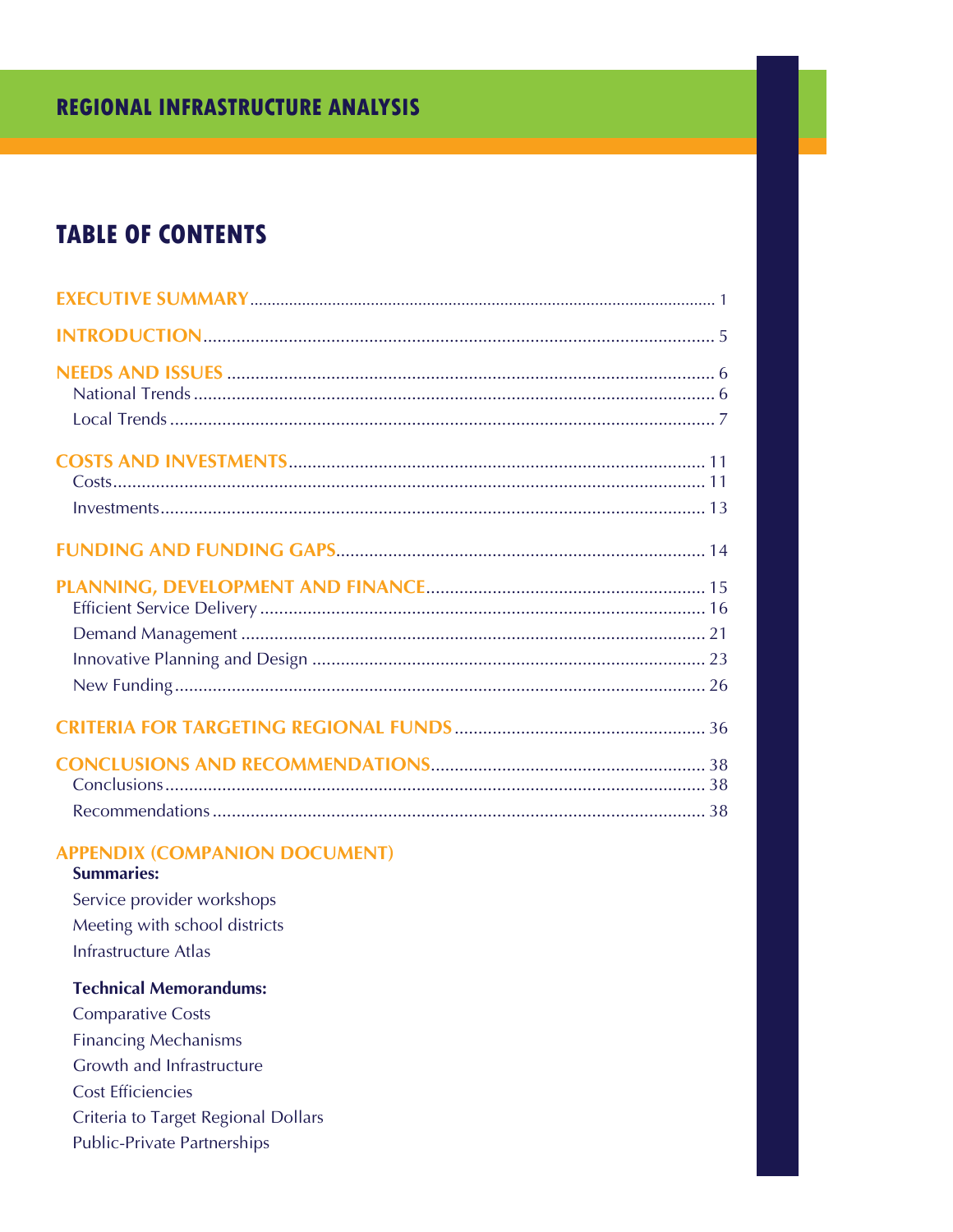# **REGIONAL INFRASTRUCTURE ANALYSIS**

# **TABLE OF CONTENTS**

| <b>APPENDIX (COMPANION DOCUMENT)</b><br><b>Summaries:</b><br>Service provider workshops<br>Meeting with school districts<br>Infrastructure Atlas |
|--------------------------------------------------------------------------------------------------------------------------------------------------|
| <b>Technical Memorandums:</b>                                                                                                                    |
| <b>Comparative Costs</b>                                                                                                                         |
| <b>Financing Mechanisms</b>                                                                                                                      |
| Growth and Infrastructure                                                                                                                        |
| <b>Cost Efficiencies</b>                                                                                                                         |

- Criteria to Target Regional Dollars
- Public-Private Partnerships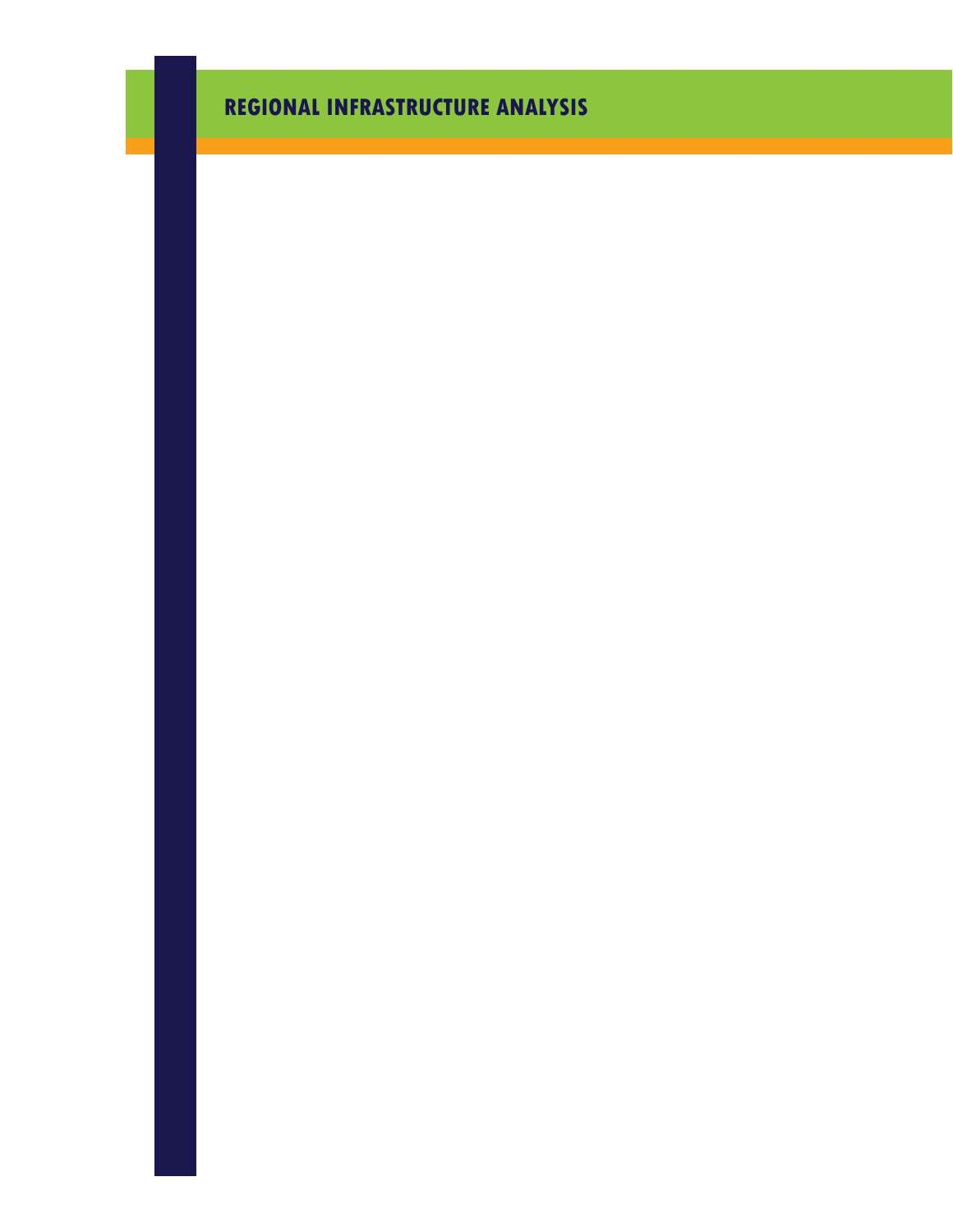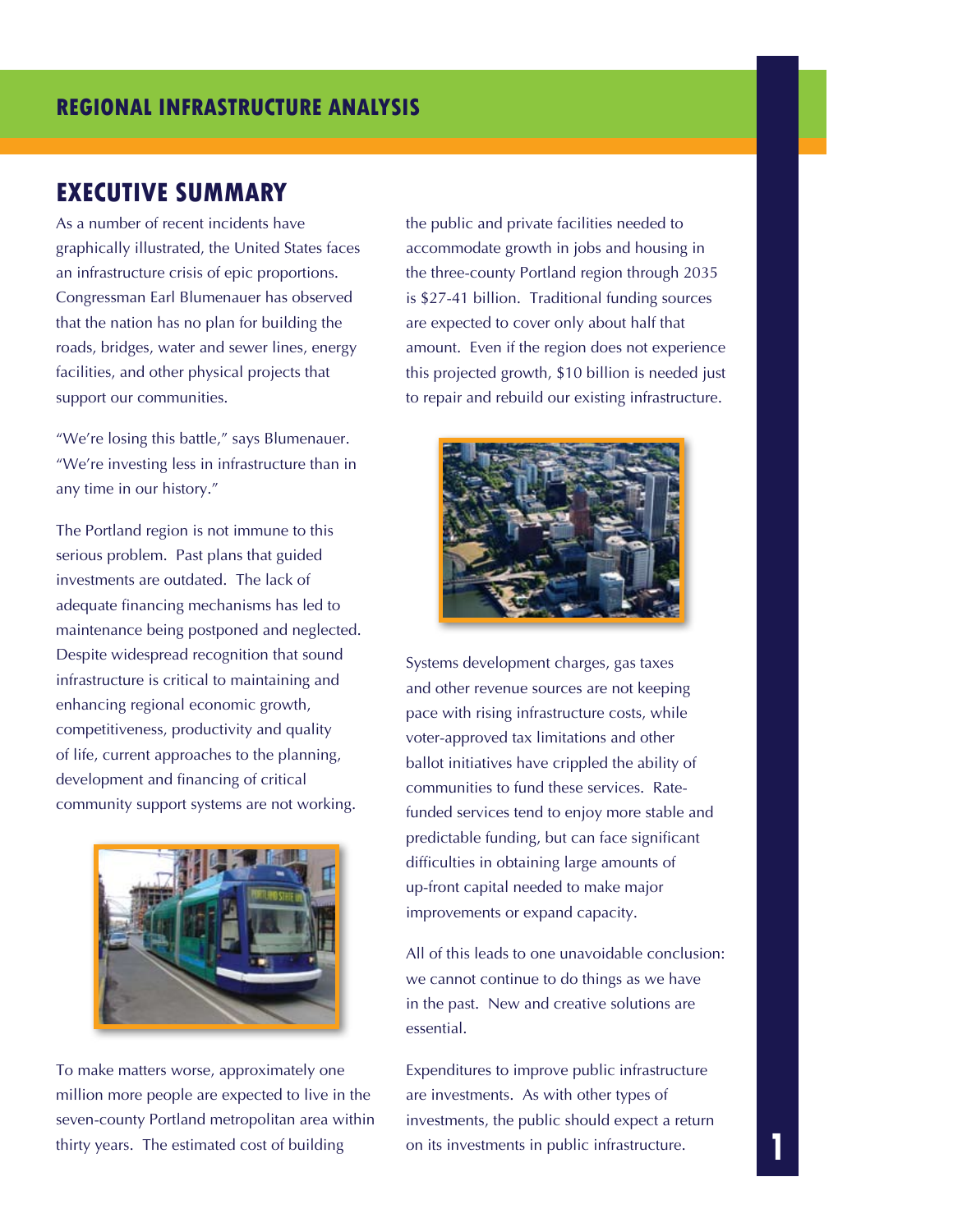## **EXECUTIVE SUMMARY**

As a number of recent incidents have graphically illustrated, the United States faces an infrastructure crisis of epic proportions. Congressman Earl Blumenauer has observed that the nation has no plan for building the roads, bridges, water and sewer lines, energy facilities, and other physical projects that support our communities.

"We're losing this battle," says Blumenauer. "We're investing less in infrastructure than in any time in our history."

The Portland region is not immune to this serious problem. Past plans that guided investments are outdated. The lack of adequate financing mechanisms has led to maintenance being postponed and neglected. Despite widespread recognition that sound infrastructure is critical to maintaining and enhancing regional economic growth, competitiveness, productivity and quality of life, current approaches to the planning, development and financing of critical community support systems are not working.



To make matters worse, approximately one million more people are expected to live in the seven-county Portland metropolitan area within thirty years. The estimated cost of building

the public and private facilities needed to accommodate growth in jobs and housing in the three-county Portland region through 2035 is \$27-41 billion. Traditional funding sources are expected to cover only about half that amount. Even if the region does not experience this projected growth, \$10 billion is needed just to repair and rebuild our existing infrastructure.



Systems development charges, gas taxes and other revenue sources are not keeping pace with rising infrastructure costs, while voter-approved tax limitations and other ballot initiatives have crippled the ability of communities to fund these services. Ratefunded services tend to enjoy more stable and predictable funding, but can face significant difficulties in obtaining large amounts of up-front capital needed to make major improvements or expand capacity.

All of this leads to one unavoidable conclusion: we cannot continue to do things as we have in the past. New and creative solutions are essential.

Expenditures to improve public infrastructure are investments. As with other types of investments, the public should expect a return on its investments in public infrastructure.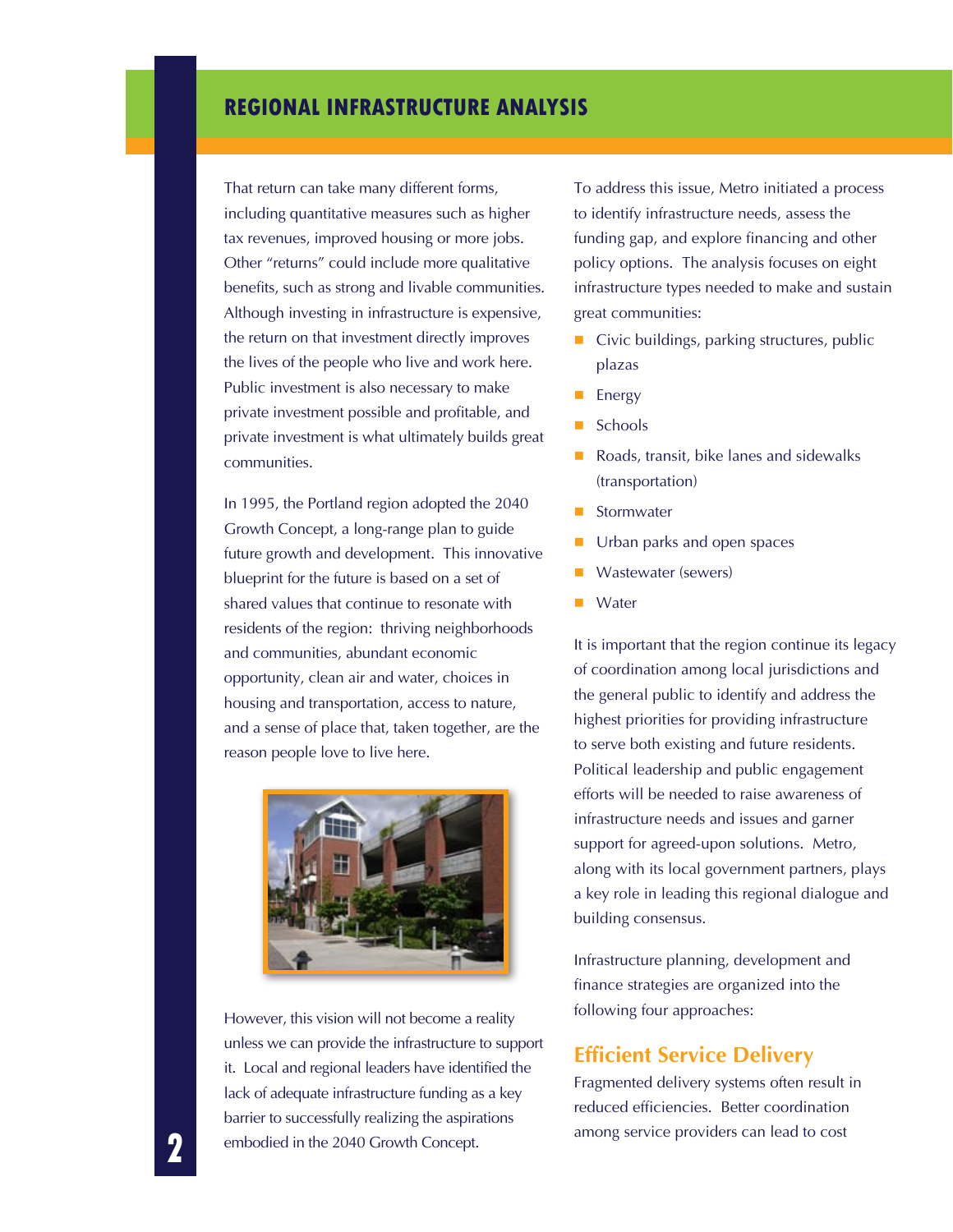That return can take many different forms, including quantitative measures such as higher tax revenues, improved housing or more jobs. Other "returns" could include more qualitative benefits, such as strong and livable communities. Although investing in infrastructure is expensive, the return on that investment directly improves the lives of the people who live and work here. Public investment is also necessary to make private investment possible and profitable, and private investment is what ultimately builds great communities.

In 1995, the Portland region adopted the 2040 Growth Concept, a long-range plan to guide future growth and development. This innovative blueprint for the future is based on a set of shared values that continue to resonate with residents of the region: thriving neighborhoods and communities, abundant economic opportunity, clean air and water, choices in housing and transportation, access to nature, and a sense of place that, taken together, are the reason people love to live here.



However, this vision will not become a reality unless we can provide the infrastructure to support it. Local and regional leaders have identified the lack of adequate infrastructure funding as a key barrier to successfully realizing the aspirations embodied in the 2040 Growth Concept.

To address this issue, Metro initiated a process to identify infrastructure needs, assess the funding gap, and explore financing and other policy options. The analysis focuses on eight infrastructure types needed to make and sustain great communities:

- $\blacksquare$  Civic buildings, parking structures, public plazas
- **Energy**
- Schools
- Roads, transit, bike lanes and sidewalks (transportation)
- Stormwater
- Urban parks and open spaces
- **Wastewater (sewers)**
- Water

It is important that the region continue its legacy of coordination among local jurisdictions and the general public to identify and address the highest priorities for providing infrastructure to serve both existing and future residents. Political leadership and public engagement efforts will be needed to raise awareness of infrastructure needs and issues and garner support for agreed-upon solutions. Metro, along with its local government partners, plays a key role in leading this regional dialogue and building consensus.

Infrastructure planning, development and finance strategies are organized into the following four approaches:

#### **Efficient Service Delivery**

Fragmented delivery systems often result in reduced efficiencies. Better coordination among service providers can lead to cost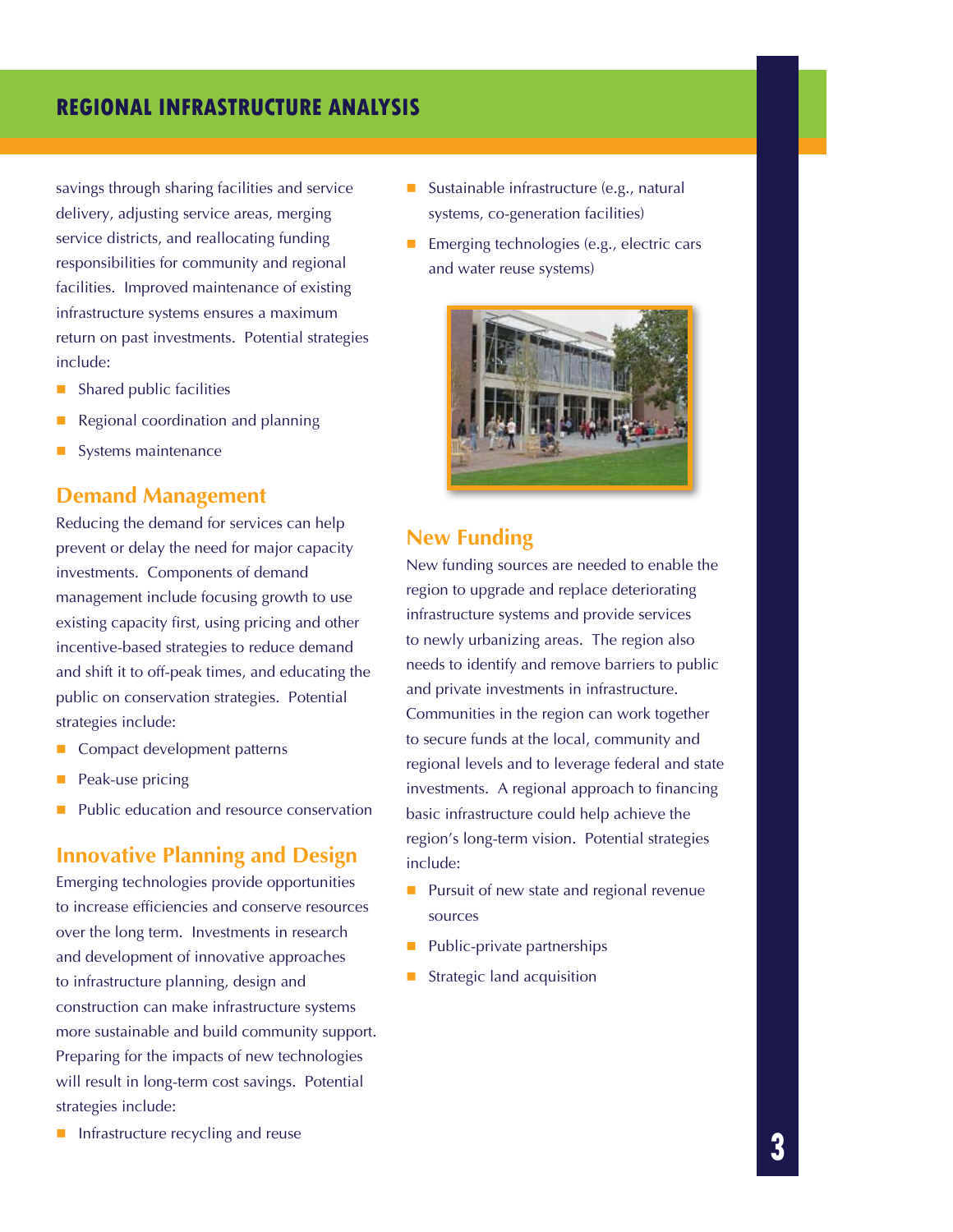savings through sharing facilities and service delivery, adjusting service areas, merging service districts, and reallocating funding responsibilities for community and regional facilities. Improved maintenance of existing infrastructure systems ensures a maximum return on past investments. Potential strategies include:

- Shared public facilities
- Regional coordination and planning
- Systems maintenance

#### **Demand Management**

Reducing the demand for services can help prevent or delay the need for major capacity investments. Components of demand management include focusing growth to use existing capacity first, using pricing and other incentive-based strategies to reduce demand and shift it to off-peak times, and educating the public on conservation strategies. Potential strategies include:

- Compact development patterns
- Peak-use pricing
- Public education and resource conservation

#### **Innovative Planning and Design**

Emerging technologies provide opportunities to increase efficiencies and conserve resources over the long term. Investments in research and development of innovative approaches to infrastructure planning, design and construction can make infrastructure systems more sustainable and build community support. Preparing for the impacts of new technologies will result in long-term cost savings. Potential strategies include:

**Infrastructure recycling and reuse** 

- Sustainable infrastructure (e.g., natural systems, co-generation facilities)
- **Emerging technologies (e.g., electric cars** and water reuse systems)



### **New Funding**

New funding sources are needed to enable the region to upgrade and replace deteriorating infrastructure systems and provide services to newly urbanizing areas. The region also needs to identify and remove barriers to public and private investments in infrastructure. Communities in the region can work together to secure funds at the local, community and regional levels and to leverage federal and state investments. A regional approach to financing basic infrastructure could help achieve the region's long-term vision. Potential strategies include:

- **Pursuit of new state and regional revenue** sources
- Public-private partnerships
- Strategic land acquisition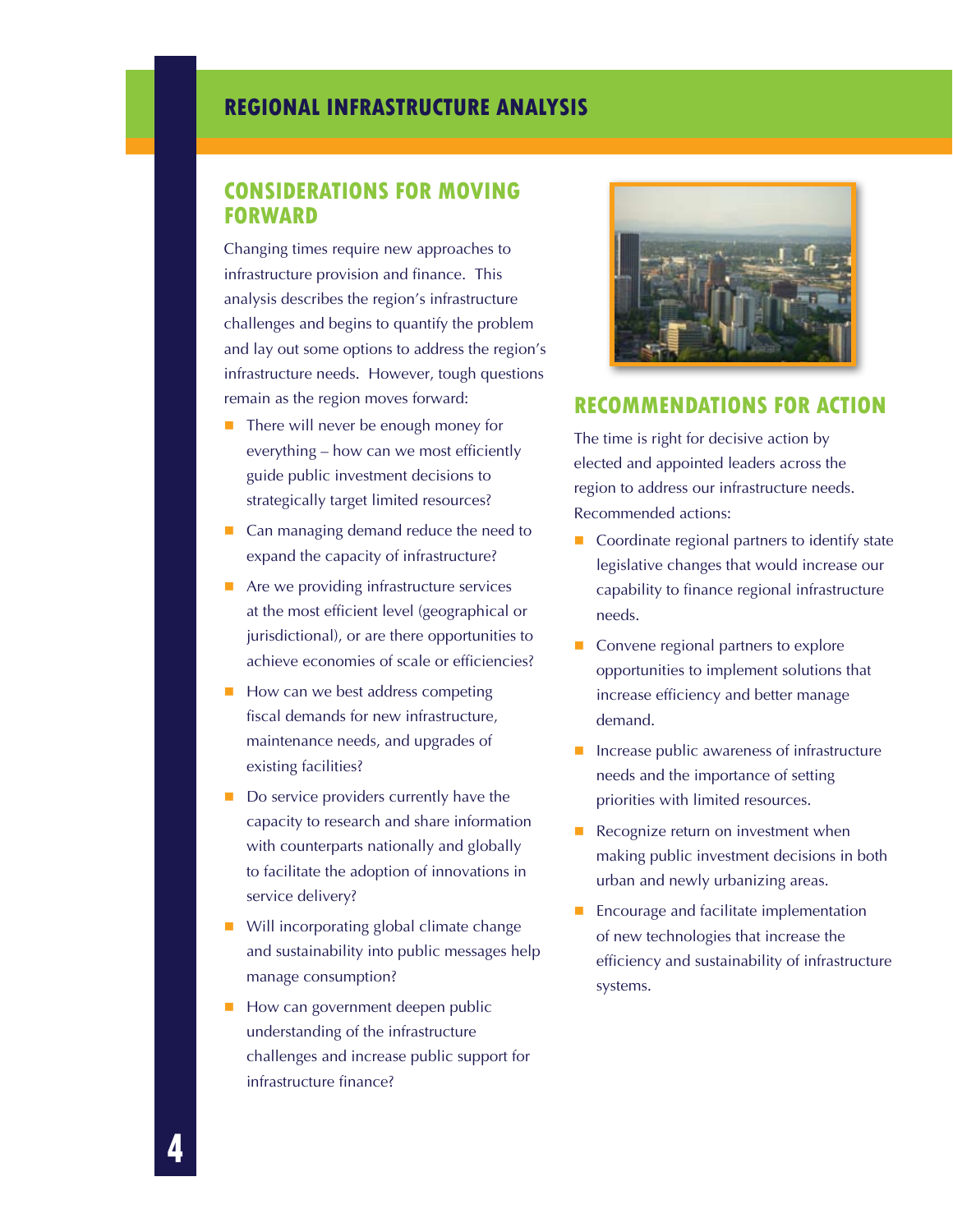### **Considerations for moving forward**

Changing times require new approaches to infrastructure provision and finance. This analysis describes the region's infrastructure challenges and begins to quantify the problem and lay out some options to address the region's infrastructure needs. However, tough questions remain as the region moves forward:

- There will never be enough money for everything – how can we most efficiently guide public investment decisions to strategically target limited resources?
- Can managing demand reduce the need to expand the capacity of infrastructure?
- Are we providing infrastructure services at the most efficient level (geographical or jurisdictional), or are there opportunities to achieve economies of scale or efficiencies?
- How can we best address competing fiscal demands for new infrastructure, maintenance needs, and upgrades of existing facilities?
- Do service providers currently have the capacity to research and share information with counterparts nationally and globally to facilitate the adoption of innovations in service delivery?
- **Will incorporating global climate change** and sustainability into public messages help manage consumption?
- How can government deepen public understanding of the infrastructure challenges and increase public support for infrastructure finance?



#### **Recommendations for Action**

The time is right for decisive action by elected and appointed leaders across the region to address our infrastructure needs. Recommended actions:

- Coordinate regional partners to identify state legislative changes that would increase our capability to finance regional infrastructure needs.
- Convene regional partners to explore opportunities to implement solutions that increase efficiency and better manage demand.
- Increase public awareness of infrastructure needs and the importance of setting priorities with limited resources.
- Recognize return on investment when making public investment decisions in both urban and newly urbanizing areas.
- Encourage and facilitate implementation of new technologies that increase the efficiency and sustainability of infrastructure systems.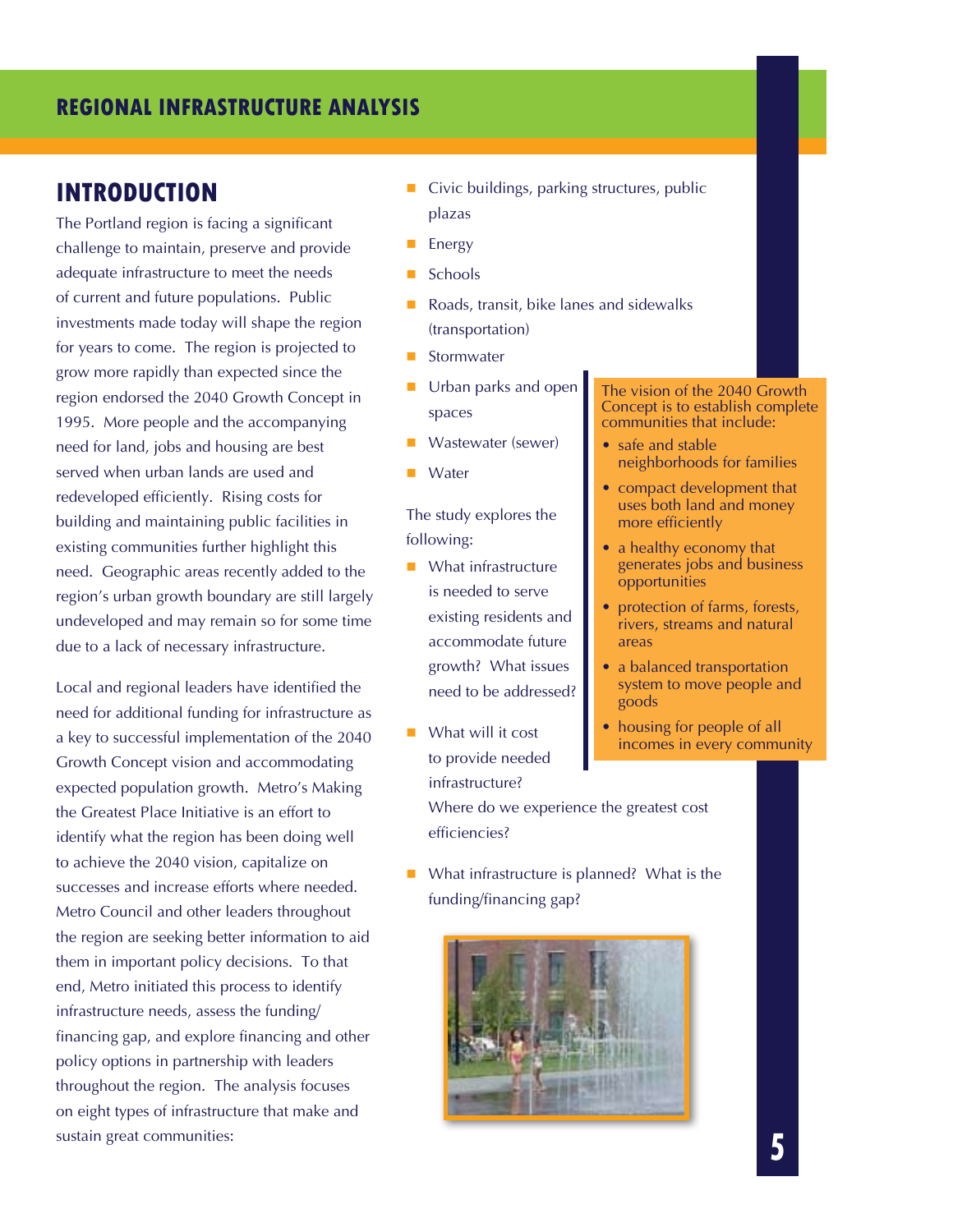### **INTRODUCTION**

The Portland region is facing a significant challenge to maintain, preserve and provide adequate infrastructure to meet the needs of current and future populations. Public investments made today will shape the region for years to come. The region is projected to grow more rapidly than expected since the region endorsed the 2040 Growth Concept in 1995. More people and the accompanying need for land, jobs and housing are best served when urban lands are used and redeveloped efficiently. Rising costs for building and maintaining public facilities in existing communities further highlight this need. Geographic areas recently added to the region's urban growth boundary are still largely undeveloped and may remain so for some time due to a lack of necessary infrastructure.

Local and regional leaders have identified the need for additional funding for infrastructure as a key to successful implementation of the 2040 Growth Concept vision and accommodating expected population growth. Metro's Making the Greatest Place Initiative is an effort to identify what the region has been doing well to achieve the 2040 vision, capitalize on successes and increase efforts where needed. Metro Council and other leaders throughout the region are seeking better information to aid them in important policy decisions. To that end, Metro initiated this process to identify infrastructure needs, assess the funding/ financing gap, and explore financing and other policy options in partnership with leaders throughout the region. The analysis focuses on eight types of infrastructure that make and sustain great communities:

- Civic buildings, parking structures, public plazas
- **Energy**
- Schools
- Roads, transit, bike lanes and sidewalks (transportation)
- Stormwater
- Urban parks and open spaces
- Wastewater (sewer)
- **Water**

The study explores the following:

- What infrastructure is needed to serve existing residents and accommodate future growth? What issues need to be addressed?
- What will it cost to provide needed infrastructure?

Where do we experience the greatest cost efficiencies?

■ What infrastructure is planned? What is the funding/financing gap?



The vision of the 2040 Growth Concept is to establish complete communities that include:

- safe and stable neighborhoods for families
- compact development that uses both land and money more efficiently
- a healthy economy that generates jobs and business opportunities
- protection of farms, forests, rivers, streams and natural areas
- a balanced transportation system to move people and goods
- housing for people of all incomes in every community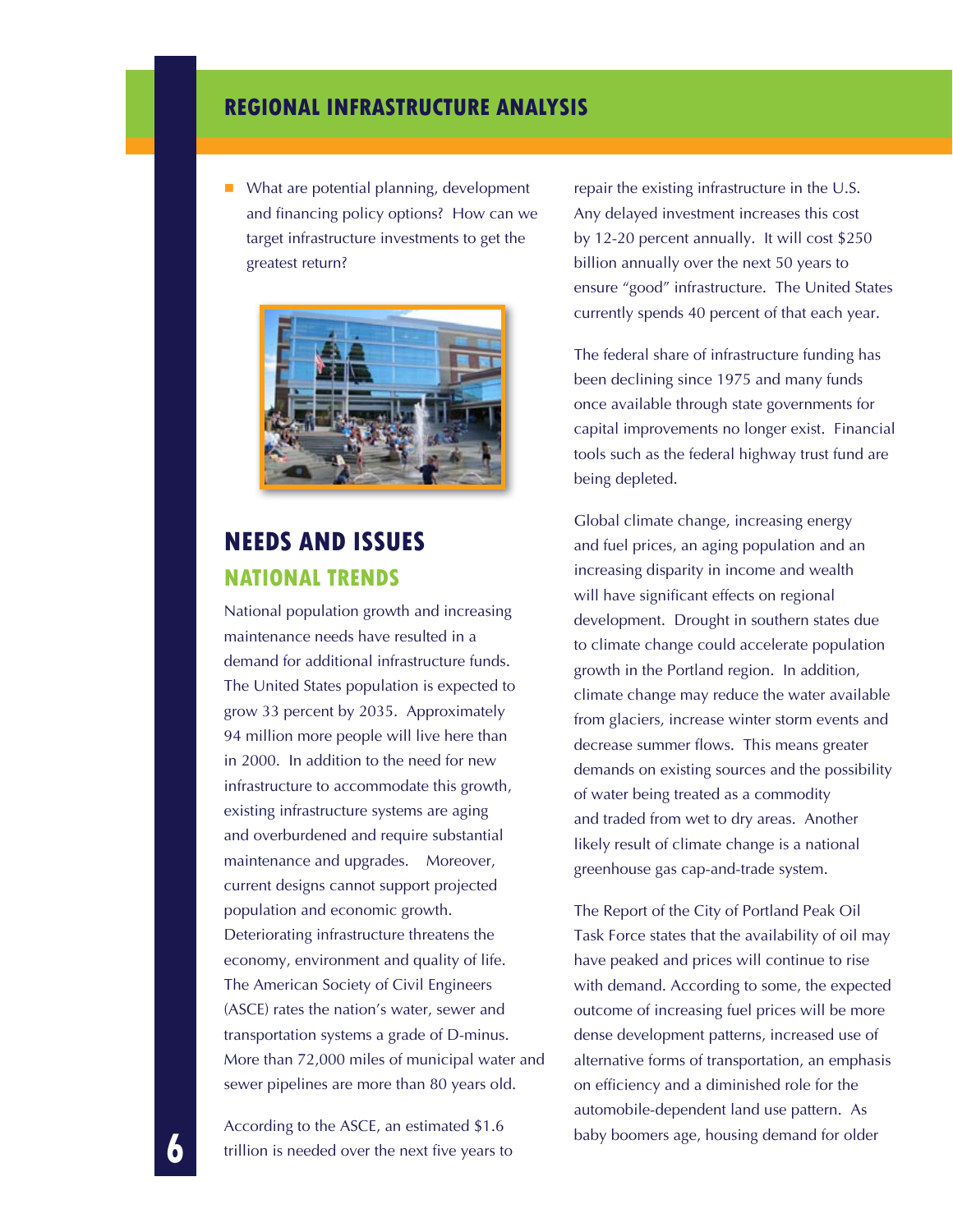What are potential planning, development and financing policy options? How can we target infrastructure investments to get the greatest return?



# **NEEDS AND ISSUES National Trends**

National population growth and increasing maintenance needs have resulted in a demand for additional infrastructure funds. The United States population is expected to grow 33 percent by 2035. Approximately 94 million more people will live here than in 2000. In addition to the need for new infrastructure to accommodate this growth, existing infrastructure systems are aging and overburdened and require substantial maintenance and upgrades. Moreover, current designs cannot support projected population and economic growth. Deteriorating infrastructure threatens the economy, environment and quality of life. The American Society of Civil Engineers (ASCE) rates the nation's water, sewer and transportation systems a grade of D-minus. More than 72,000 miles of municipal water and sewer pipelines are more than 80 years old.

According to the ASCE, an estimated \$1.6 trillion is needed over the next five years to repair the existing infrastructure in the U.S. Any delayed investment increases this cost by 12-20 percent annually. It will cost \$250 billion annually over the next 50 years to ensure "good" infrastructure. The United States currently spends 40 percent of that each year.

The federal share of infrastructure funding has been declining since 1975 and many funds once available through state governments for capital improvements no longer exist. Financial tools such as the federal highway trust fund are being depleted.

Global climate change, increasing energy and fuel prices, an aging population and an increasing disparity in income and wealth will have significant effects on regional development. Drought in southern states due to climate change could accelerate population growth in the Portland region. In addition, climate change may reduce the water available from glaciers, increase winter storm events and decrease summer flows. This means greater demands on existing sources and the possibility of water being treated as a commodity and traded from wet to dry areas. Another likely result of climate change is a national greenhouse gas cap-and-trade system.

The Report of the City of Portland Peak Oil Task Force states that the availability of oil may have peaked and prices will continue to rise with demand. According to some, the expected outcome of increasing fuel prices will be more dense development patterns, increased use of alternative forms of transportation, an emphasis on efficiency and a diminished role for the automobile-dependent land use pattern. As baby boomers age, housing demand for older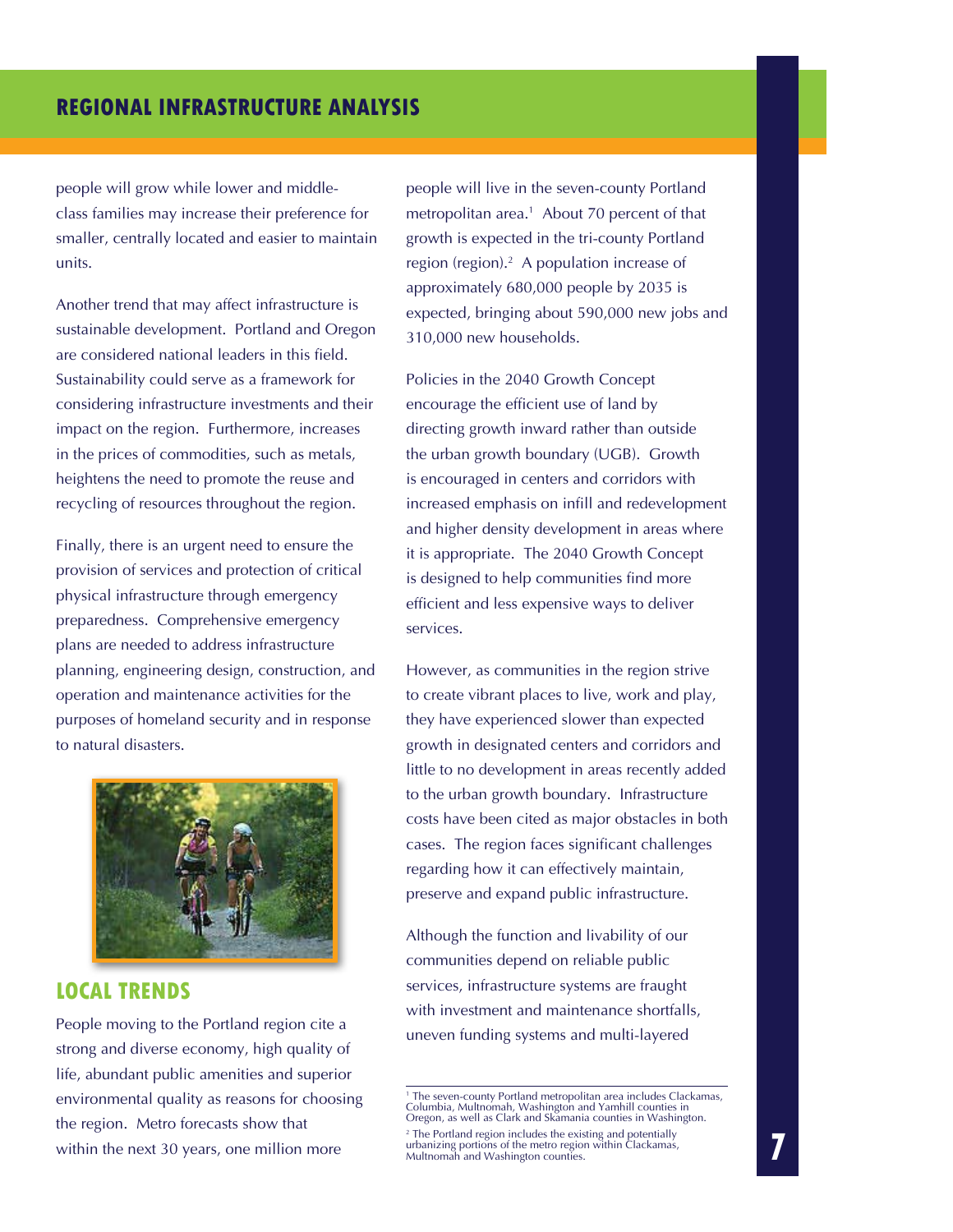people will grow while lower and middleclass families may increase their preference for smaller, centrally located and easier to maintain units.

Another trend that may affect infrastructure is sustainable development. Portland and Oregon are considered national leaders in this field. Sustainability could serve as a framework for considering infrastructure investments and their impact on the region. Furthermore, increases in the prices of commodities, such as metals, heightens the need to promote the reuse and recycling of resources throughout the region.

Finally, there is an urgent need to ensure the provision of services and protection of critical physical infrastructure through emergency preparedness. Comprehensive emergency plans are needed to address infrastructure planning, engineering design, construction, and operation and maintenance activities for the purposes of homeland security and in response to natural disasters.



#### **Local Trends**

People moving to the Portland region cite a strong and diverse economy, high quality of life, abundant public amenities and superior environmental quality as reasons for choosing the region. Metro forecasts show that within the next 30 years, one million more

people will live in the seven-county Portland metropolitan area.<sup>1</sup> About 70 percent of that growth is expected in the tri-county Portland region (region).<sup>2</sup> A population increase of approximately 680,000 people by 2035 is expected, bringing about 590,000 new jobs and 310,000 new households.

Policies in the 2040 Growth Concept encourage the efficient use of land by directing growth inward rather than outside the urban growth boundary (UGB). Growth is encouraged in centers and corridors with increased emphasis on infill and redevelopment and higher density development in areas where it is appropriate. The 2040 Growth Concept is designed to help communities find more efficient and less expensive ways to deliver services.

However, as communities in the region strive to create vibrant places to live, work and play, they have experienced slower than expected growth in designated centers and corridors and little to no development in areas recently added to the urban growth boundary. Infrastructure costs have been cited as major obstacles in both cases. The region faces significant challenges regarding how it can effectively maintain, preserve and expand public infrastructure.

Although the function and livability of our communities depend on reliable public services, infrastructure systems are fraught with investment and maintenance shortfalls, uneven funding systems and multi-layered

<sup>&#</sup>x27; The seven-county Portland metropolitan area includes Clackamas,<br>Columbia, Multnomah, Washington and Yamhill counties in<br>Oregon, as well as Clark and Skamania counties in Washington.

<sup>2</sup> The Portland region includes the existing and potentially urbanizing portions of the metro region within Clackamas, Multnomah and Washington counties.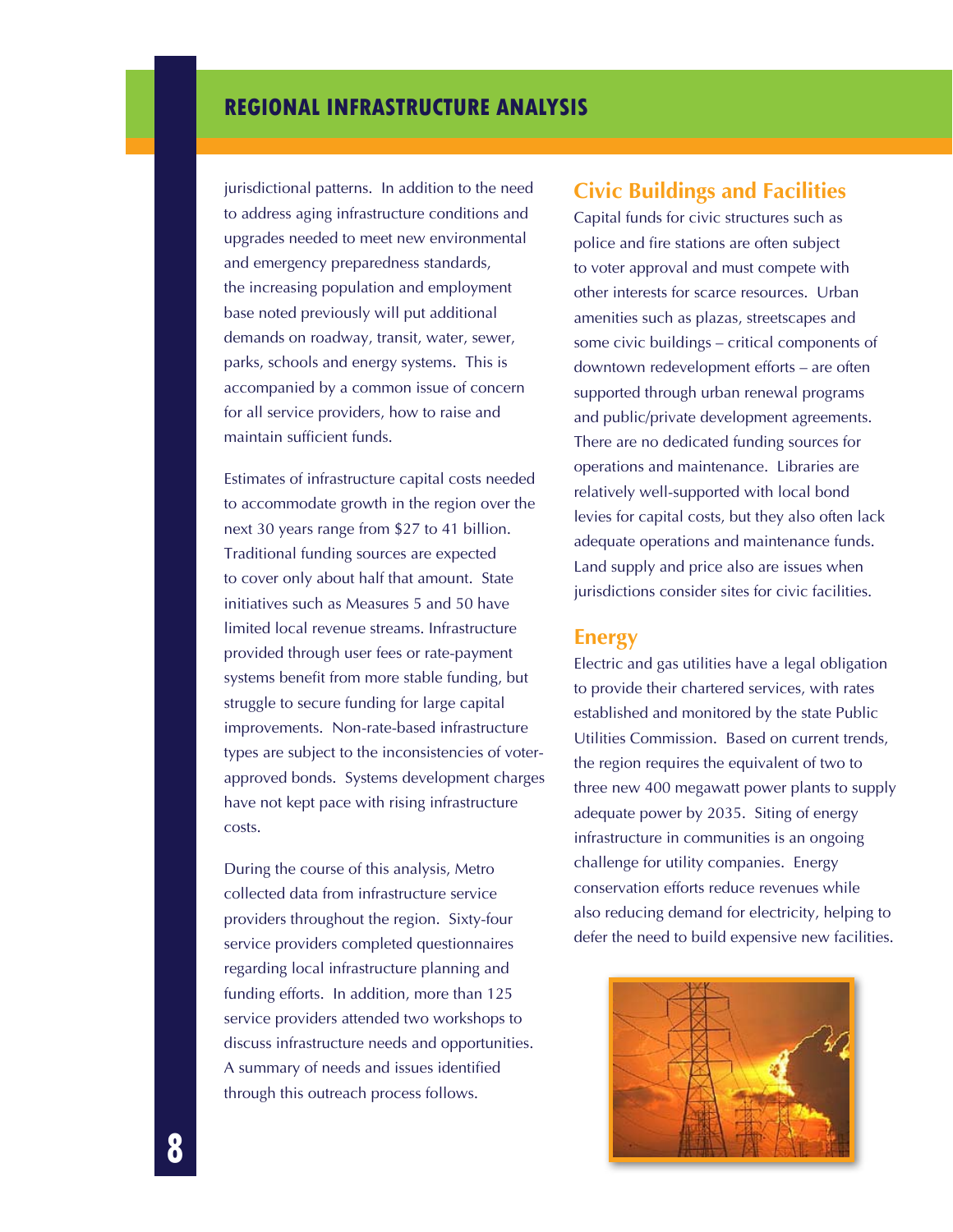jurisdictional patterns. In addition to the need to address aging infrastructure conditions and upgrades needed to meet new environmental and emergency preparedness standards, the increasing population and employment base noted previously will put additional demands on roadway, transit, water, sewer, parks, schools and energy systems. This is accompanied by a common issue of concern for all service providers, how to raise and maintain sufficient funds.

Estimates of infrastructure capital costs needed to accommodate growth in the region over the next 30 years range from \$27 to 41 billion. Traditional funding sources are expected to cover only about half that amount. State initiatives such as Measures 5 and 50 have limited local revenue streams. Infrastructure provided through user fees or rate-payment systems benefit from more stable funding, but struggle to secure funding for large capital improvements. Non-rate-based infrastructure types are subject to the inconsistencies of voterapproved bonds. Systems development charges have not kept pace with rising infrastructure costs.

During the course of this analysis, Metro collected data from infrastructure service providers throughout the region. Sixty-four service providers completed questionnaires regarding local infrastructure planning and funding efforts. In addition, more than 125 service providers attended two workshops to discuss infrastructure needs and opportunities. A summary of needs and issues identified through this outreach process follows.

### **Civic Buildings and Facilities**

Capital funds for civic structures such as police and fire stations are often subject to voter approval and must compete with other interests for scarce resources. Urban amenities such as plazas, streetscapes and some civic buildings – critical components of downtown redevelopment efforts – are often supported through urban renewal programs and public/private development agreements. There are no dedicated funding sources for operations and maintenance. Libraries are relatively well-supported with local bond levies for capital costs, but they also often lack adequate operations and maintenance funds. Land supply and price also are issues when jurisdictions consider sites for civic facilities.

#### **Energy**

Electric and gas utilities have a legal obligation to provide their chartered services, with rates established and monitored by the state Public Utilities Commission. Based on current trends, the region requires the equivalent of two to three new 400 megawatt power plants to supply adequate power by 2035. Siting of energy infrastructure in communities is an ongoing challenge for utility companies. Energy conservation efforts reduce revenues while also reducing demand for electricity, helping to defer the need to build expensive new facilities.

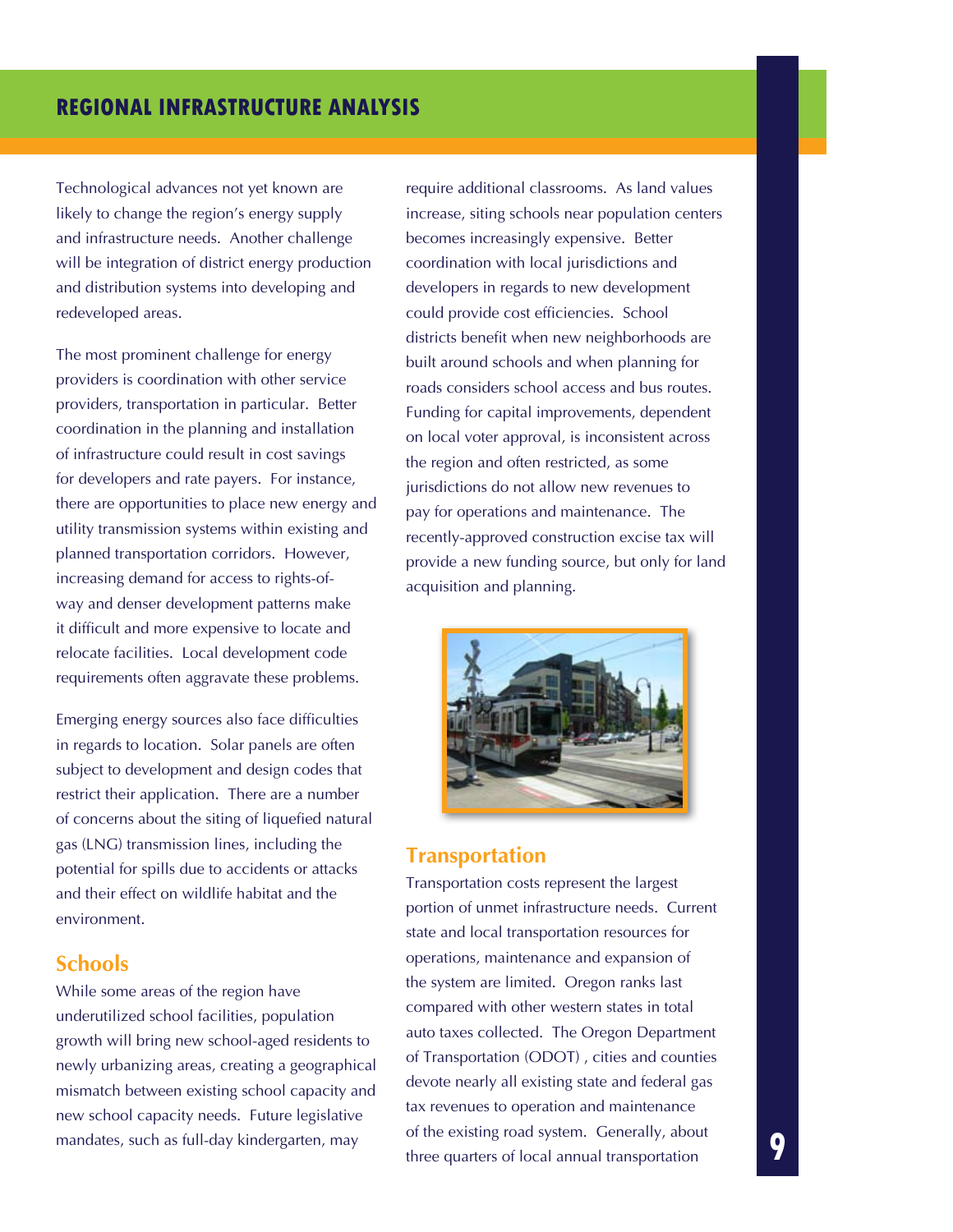Technological advances not yet known are likely to change the region's energy supply and infrastructure needs. Another challenge will be integration of district energy production and distribution systems into developing and redeveloped areas.

The most prominent challenge for energy providers is coordination with other service providers, transportation in particular. Better coordination in the planning and installation of infrastructure could result in cost savings for developers and rate payers. For instance, there are opportunities to place new energy and utility transmission systems within existing and planned transportation corridors. However, increasing demand for access to rights-ofway and denser development patterns make it difficult and more expensive to locate and relocate facilities. Local development code requirements often aggravate these problems.

Emerging energy sources also face difficulties in regards to location. Solar panels are often subject to development and design codes that restrict their application. There are a number of concerns about the siting of liquefied natural gas (LNG) transmission lines, including the potential for spills due to accidents or attacks and their effect on wildlife habitat and the environment.

#### **Schools**

While some areas of the region have underutilized school facilities, population growth will bring new school-aged residents to newly urbanizing areas, creating a geographical mismatch between existing school capacity and new school capacity needs. Future legislative mandates, such as full-day kindergarten, may

require additional classrooms. As land values increase, siting schools near population centers becomes increasingly expensive. Better coordination with local jurisdictions and developers in regards to new development could provide cost efficiencies. School districts benefit when new neighborhoods are built around schools and when planning for roads considers school access and bus routes. Funding for capital improvements, dependent on local voter approval, is inconsistent across the region and often restricted, as some jurisdictions do not allow new revenues to pay for operations and maintenance. The recently-approved construction excise tax will provide a new funding source, but only for land acquisition and planning.



### **Transportation**

Transportation costs represent the largest portion of unmet infrastructure needs. Current state and local transportation resources for operations, maintenance and expansion of the system are limited. Oregon ranks last compared with other western states in total auto taxes collected. The Oregon Department of Transportation (ODOT) , cities and counties devote nearly all existing state and federal gas tax revenues to operation and maintenance of the existing road system. Generally, about three quarters of local annual transportation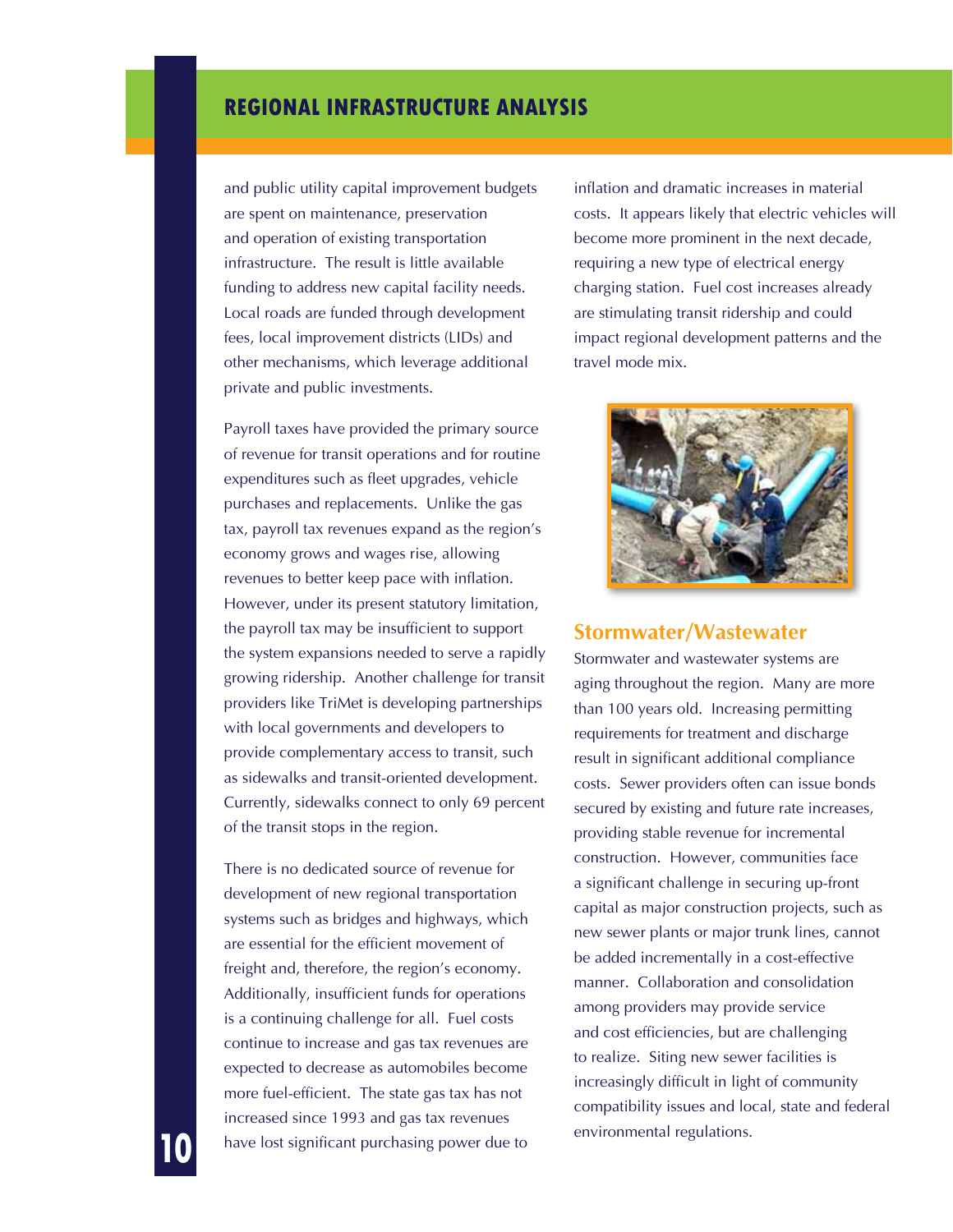and public utility capital improvement budgets are spent on maintenance, preservation and operation of existing transportation infrastructure. The result is little available funding to address new capital facility needs. Local roads are funded through development fees, local improvement districts (LIDs) and other mechanisms, which leverage additional private and public investments.

Payroll taxes have provided the primary source of revenue for transit operations and for routine expenditures such as fleet upgrades, vehicle purchases and replacements. Unlike the gas tax, payroll tax revenues expand as the region's economy grows and wages rise, allowing revenues to better keep pace with inflation. However, under its present statutory limitation, the payroll tax may be insufficient to support the system expansions needed to serve a rapidly growing ridership. Another challenge for transit providers like TriMet is developing partnerships with local governments and developers to provide complementary access to transit, such as sidewalks and transit-oriented development. Currently, sidewalks connect to only 69 percent of the transit stops in the region.

There is no dedicated source of revenue for development of new regional transportation systems such as bridges and highways, which are essential for the efficient movement of freight and, therefore, the region's economy. Additionally, insufficient funds for operations is a continuing challenge for all. Fuel costs continue to increase and gas tax revenues are expected to decrease as automobiles become more fuel-efficient. The state gas tax has not increased since 1993 and gas tax revenues have lost significant purchasing power due to

inflation and dramatic increases in material costs. It appears likely that electric vehicles will become more prominent in the next decade, requiring a new type of electrical energy charging station. Fuel cost increases already are stimulating transit ridership and could impact regional development patterns and the travel mode mix.



#### **Stormwater/Wastewater**

Stormwater and wastewater systems are aging throughout the region. Many are more than 100 years old. Increasing permitting requirements for treatment and discharge result in significant additional compliance costs. Sewer providers often can issue bonds secured by existing and future rate increases, providing stable revenue for incremental construction. However, communities face a significant challenge in securing up-front capital as major construction projects, such as new sewer plants or major trunk lines, cannot be added incrementally in a cost-effective manner. Collaboration and consolidation among providers may provide service and cost efficiencies, but are challenging to realize. Siting new sewer facilities is increasingly difficult in light of community compatibility issues and local, state and federal environmental regulations.

**10**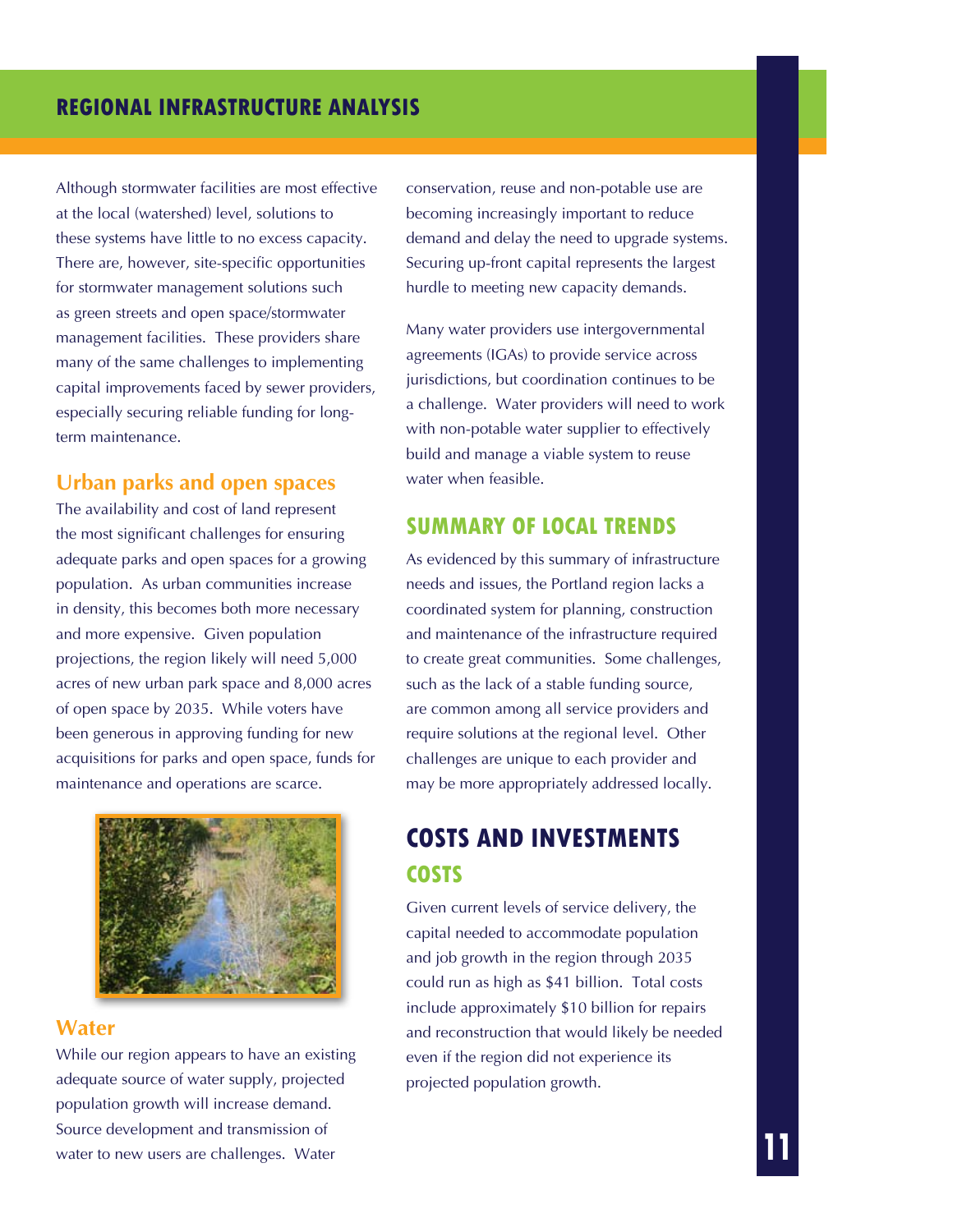Although stormwater facilities are most effective at the local (watershed) level, solutions to these systems have little to no excess capacity. There are, however, site-specific opportunities for stormwater management solutions such as green streets and open space/stormwater management facilities. These providers share many of the same challenges to implementing capital improvements faced by sewer providers, especially securing reliable funding for longterm maintenance.

#### **Urban parks and open spaces**

The availability and cost of land represent the most significant challenges for ensuring adequate parks and open spaces for a growing population. As urban communities increase in density, this becomes both more necessary and more expensive. Given population projections, the region likely will need 5,000 acres of new urban park space and 8,000 acres of open space by 2035. While voters have been generous in approving funding for new acquisitions for parks and open space, funds for maintenance and operations are scarce.



#### **Water**

While our region appears to have an existing adequate source of water supply, projected population growth will increase demand. Source development and transmission of water to new users are challenges. Water

conservation, reuse and non-potable use are becoming increasingly important to reduce demand and delay the need to upgrade systems. Securing up-front capital represents the largest hurdle to meeting new capacity demands.

Many water providers use intergovernmental agreements (IGAs) to provide service across jurisdictions, but coordination continues to be a challenge. Water providers will need to work with non-potable water supplier to effectively build and manage a viable system to reuse water when feasible.

### **Summary of local trends**

As evidenced by this summary of infrastructure needs and issues, the Portland region lacks a coordinated system for planning, construction and maintenance of the infrastructure required to create great communities. Some challenges, such as the lack of a stable funding source, are common among all service providers and require solutions at the regional level. Other challenges are unique to each provider and may be more appropriately addressed locally.

# **COSTS AND INVESTMENTS Costs**

Given current levels of service delivery, the capital needed to accommodate population and job growth in the region through 2035 could run as high as \$41 billion. Total costs include approximately \$10 billion for repairs and reconstruction that would likely be needed even if the region did not experience its projected population growth.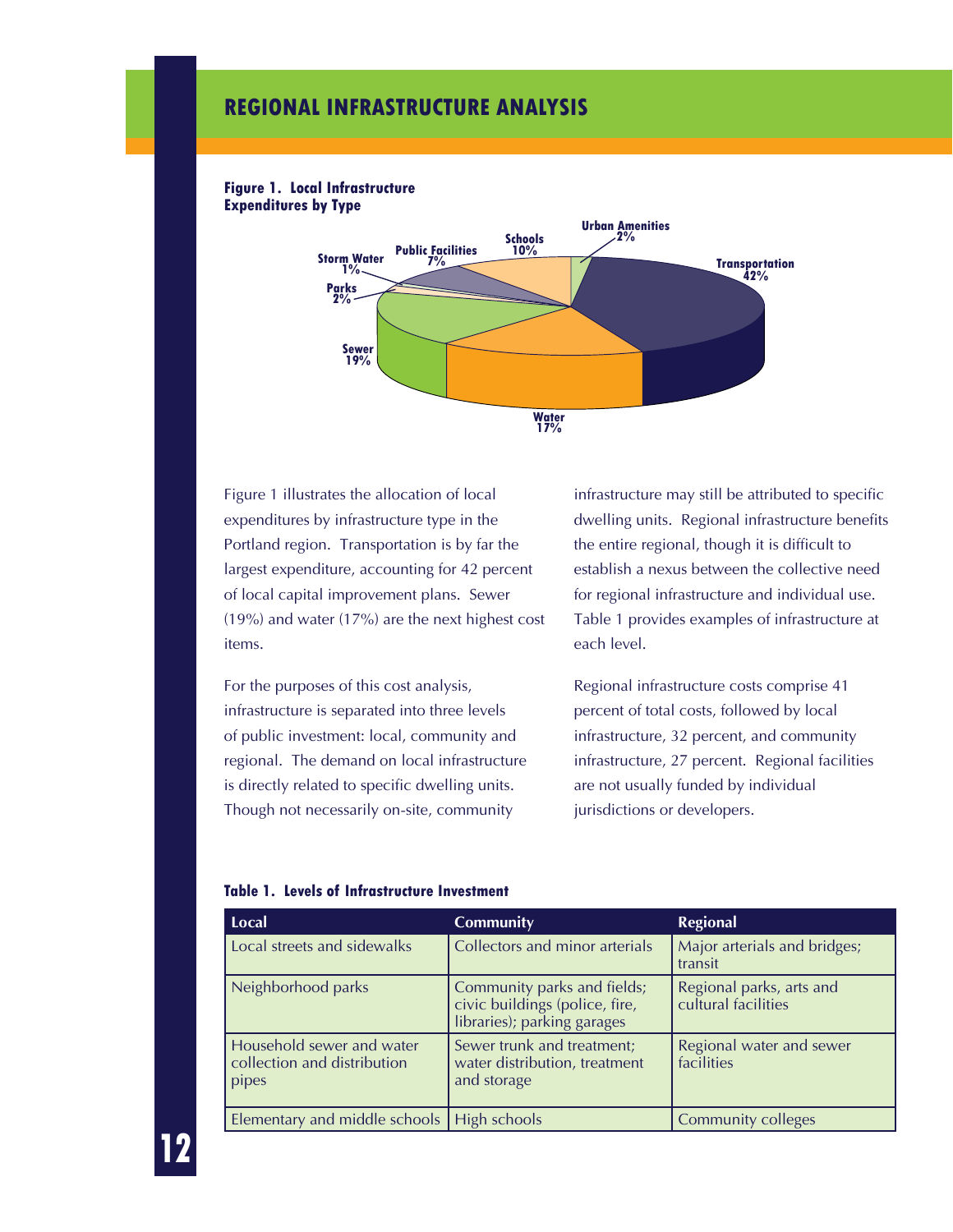

#### **Figure 1. Local Infrastructure Expenditures by Type**

Figure 1 illustrates the allocation of local expenditures by infrastructure type in the Portland region. Transportation is by far the largest expenditure, accounting for 42 percent of local capital improvement plans. Sewer (19%) and water (17%) are the next highest cost items.

For the purposes of this cost analysis, infrastructure is separated into three levels of public investment: local, community and regional. The demand on local infrastructure is directly related to specific dwelling units. Though not necessarily on-site, community

infrastructure may still be attributed to specific dwelling units. Regional infrastructure benefits the entire regional, though it is difficult to establish a nexus between the collective need for regional infrastructure and individual use. Table 1 provides examples of infrastructure at each level.

Regional infrastructure costs comprise 41 percent of total costs, followed by local infrastructure, 32 percent, and community infrastructure, 27 percent. Regional facilities are not usually funded by individual jurisdictions or developers.

| Local                                                             | <b>Community</b>                                                                             | <b>Regional</b>                                 |
|-------------------------------------------------------------------|----------------------------------------------------------------------------------------------|-------------------------------------------------|
| Local streets and sidewalks                                       | Collectors and minor arterials                                                               | Major arterials and bridges;<br>transit         |
| Neighborhood parks                                                | Community parks and fields;<br>civic buildings (police, fire,<br>libraries); parking garages | Regional parks, arts and<br>cultural facilities |
| Household sewer and water<br>collection and distribution<br>pipes | Sewer trunk and treatment;<br>water distribution, treatment<br>and storage                   | Regional water and sewer<br>facilities          |
| Elementary and middle schools   High schools                      |                                                                                              | <b>Community colleges</b>                       |

#### **Table 1. Levels of Infrastructure Investment**

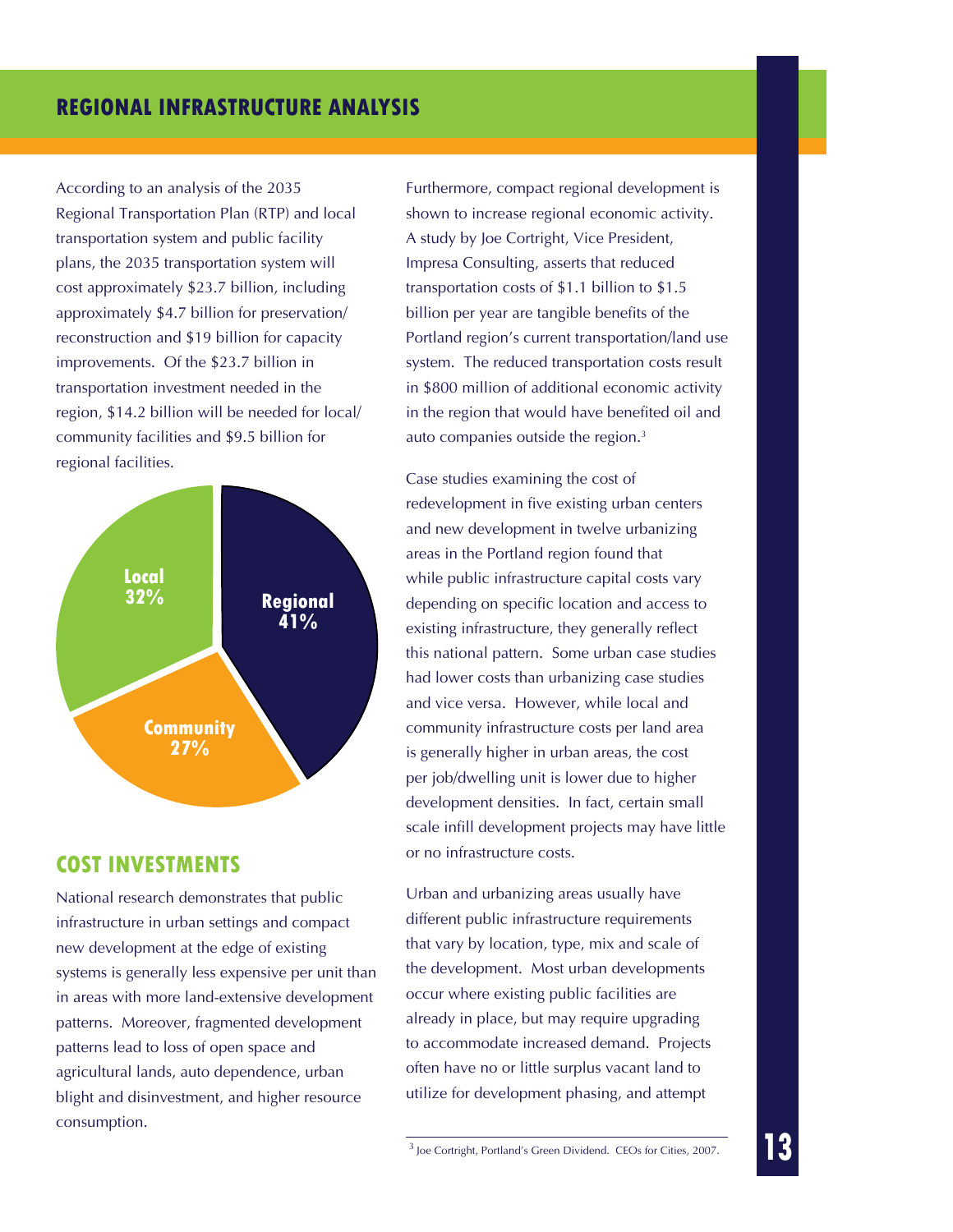According to an analysis of the 2035 Regional Transportation Plan (RTP) and local transportation system and public facility plans, the 2035 transportation system will cost approximately \$23.7 billion, including approximately \$4.7 billion for preservation/ reconstruction and \$19 billion for capacity improvements. Of the \$23.7 billion in transportation investment needed in the region, \$14.2 billion will be needed for local/ community facilities and \$9.5 billion for regional facilities.



### **cost INVESTMENTS**

National research demonstrates that public infrastructure in urban settings and compact new development at the edge of existing systems is generally less expensive per unit than in areas with more land-extensive development patterns. Moreover, fragmented development patterns lead to loss of open space and agricultural lands, auto dependence, urban blight and disinvestment, and higher resource consumption.

Furthermore, compact regional development is shown to increase regional economic activity. A study by Joe Cortright, Vice President, Impresa Consulting, asserts that reduced transportation costs of \$1.1 billion to \$1.5 billion per year are tangible benefits of the Portland region's current transportation/land use system. The reduced transportation costs result in \$800 million of additional economic activity in the region that would have benefited oil and auto companies outside the region.3

Case studies examining the cost of redevelopment in five existing urban centers and new development in twelve urbanizing areas in the Portland region found that while public infrastructure capital costs vary depending on specific location and access to existing infrastructure, they generally reflect this national pattern. Some urban case studies had lower costs than urbanizing case studies and vice versa. However, while local and community infrastructure costs per land area is generally higher in urban areas, the cost per job/dwelling unit is lower due to higher development densities. In fact, certain small scale infill development projects may have little or no infrastructure costs.

Urban and urbanizing areas usually have different public infrastructure requirements that vary by location, type, mix and scale of the development. Most urban developments occur where existing public facilities are already in place, but may require upgrading to accommodate increased demand. Projects often have no or little surplus vacant land to utilize for development phasing, and attempt

3 Joe Cortright, Portland's Green Dividend. CEOs for Cities, 2007.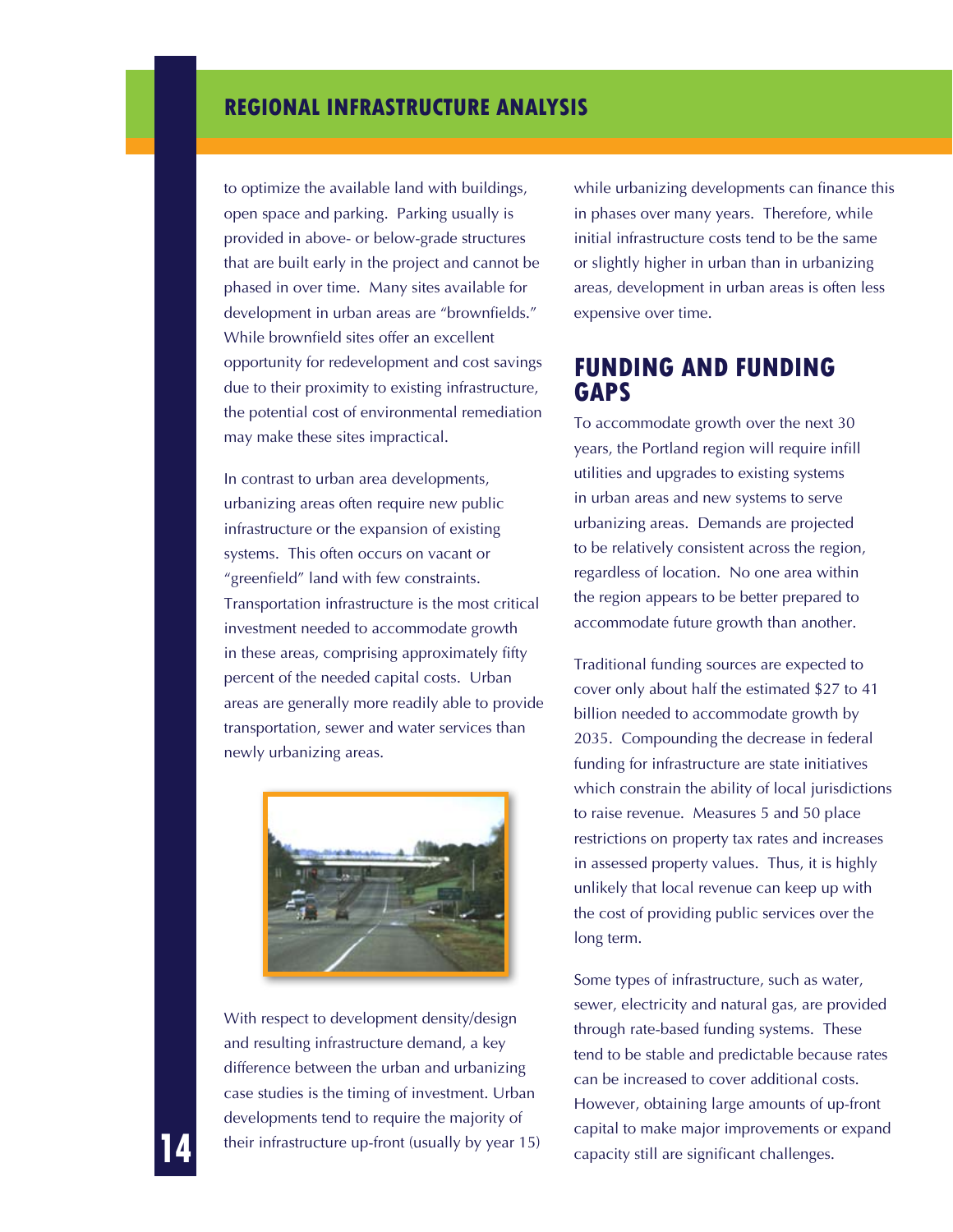to optimize the available land with buildings, open space and parking. Parking usually is provided in above- or below-grade structures that are built early in the project and cannot be phased in over time. Many sites available for development in urban areas are "brownfields." While brownfield sites offer an excellent opportunity for redevelopment and cost savings due to their proximity to existing infrastructure, the potential cost of environmental remediation may make these sites impractical.

In contrast to urban area developments, urbanizing areas often require new public infrastructure or the expansion of existing systems. This often occurs on vacant or "greenfield" land with few constraints. Transportation infrastructure is the most critical investment needed to accommodate growth in these areas, comprising approximately fifty percent of the needed capital costs. Urban areas are generally more readily able to provide transportation, sewer and water services than newly urbanizing areas.



With respect to development density/design and resulting infrastructure demand, a key difference between the urban and urbanizing case studies is the timing of investment. Urban developments tend to require the majority of their infrastructure up-front (usually by year 15) while urbanizing developments can finance this in phases over many years. Therefore, while initial infrastructure costs tend to be the same or slightly higher in urban than in urbanizing areas, development in urban areas is often less expensive over time.

### **FUNDING AND FUNDING GAPS**

To accommodate growth over the next 30 years, the Portland region will require infill utilities and upgrades to existing systems in urban areas and new systems to serve urbanizing areas. Demands are projected to be relatively consistent across the region, regardless of location. No one area within the region appears to be better prepared to accommodate future growth than another.

Traditional funding sources are expected to cover only about half the estimated \$27 to 41 billion needed to accommodate growth by 2035. Compounding the decrease in federal funding for infrastructure are state initiatives which constrain the ability of local jurisdictions to raise revenue. Measures 5 and 50 place restrictions on property tax rates and increases in assessed property values. Thus, it is highly unlikely that local revenue can keep up with the cost of providing public services over the long term.

Some types of infrastructure, such as water, sewer, electricity and natural gas, are provided through rate-based funding systems. These tend to be stable and predictable because rates can be increased to cover additional costs. However, obtaining large amounts of up-front capital to make major improvements or expand capacity still are significant challenges.

**14**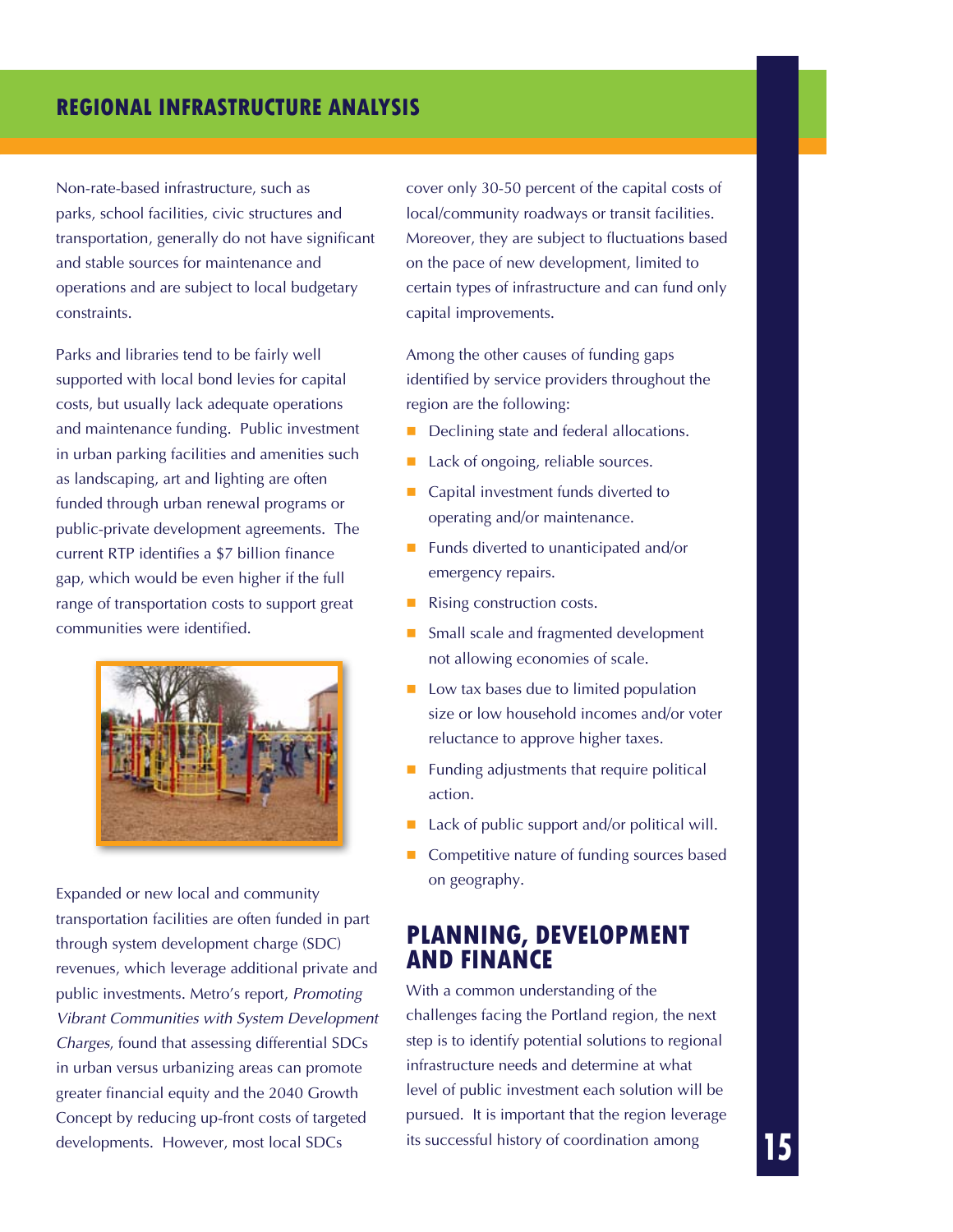Non-rate-based infrastructure, such as parks, school facilities, civic structures and transportation, generally do not have significant and stable sources for maintenance and operations and are subject to local budgetary constraints.

Parks and libraries tend to be fairly well supported with local bond levies for capital costs, but usually lack adequate operations and maintenance funding. Public investment in urban parking facilities and amenities such as landscaping, art and lighting are often funded through urban renewal programs or public-private development agreements. The current RTP identifies a \$7 billion finance gap, which would be even higher if the full range of transportation costs to support great communities were identified.



Expanded or new local and community transportation facilities are often funded in part through system development charge (SDC) revenues, which leverage additional private and public investments. Metro's report, *Promoting Vibrant Communities with System Development Charges*, found that assessing differential SDCs in urban versus urbanizing areas can promote greater financial equity and the 2040 Growth Concept by reducing up-front costs of targeted developments. However, most local SDCs

cover only 30-50 percent of the capital costs of local/community roadways or transit facilities. Moreover, they are subject to fluctuations based on the pace of new development, limited to certain types of infrastructure and can fund only capital improvements.

Among the other causes of funding gaps identified by service providers throughout the region are the following:

- Declining state and federal allocations.
- Lack of ongoing, reliable sources.
- Capital investment funds diverted to operating and/or maintenance.
- **Funds diverted to unanticipated and/or** emergency repairs.
- Rising construction costs.
- Small scale and fragmented development not allowing economies of scale.
- $\Box$  Low tax bases due to limited population size or low household incomes and/or voter reluctance to approve higher taxes.
- $\blacksquare$  Funding adjustments that require political action.
- Lack of public support and/or political will.
- Competitive nature of funding sources based on geography.

### **PLANNING, DEVELOPMENT AND FINANCE**

With a common understanding of the challenges facing the Portland region, the next step is to identify potential solutions to regional infrastructure needs and determine at what level of public investment each solution will be pursued. It is important that the region leverage its successful history of coordination among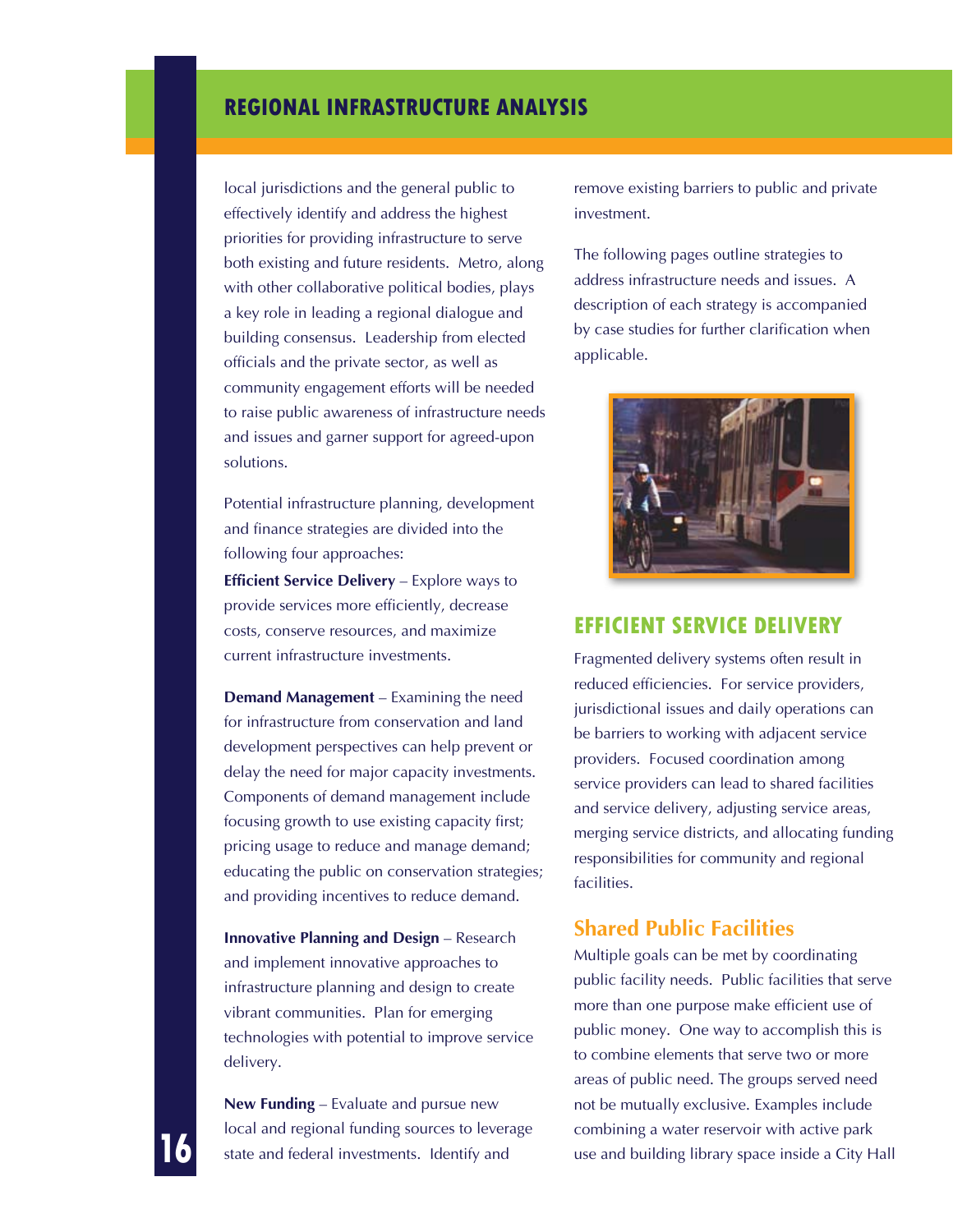local jurisdictions and the general public to effectively identify and address the highest priorities for providing infrastructure to serve both existing and future residents. Metro, along with other collaborative political bodies, plays a key role in leading a regional dialogue and building consensus. Leadership from elected officials and the private sector, as well as community engagement efforts will be needed to raise public awareness of infrastructure needs and issues and garner support for agreed-upon solutions.

Potential infrastructure planning, development and finance strategies are divided into the following four approaches:

**Efficient Service Delivery** – Explore ways to provide services more efficiently, decrease costs, conserve resources, and maximize current infrastructure investments.

**Demand Management** – Examining the need for infrastructure from conservation and land development perspectives can help prevent or delay the need for major capacity investments. Components of demand management include focusing growth to use existing capacity first; pricing usage to reduce and manage demand; educating the public on conservation strategies; and providing incentives to reduce demand.

**Innovative Planning and Design** – Research and implement innovative approaches to infrastructure planning and design to create vibrant communities. Plan for emerging technologies with potential to improve service delivery.

**New Funding** – Evaluate and pursue new local and regional funding sources to leverage state and federal investments. Identify and

**16**

remove existing barriers to public and private investment.

The following pages outline strategies to address infrastructure needs and issues. A description of each strategy is accompanied by case studies for further clarification when applicable.



#### **Efficient Service Delivery**

Fragmented delivery systems often result in reduced efficiencies. For service providers, jurisdictional issues and daily operations can be barriers to working with adjacent service providers. Focused coordination among service providers can lead to shared facilities and service delivery, adjusting service areas, merging service districts, and allocating funding responsibilities for community and regional facilities.

### **Shared Public Facilities**

Multiple goals can be met by coordinating public facility needs. Public facilities that serve more than one purpose make efficient use of public money. One way to accomplish this is to combine elements that serve two or more areas of public need. The groups served need not be mutually exclusive. Examples include combining a water reservoir with active park use and building library space inside a City Hall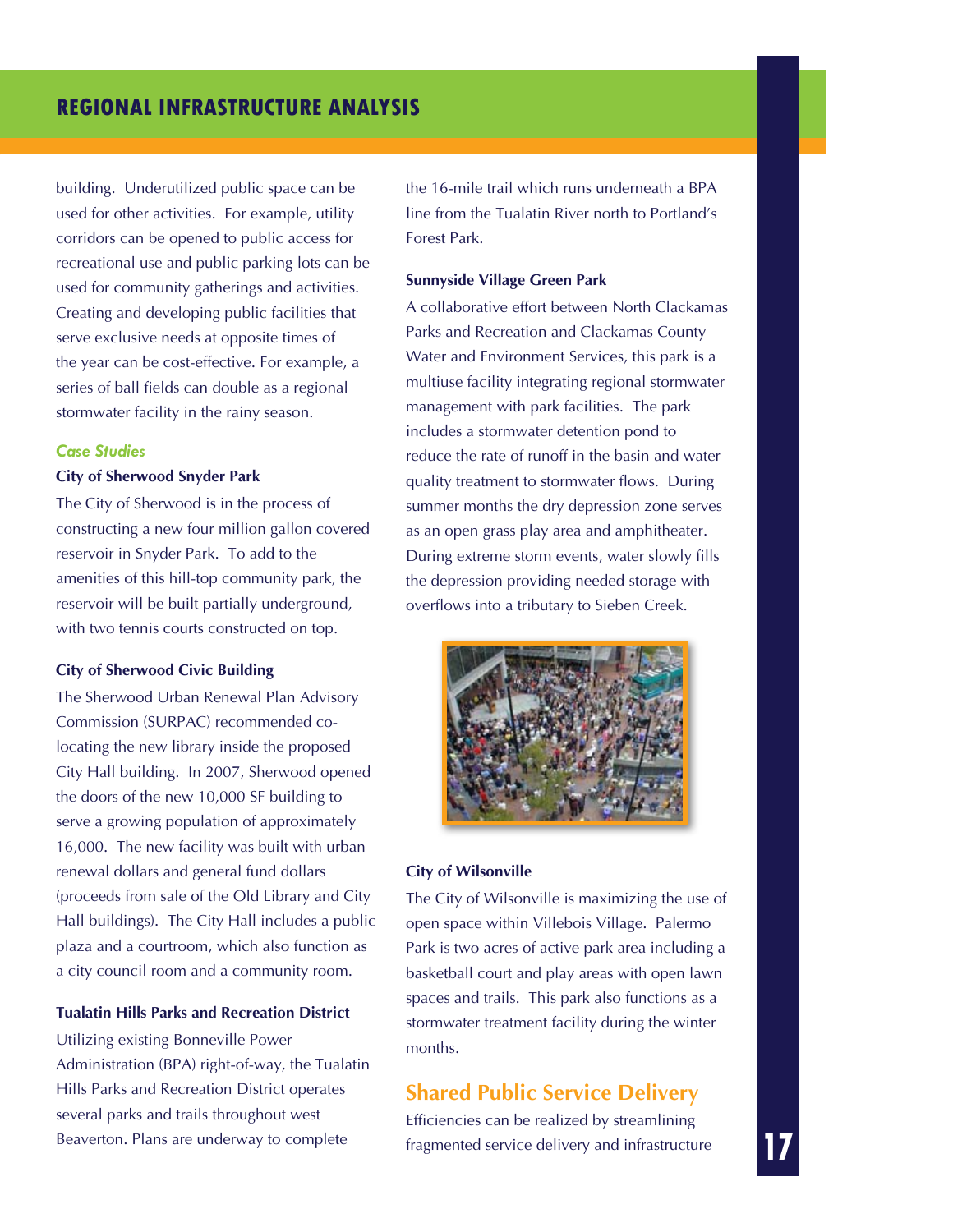building. Underutilized public space can be used for other activities. For example, utility corridors can be opened to public access for recreational use and public parking lots can be used for community gatherings and activities. Creating and developing public facilities that serve exclusive needs at opposite times of the year can be cost-effective. For example, a series of ball fields can double as a regional stormwater facility in the rainy season.

#### *Case Studies*

#### **City of Sherwood Snyder Park**

The City of Sherwood is in the process of constructing a new four million gallon covered reservoir in Snyder Park. To add to the amenities of this hill-top community park, the reservoir will be built partially underground, with two tennis courts constructed on top.

#### **City of Sherwood Civic Building**

The Sherwood Urban Renewal Plan Advisory Commission (SURPAC) recommended colocating the new library inside the proposed City Hall building. In 2007, Sherwood opened the doors of the new 10,000 SF building to serve a growing population of approximately 16,000. The new facility was built with urban renewal dollars and general fund dollars (proceeds from sale of the Old Library and City Hall buildings). The City Hall includes a public plaza and a courtroom, which also function as a city council room and a community room.

#### **Tualatin Hills Parks and Recreation District**

Utilizing existing Bonneville Power Administration (BPA) right-of-way, the Tualatin Hills Parks and Recreation District operates several parks and trails throughout west Beaverton. Plans are underway to complete

the 16-mile trail which runs underneath a BPA line from the Tualatin River north to Portland's Forest Park.

#### **Sunnyside Village Green Park**

A collaborative effort between North Clackamas Parks and Recreation and Clackamas County Water and Environment Services, this park is a multiuse facility integrating regional stormwater management with park facilities. The park includes a stormwater detention pond to reduce the rate of runoff in the basin and water quality treatment to stormwater flows. During summer months the dry depression zone serves as an open grass play area and amphitheater. During extreme storm events, water slowly fills the depression providing needed storage with overflows into a tributary to Sieben Creek.



#### **City of Wilsonville**

The City of Wilsonville is maximizing the use of open space within Villebois Village. Palermo Park is two acres of active park area including a basketball court and play areas with open lawn spaces and trails. This park also functions as a stormwater treatment facility during the winter months.

### **Shared Public Service Delivery**

Efficiencies can be realized by streamlining fragmented service delivery and infrastructure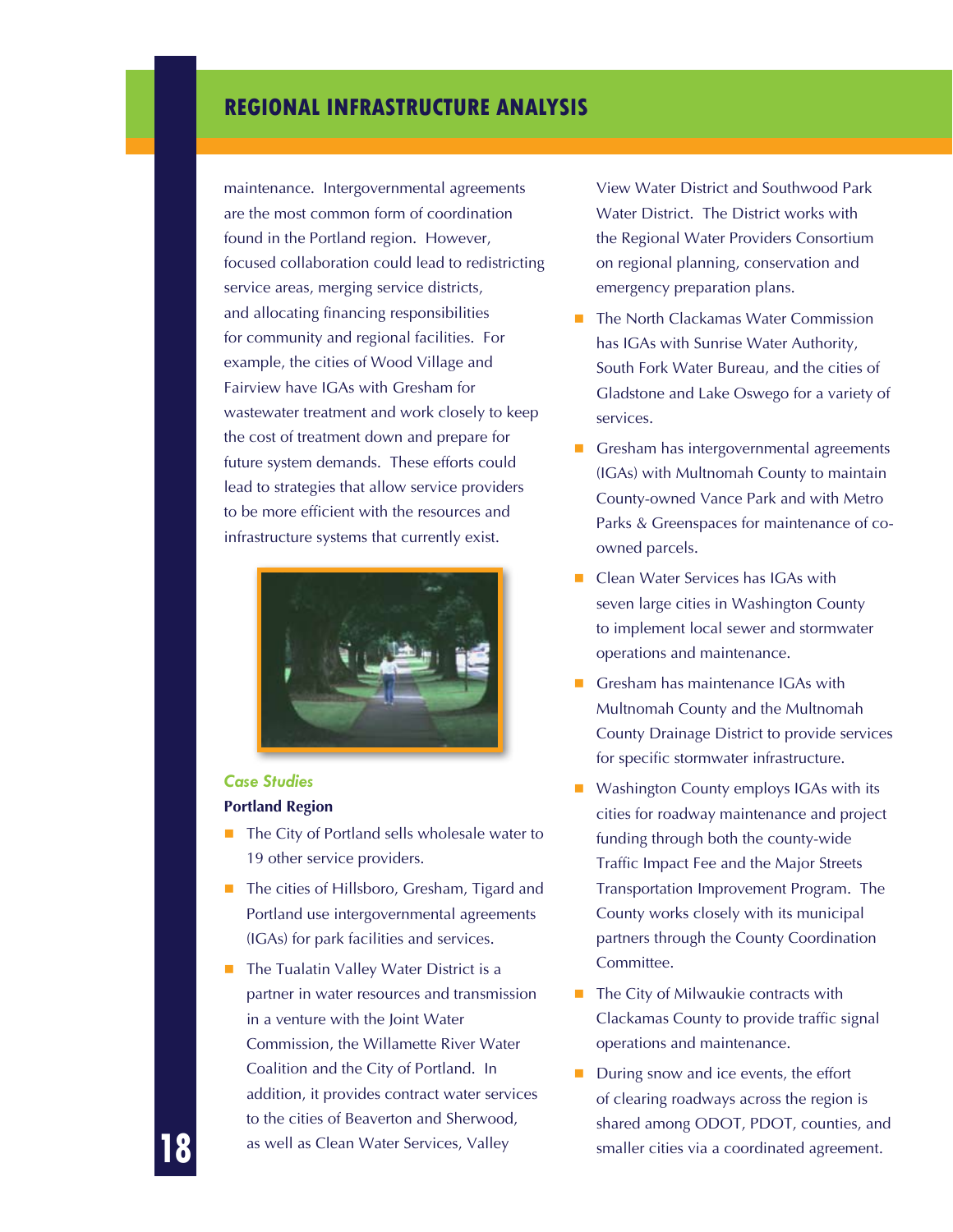maintenance. Intergovernmental agreements are the most common form of coordination found in the Portland region. However, focused collaboration could lead to redistricting service areas, merging service districts, and allocating financing responsibilities for community and regional facilities. For example, the cities of Wood Village and Fairview have IGAs with Gresham for wastewater treatment and work closely to keep the cost of treatment down and prepare for future system demands. These efforts could lead to strategies that allow service providers to be more efficient with the resources and infrastructure systems that currently exist.



#### *Case Studies*

**18**

#### **Portland Region**

- $\blacksquare$  The City of Portland sells wholesale water to 19 other service providers.
- The cities of Hillsboro, Gresham, Tigard and Portland use intergovernmental agreements (IGAs) for park facilities and services.
- The Tualatin Valley Water District is a partner in water resources and transmission in a venture with the Joint Water Commission, the Willamette River Water Coalition and the City of Portland. In addition, it provides contract water services to the cities of Beaverton and Sherwood, as well as Clean Water Services, Valley

View Water District and Southwood Park Water District. The District works with the Regional Water Providers Consortium on regional planning, conservation and emergency preparation plans.

- The North Clackamas Water Commission has IGAs with Sunrise Water Authority, South Fork Water Bureau, and the cities of Gladstone and Lake Oswego for a variety of services.
- Gresham has intergovernmental agreements (IGAs) with Multnomah County to maintain County-owned Vance Park and with Metro Parks & Greenspaces for maintenance of coowned parcels.
- Clean Water Services has IGAs with seven large cities in Washington County to implement local sewer and stormwater operations and maintenance.
- Gresham has maintenance IGAs with Multnomah County and the Multnomah County Drainage District to provide services for specific stormwater infrastructure.
- Washington County employs IGAs with its cities for roadway maintenance and project funding through both the county-wide Traffic Impact Fee and the Major Streets Transportation Improvement Program. The County works closely with its municipal partners through the County Coordination Committee.
- $\blacksquare$  The City of Milwaukie contracts with Clackamas County to provide traffic signal operations and maintenance.
- During snow and ice events, the effort of clearing roadways across the region is shared among ODOT, PDOT, counties, and smaller cities via a coordinated agreement.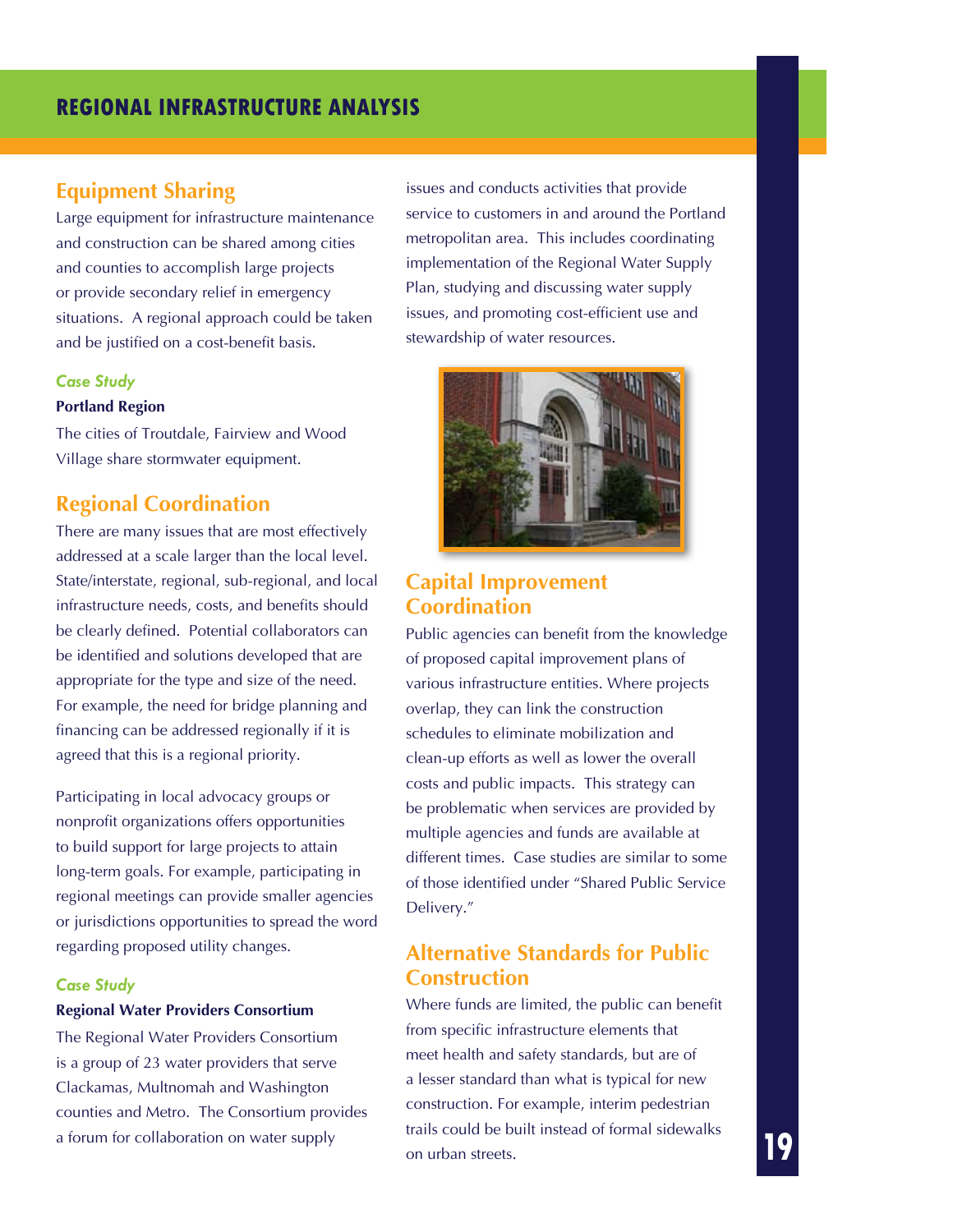### **Equipment Sharing**

Large equipment for infrastructure maintenance and construction can be shared among cities and counties to accomplish large projects or provide secondary relief in emergency situations. A regional approach could be taken and be justified on a cost-benefit basis.

#### *Case Study*

#### **Portland Region**

The cities of Troutdale, Fairview and Wood Village share stormwater equipment.

### **Regional Coordination**

There are many issues that are most effectively addressed at a scale larger than the local level. State/interstate, regional, sub-regional, and local infrastructure needs, costs, and benefits should be clearly defined. Potential collaborators can be identified and solutions developed that are appropriate for the type and size of the need. For example, the need for bridge planning and financing can be addressed regionally if it is agreed that this is a regional priority.

Participating in local advocacy groups or nonprofit organizations offers opportunities to build support for large projects to attain long-term goals. For example, participating in regional meetings can provide smaller agencies or jurisdictions opportunities to spread the word regarding proposed utility changes.

#### *Case Study*

#### **Regional Water Providers Consortium**

The Regional Water Providers Consortium is a group of 23 water providers that serve Clackamas, Multnomah and Washington counties and Metro. The Consortium provides a forum for collaboration on water supply

issues and conducts activities that provide service to customers in and around the Portland metropolitan area. This includes coordinating implementation of the Regional Water Supply Plan, studying and discussing water supply issues, and promoting cost-efficient use and stewardship of water resources.



### **Capital Improvement Coordination**

Public agencies can benefit from the knowledge of proposed capital improvement plans of various infrastructure entities. Where projects overlap, they can link the construction schedules to eliminate mobilization and clean-up efforts as well as lower the overall costs and public impacts. This strategy can be problematic when services are provided by multiple agencies and funds are available at different times. Case studies are similar to some of those identified under "Shared Public Service Delivery."

### **Alternative Standards for Public Construction**

Where funds are limited, the public can benefit from specific infrastructure elements that meet health and safety standards, but are of a lesser standard than what is typical for new construction. For example, interim pedestrian trails could be built instead of formal sidewalks on urban streets.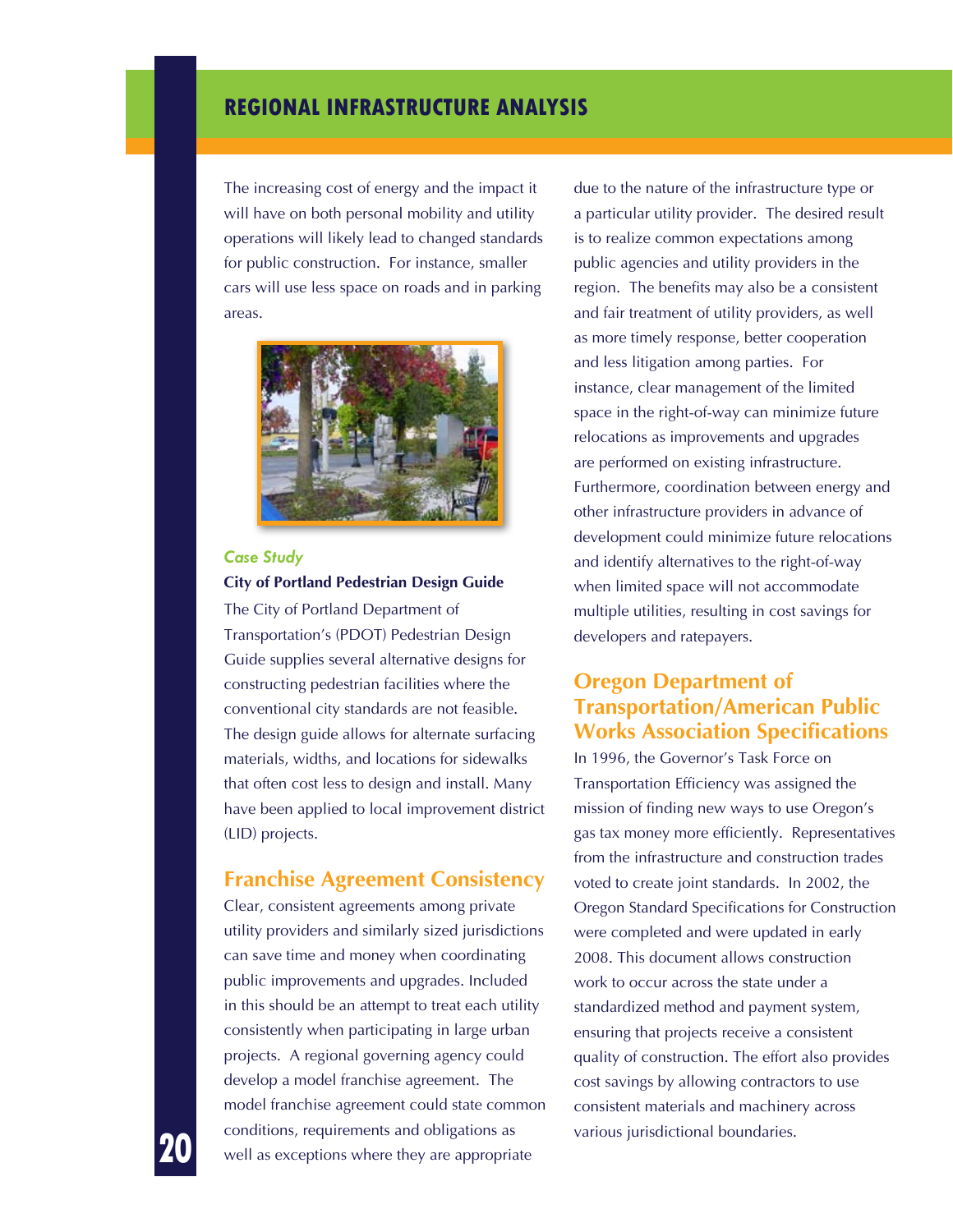The increasing cost of energy and the impact it will have on both personal mobility and utility operations will likely lead to changed standards for public construction. For instance, smaller cars will use less space on roads and in parking areas.



#### *Case Study* **City of Portland Pedestrian Design Guide**

The City of Portland Department of Transportation's (PDOT) Pedestrian Design Guide supplies several alternative designs for constructing pedestrian facilities where the conventional city standards are not feasible. The design guide allows for alternate surfacing materials, widths, and locations for sidewalks that often cost less to design and install. Many have been applied to local improvement district (LID) projects.

#### **Franchise Agreement Consistency**

Clear, consistent agreements among private utility providers and similarly sized jurisdictions can save time and money when coordinating public improvements and upgrades. Included in this should be an attempt to treat each utility consistently when participating in large urban projects. A regional governing agency could develop a model franchise agreement. The model franchise agreement could state common conditions, requirements and obligations as well as exceptions where they are appropriate

due to the nature of the infrastructure type or a particular utility provider. The desired result is to realize common expectations among public agencies and utility providers in the region. The benefits may also be a consistent and fair treatment of utility providers, as well as more timely response, better cooperation and less litigation among parties. For instance, clear management of the limited space in the right-of-way can minimize future relocations as improvements and upgrades are performed on existing infrastructure. Furthermore, coordination between energy and other infrastructure providers in advance of development could minimize future relocations and identify alternatives to the right-of-way when limited space will not accommodate multiple utilities, resulting in cost savings for developers and ratepayers.

### **Oregon Department of Transportation/American Public Works Association Specifications**

In 1996, the Governor's Task Force on Transportation Efficiency was assigned the mission of finding new ways to use Oregon's gas tax money more efficiently. Representatives from the infrastructure and construction trades voted to create joint standards. In 2002, the Oregon Standard Specifications for Construction were completed and were updated in early 2008. This document allows construction work to occur across the state under a standardized method and payment system, ensuring that projects receive a consistent quality of construction. The effort also provides cost savings by allowing contractors to use consistent materials and machinery across various jurisdictional boundaries.

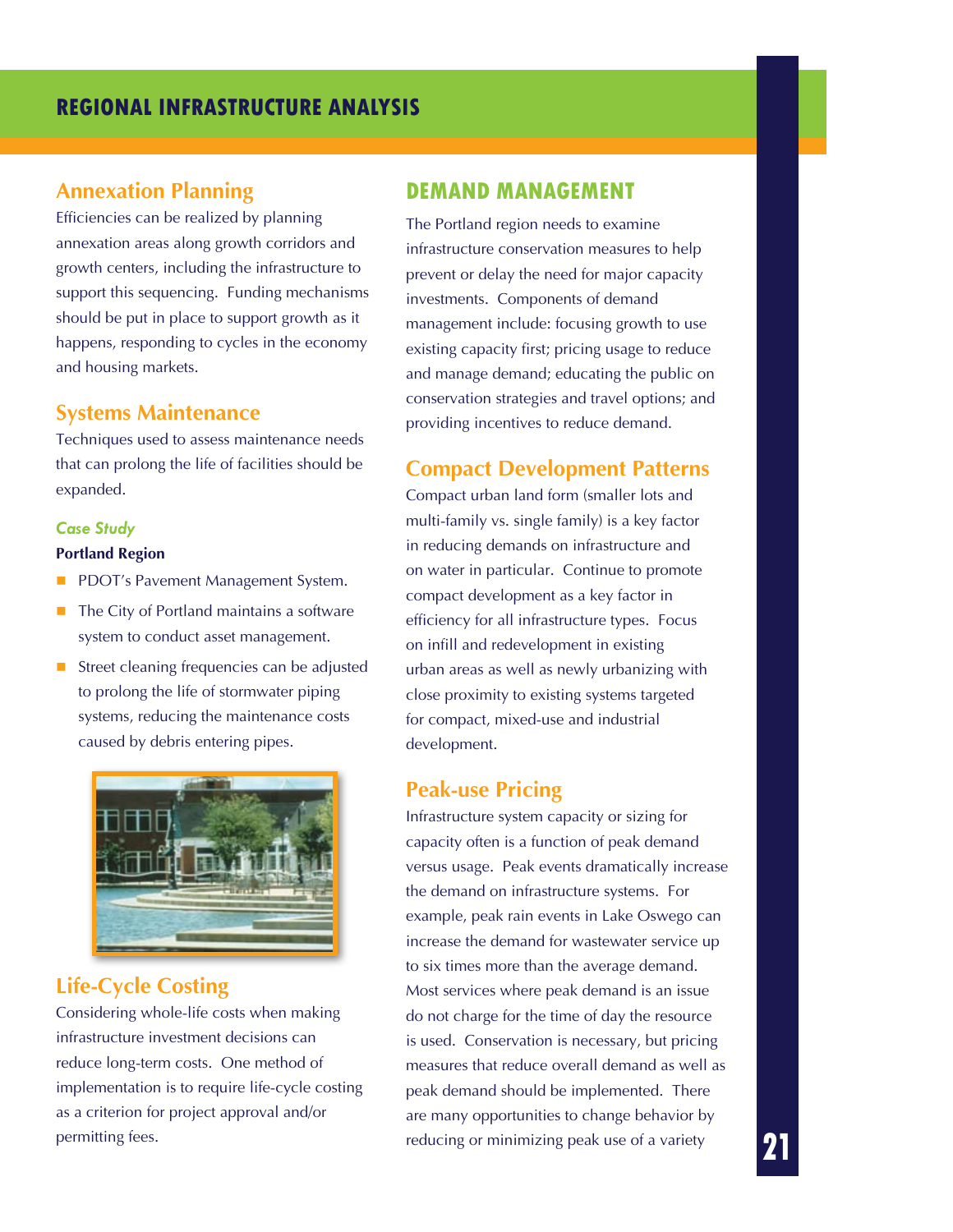### **Annexation Planning**

Efficiencies can be realized by planning annexation areas along growth corridors and growth centers, including the infrastructure to support this sequencing. Funding mechanisms should be put in place to support growth as it happens, responding to cycles in the economy and housing markets.

### **Systems Maintenance**

Techniques used to assess maintenance needs that can prolong the life of facilities should be expanded.

#### *Case Study*

#### **Portland Region**

- PDOT's Pavement Management System.
- $\blacksquare$  The City of Portland maintains a software system to conduct asset management.
- Street cleaning frequencies can be adjusted to prolong the life of stormwater piping systems, reducing the maintenance costs caused by debris entering pipes.



### **Life-Cycle Costing**

Considering whole-life costs when making infrastructure investment decisions can reduce long-term costs. One method of implementation is to require life-cycle costing as a criterion for project approval and/or permitting fees.

### **Demand Management**

The Portland region needs to examine infrastructure conservation measures to help prevent or delay the need for major capacity investments. Components of demand management include: focusing growth to use existing capacity first; pricing usage to reduce and manage demand; educating the public on conservation strategies and travel options; and providing incentives to reduce demand.

### **Compact Development Patterns**

Compact urban land form (smaller lots and multi-family vs. single family) is a key factor in reducing demands on infrastructure and on water in particular. Continue to promote compact development as a key factor in efficiency for all infrastructure types. Focus on infill and redevelopment in existing urban areas as well as newly urbanizing with close proximity to existing systems targeted for compact, mixed-use and industrial development.

### **Peak-use Pricing**

Infrastructure system capacity or sizing for capacity often is a function of peak demand versus usage. Peak events dramatically increase the demand on infrastructure systems. For example, peak rain events in Lake Oswego can increase the demand for wastewater service up to six times more than the average demand. Most services where peak demand is an issue do not charge for the time of day the resource is used. Conservation is necessary, but pricing measures that reduce overall demand as well as peak demand should be implemented. There are many opportunities to change behavior by reducing or minimizing peak use of a variety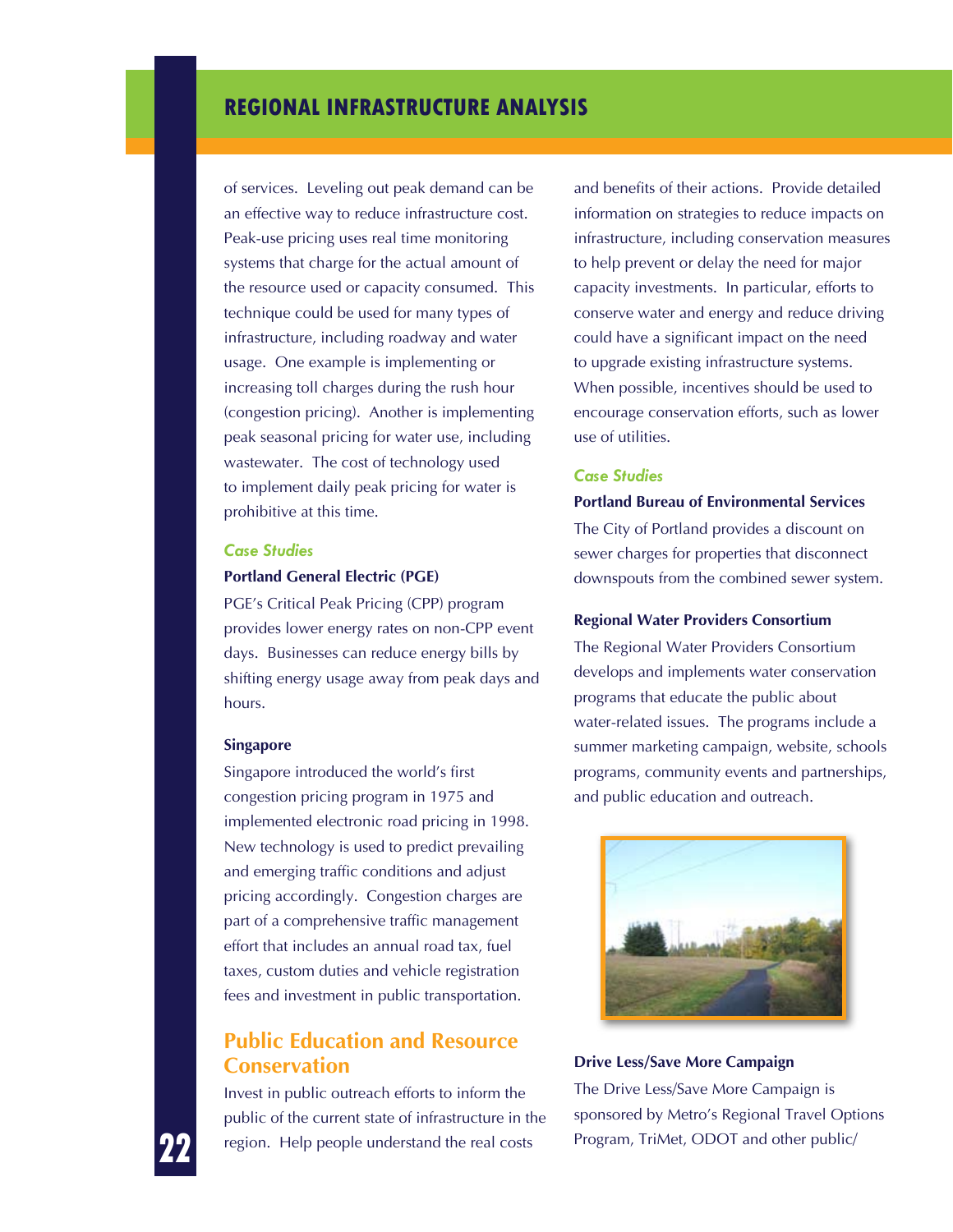of services. Leveling out peak demand can be an effective way to reduce infrastructure cost. Peak-use pricing uses real time monitoring systems that charge for the actual amount of the resource used or capacity consumed. This technique could be used for many types of infrastructure, including roadway and water usage. One example is implementing or increasing toll charges during the rush hour (congestion pricing). Another is implementing peak seasonal pricing for water use, including wastewater. The cost of technology used to implement daily peak pricing for water is prohibitive at this time.

### *Case Studies*

#### **Portland General Electric (PGE)**

PGE's Critical Peak Pricing (CPP) program provides lower energy rates on non-CPP event days. Businesses can reduce energy bills by shifting energy usage away from peak days and hours.

#### **Singapore**

Singapore introduced the world's first congestion pricing program in 1975 and implemented electronic road pricing in 1998. New technology is used to predict prevailing and emerging traffic conditions and adjust pricing accordingly. Congestion charges are part of a comprehensive traffic management effort that includes an annual road tax, fuel taxes, custom duties and vehicle registration fees and investment in public transportation.

### **Public Education and Resource Conservation**

Invest in public outreach efforts to inform the public of the current state of infrastructure in the region. Help people understand the real costs

and benefits of their actions. Provide detailed information on strategies to reduce impacts on infrastructure, including conservation measures to help prevent or delay the need for major capacity investments. In particular, efforts to conserve water and energy and reduce driving could have a significant impact on the need to upgrade existing infrastructure systems. When possible, incentives should be used to encourage conservation efforts, such as lower use of utilities.

#### *Case Studies*

#### **Portland Bureau of Environmental Services**

The City of Portland provides a discount on sewer charges for properties that disconnect downspouts from the combined sewer system.

#### **Regional Water Providers Consortium**

The Regional Water Providers Consortium develops and implements water conservation programs that educate the public about water-related issues. The programs include a summer marketing campaign, website, schools programs, community events and partnerships, and public education and outreach.



**Drive Less/Save More Campaign** The Drive Less/Save More Campaign is sponsored by Metro's Regional Travel Options Program, TriMet, ODOT and other public/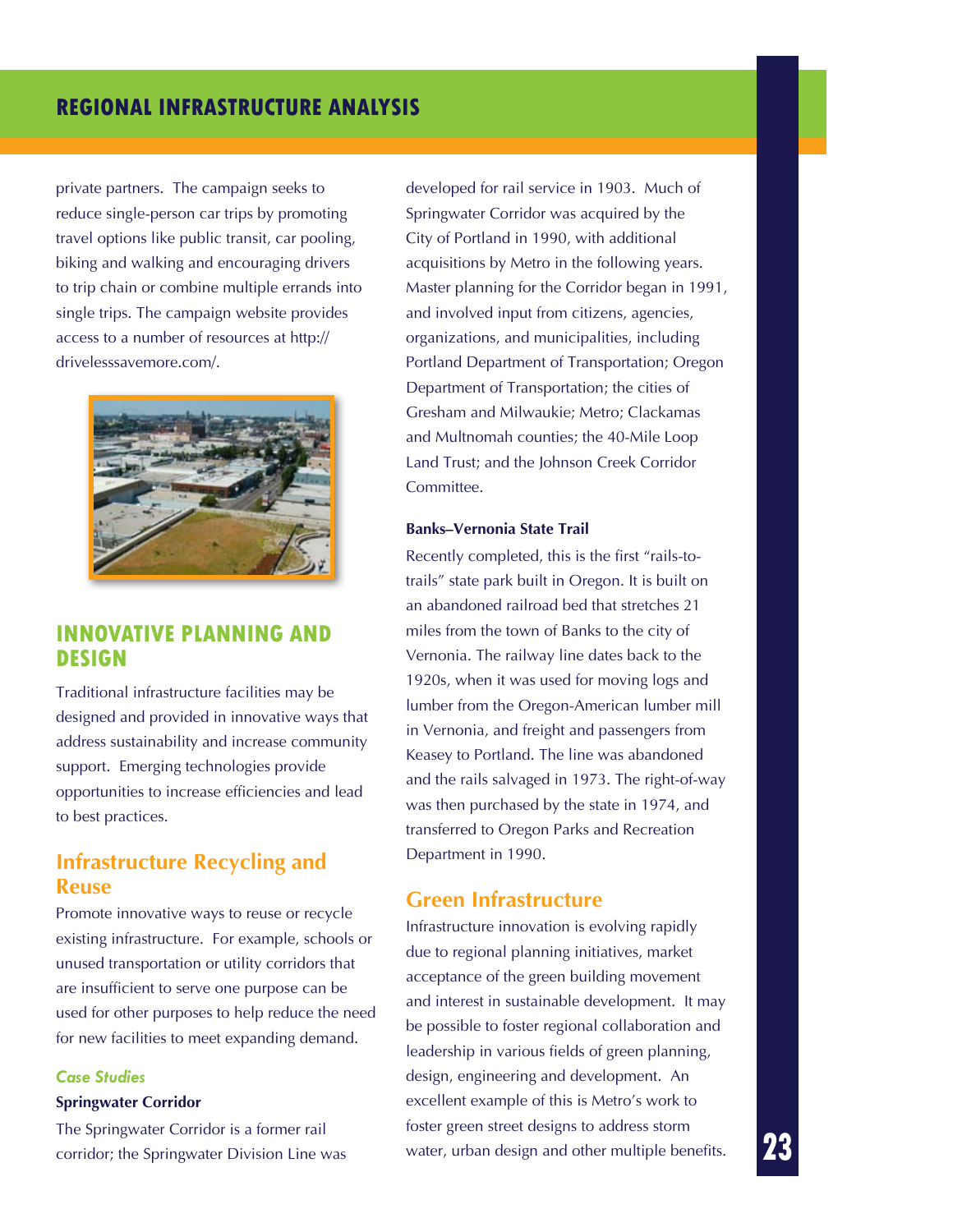private partners. The campaign seeks to reduce single-person car trips by promoting travel options like public transit, car pooling, biking and walking and encouraging drivers to trip chain or combine multiple errands into single trips. The campaign website provides access to a number of resources at http:// drivelesssavemore.com/.



### **Innovative Planning and Design**

Traditional infrastructure facilities may be designed and provided in innovative ways that address sustainability and increase community support. Emerging technologies provide opportunities to increase efficiencies and lead to best practices.

### **Infrastructure Recycling and Reuse**

Promote innovative ways to reuse or recycle existing infrastructure. For example, schools or unused transportation or utility corridors that are insufficient to serve one purpose can be used for other purposes to help reduce the need for new facilities to meet expanding demand.

#### *Case Studies*

#### **Springwater Corridor**

The Springwater Corridor is a former rail corridor; the Springwater Division Line was developed for rail service in 1903. Much of Springwater Corridor was acquired by the City of Portland in 1990, with additional acquisitions by Metro in the following years. Master planning for the Corridor began in 1991, and involved input from citizens, agencies, organizations, and municipalities, including Portland Department of Transportation; Oregon Department of Transportation; the cities of Gresham and Milwaukie; Metro; Clackamas and Multnomah counties; the 40-Mile Loop Land Trust; and the Johnson Creek Corridor Committee.

#### **Banks–Vernonia State Trail**

Recently completed, this is the first "rails-totrails" state park built in Oregon. It is built on an abandoned railroad bed that stretches 21 miles from the town of Banks to the city of Vernonia. The railway line dates back to the 1920s, when it was used for moving logs and lumber from the Oregon-American lumber mill in Vernonia, and freight and passengers from Keasey to Portland. The line was abandoned and the rails salvaged in 1973. The right-of-way was then purchased by the state in 1974, and transferred to Oregon Parks and Recreation Department in 1990.

#### **Green Infrastructure**

Infrastructure innovation is evolving rapidly due to regional planning initiatives, market acceptance of the green building movement and interest in sustainable development. It may be possible to foster regional collaboration and leadership in various fields of green planning, design, engineering and development. An excellent example of this is Metro's work to foster green street designs to address storm water, urban design and other multiple benefits.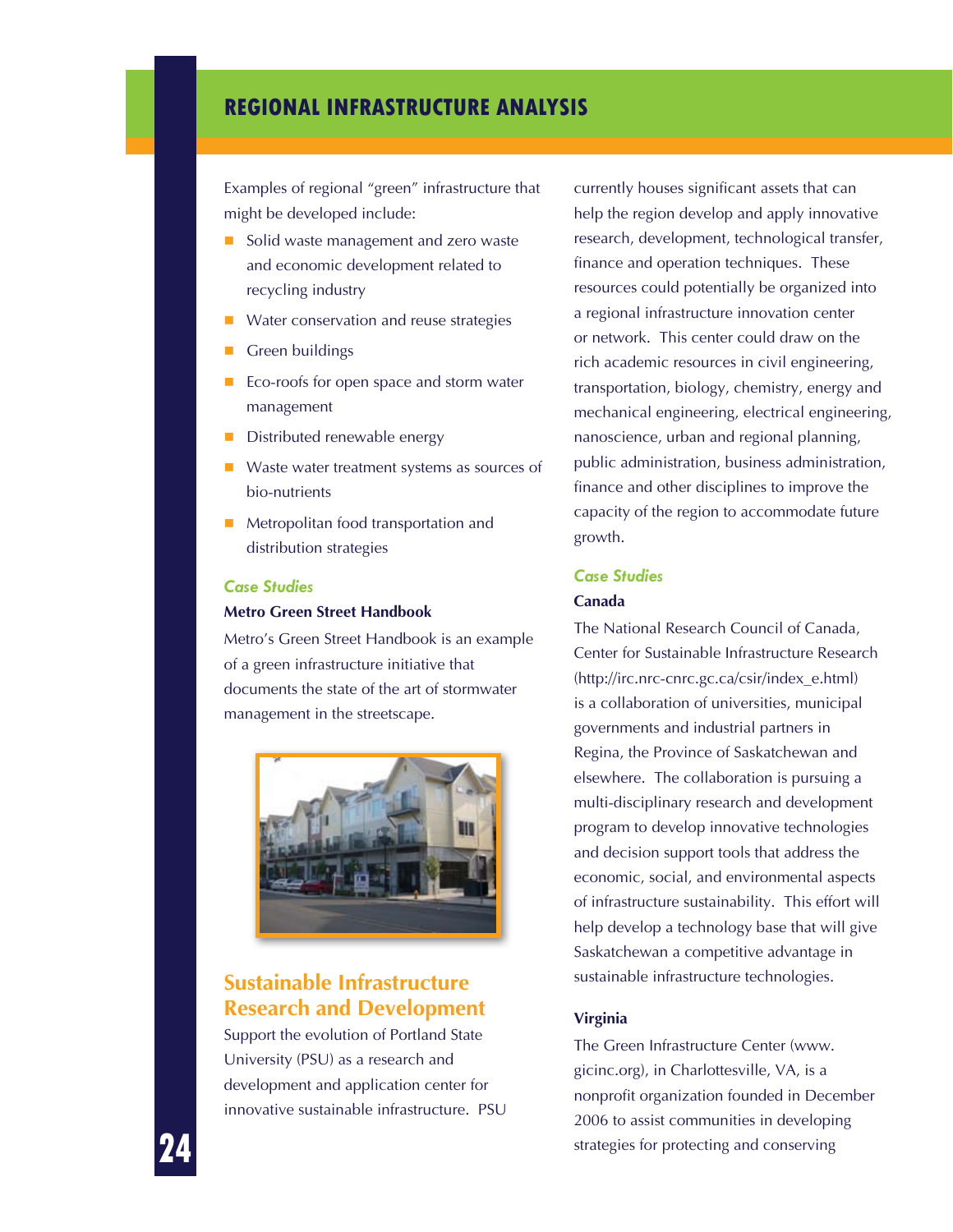Examples of regional "green" infrastructure that might be developed include:

- Solid waste management and zero waste and economic development related to recycling industry
- Water conservation and reuse strategies
- Green buildings
- Eco-roofs for open space and storm water management
- Distributed renewable energy
- Waste water treatment systems as sources of bio-nutrients
- Metropolitan food transportation and distribution strategies

#### *Case Studies*

#### **Metro Green Street Handbook**

Metro's Green Street Handbook is an example of a green infrastructure initiative that documents the state of the art of stormwater management in the streetscape.



### **Sustainable Infrastructure Research and Development**

Support the evolution of Portland State University (PSU) as a research and development and application center for innovative sustainable infrastructure. PSU

currently houses significant assets that can help the region develop and apply innovative research, development, technological transfer, finance and operation techniques. These resources could potentially be organized into a regional infrastructure innovation center or network. This center could draw on the rich academic resources in civil engineering, transportation, biology, chemistry, energy and mechanical engineering, electrical engineering, nanoscience, urban and regional planning, public administration, business administration, finance and other disciplines to improve the capacity of the region to accommodate future growth.

#### *Case Studies* **Canada**

The National Research Council of Canada, Center for Sustainable Infrastructure Research (http://irc.nrc-cnrc.gc.ca/csir/index\_e.html) is a collaboration of universities, municipal governments and industrial partners in Regina, the Province of Saskatchewan and elsewhere. The collaboration is pursuing a multi-disciplinary research and development program to develop innovative technologies and decision support tools that address the economic, social, and environmental aspects of infrastructure sustainability. This effort will help develop a technology base that will give Saskatchewan a competitive advantage in sustainable infrastructure technologies.

#### **Virginia**

The Green Infrastructure Center (www. gicinc.org), in Charlottesville, VA, is a nonprofit organization founded in December 2006 to assist communities in developing strategies for protecting and conserving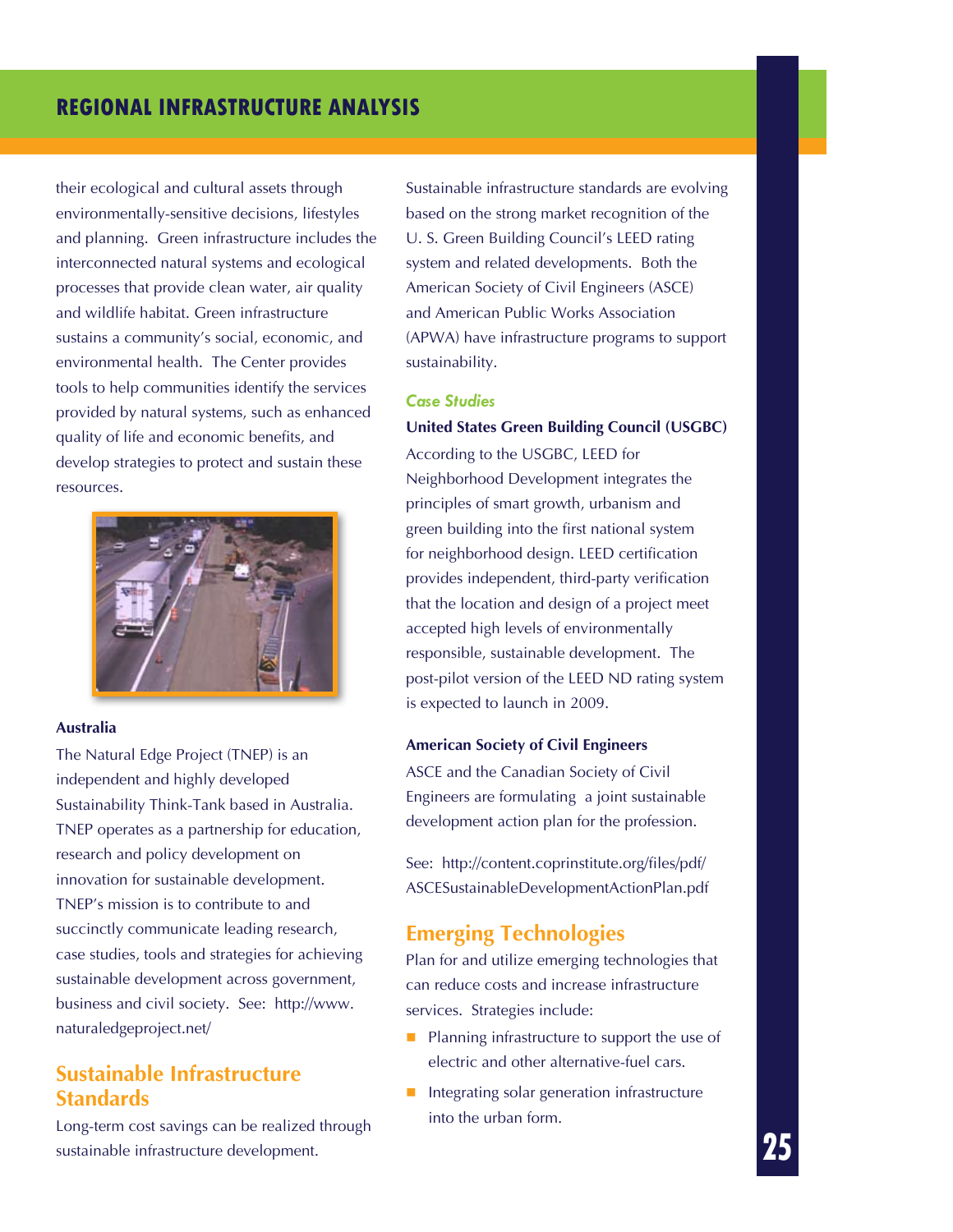their ecological and cultural assets through environmentally-sensitive decisions, lifestyles and planning. Green infrastructure includes the interconnected natural systems and ecological processes that provide clean water, air quality and wildlife habitat. Green infrastructure sustains a community's social, economic, and environmental health. The Center provides tools to help communities identify the services provided by natural systems, such as enhanced quality of life and economic benefits, and develop strategies to protect and sustain these resources.



#### **Australia**

The Natural Edge Project (TNEP) is an independent and highly developed Sustainability Think-Tank based in Australia. TNEP operates as a partnership for education, research and policy development on innovation for sustainable development. TNEP's mission is to contribute to and succinctly communicate leading research, case studies, tools and strategies for achieving sustainable development across government, business and civil society. See: http://www. naturaledgeproject.net/

### **Sustainable Infrastructure Standards**

Long-term cost savings can be realized through sustainable infrastructure development.

Sustainable infrastructure standards are evolving based on the strong market recognition of the U. S. Green Building Council's LEED rating system and related developments. Both the American Society of Civil Engineers (ASCE) and American Public Works Association (APWA) have infrastructure programs to support sustainability.

#### *Case Studies*

#### **United States Green Building Council (USGBC)**

According to the USGBC, LEED for Neighborhood Development integrates the principles of smart growth, urbanism and green building into the first national system for neighborhood design. LEED certification provides independent, third-party verification that the location and design of a project meet accepted high levels of environmentally responsible, sustainable development. The post-pilot version of the LEED ND rating system is expected to launch in 2009.

#### **American Society of Civil Engineers**

ASCE and the Canadian Society of Civil Engineers are formulating a joint sustainable development action plan for the profession.

See: http://content.coprinstitute.org/files/pdf/ ASCESustainableDevelopmentActionPlan.pdf

### **Emerging Technologies**

Plan for and utilize emerging technologies that can reduce costs and increase infrastructure services. Strategies include:

- $\blacksquare$  Planning infrastructure to support the use of electric and other alternative-fuel cars.
- $\blacksquare$  Integrating solar generation infrastructure into the urban form.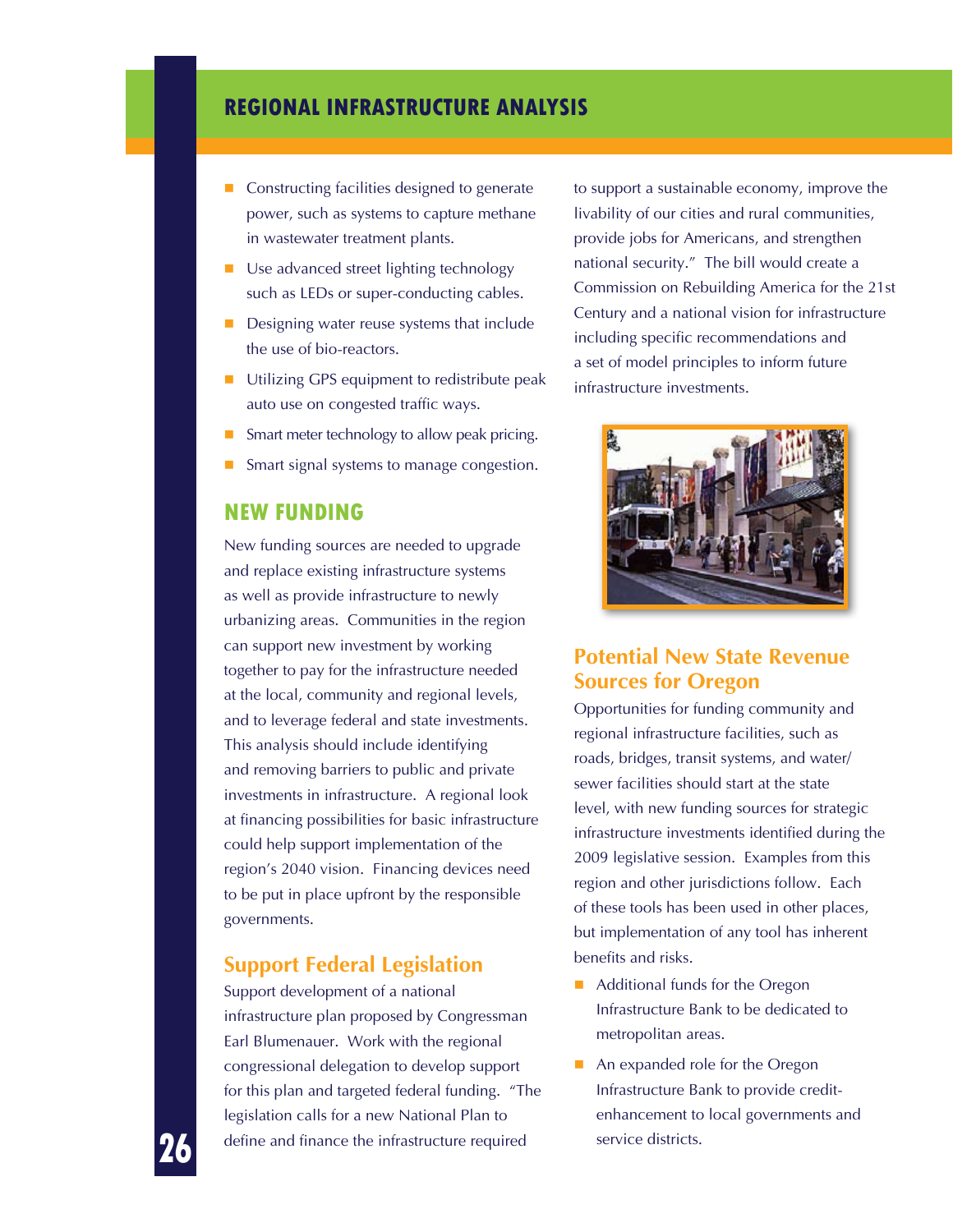- Constructing facilities designed to generate power, such as systems to capture methane in wastewater treatment plants.
- Use advanced street lighting technology such as LEDs or super-conducting cables.
- Designing water reuse systems that include the use of bio-reactors.
- Utilizing GPS equipment to redistribute peak auto use on congested traffic ways.
- Smart meter technology to allow peak pricing.
- Smart signal systems to manage congestion.

### **New Funding**

New funding sources are needed to upgrade and replace existing infrastructure systems as well as provide infrastructure to newly urbanizing areas. Communities in the region can support new investment by working together to pay for the infrastructure needed at the local, community and regional levels, and to leverage federal and state investments. This analysis should include identifying and removing barriers to public and private investments in infrastructure. A regional look at financing possibilities for basic infrastructure could help support implementation of the region's 2040 vision. Financing devices need to be put in place upfront by the responsible governments.

### **Support Federal Legislation**

Support development of a national infrastructure plan proposed by Congressman Earl Blumenauer. Work with the regional congressional delegation to develop support for this plan and targeted federal funding. "The legislation calls for a new National Plan to define and finance the infrastructure required

to support a sustainable economy, improve the livability of our cities and rural communities, provide jobs for Americans, and strengthen national security." The bill would create a Commission on Rebuilding America for the 21st Century and a national vision for infrastructure including specific recommendations and a set of model principles to inform future infrastructure investments.



### **Potential New State Revenue Sources for Oregon**

Opportunities for funding community and regional infrastructure facilities, such as roads, bridges, transit systems, and water/ sewer facilities should start at the state level, with new funding sources for strategic infrastructure investments identified during the 2009 legislative session. Examples from this region and other jurisdictions follow. Each of these tools has been used in other places, but implementation of any tool has inherent benefits and risks.

- Additional funds for the Oregon Infrastructure Bank to be dedicated to metropolitan areas.
- An expanded role for the Oregon Infrastructure Bank to provide creditenhancement to local governments and service districts.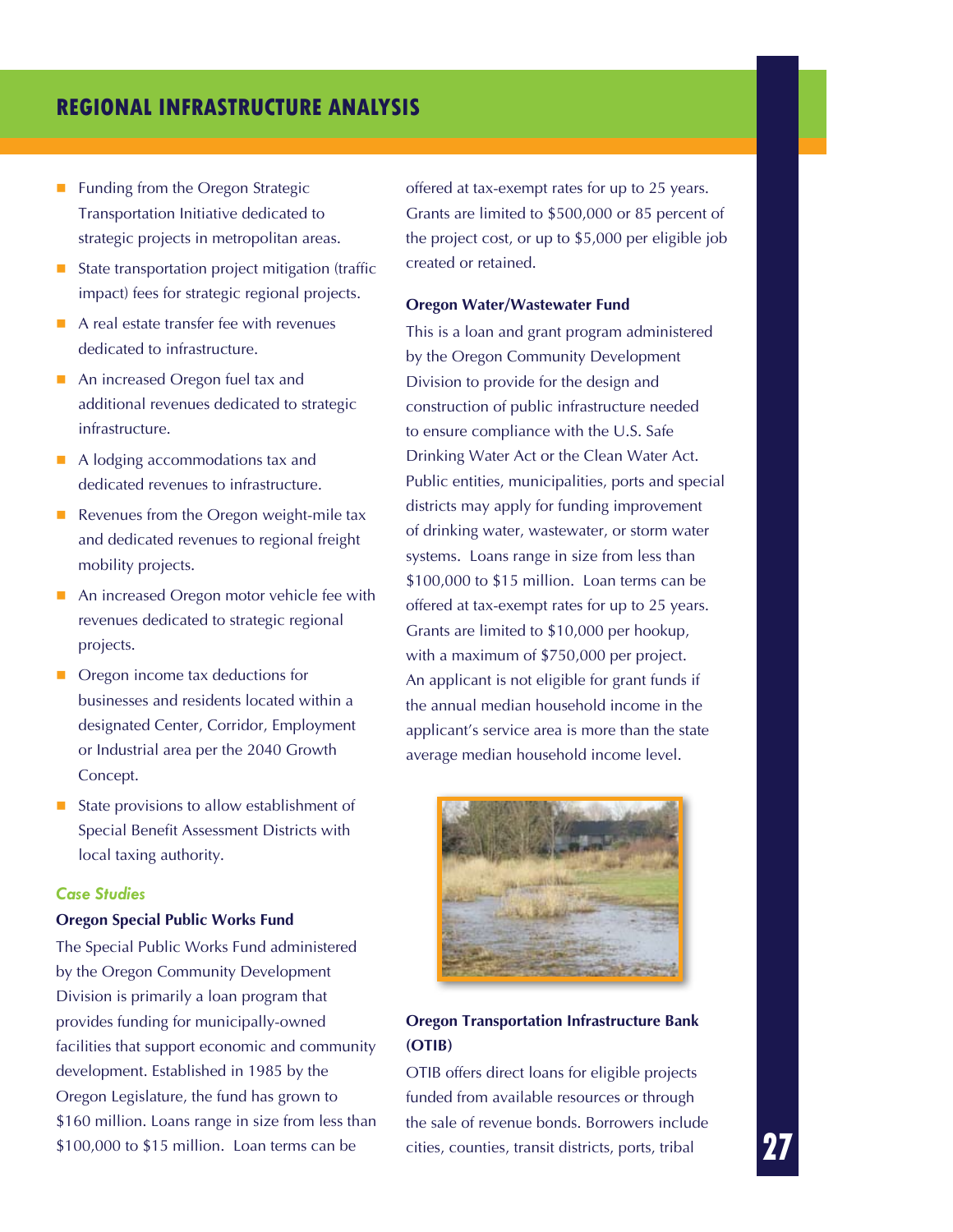- **Funding from the Oregon Strategic** Transportation Initiative dedicated to strategic projects in metropolitan areas.
- $\blacksquare$  State transportation project mitigation (traffic impact) fees for strategic regional projects.
- A real estate transfer fee with revenues dedicated to infrastructure.
- An increased Oregon fuel tax and additional revenues dedicated to strategic infrastructure.
- A lodging accommodations tax and dedicated revenues to infrastructure.
- Revenues from the Oregon weight-mile tax and dedicated revenues to regional freight mobility projects.
- An increased Oregon motor vehicle fee with revenues dedicated to strategic regional projects.
- Oregon income tax deductions for businesses and residents located within a designated Center, Corridor, Employment or Industrial area per the 2040 Growth Concept.
- State provisions to allow establishment of Special Benefit Assessment Districts with local taxing authority.

#### *Case Studies*

#### **Oregon Special Public Works Fund**

The Special Public Works Fund administered by the Oregon Community Development Division is primarily a loan program that provides funding for municipally-owned facilities that support economic and community development. Established in 1985 by the Oregon Legislature, the fund has grown to \$160 million. Loans range in size from less than \$100,000 to \$15 million. Loan terms can be

offered at tax-exempt rates for up to 25 years. Grants are limited to \$500,000 or 85 percent of the project cost, or up to \$5,000 per eligible job created or retained.

#### **Oregon Water/Wastewater Fund**

This is a loan and grant program administered by the Oregon Community Development Division to provide for the design and construction of public infrastructure needed to ensure compliance with the U.S. Safe Drinking Water Act or the Clean Water Act. Public entities, municipalities, ports and special districts may apply for funding improvement of drinking water, wastewater, or storm water systems. Loans range in size from less than \$100,000 to \$15 million. Loan terms can be offered at tax-exempt rates for up to 25 years. Grants are limited to \$10,000 per hookup, with a maximum of \$750,000 per project. An applicant is not eligible for grant funds if the annual median household income in the applicant's service area is more than the state average median household income level.



#### **Oregon Transportation Infrastructure Bank (OTIB)**

OTIB offers direct loans for eligible projects funded from available resources or through the sale of revenue bonds. Borrowers include cities, counties, transit districts, ports, tribal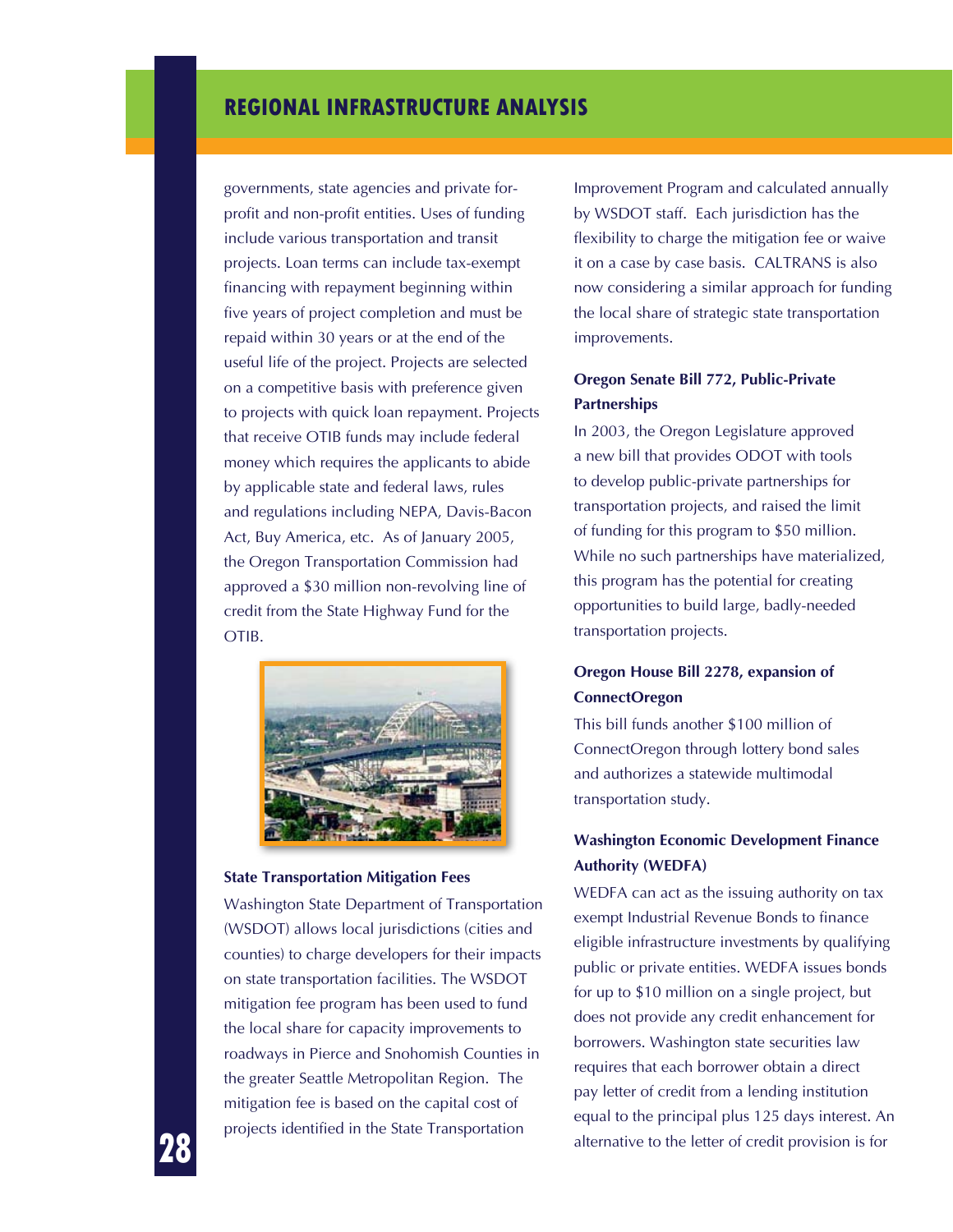governments, state agencies and private forprofit and non-profit entities. Uses of funding include various transportation and transit projects. Loan terms can include tax-exempt financing with repayment beginning within five years of project completion and must be repaid within 30 years or at the end of the useful life of the project. Projects are selected on a competitive basis with preference given to projects with quick loan repayment. Projects that receive OTIB funds may include federal money which requires the applicants to abide by applicable state and federal laws, rules and regulations including NEPA, Davis-Bacon Act, Buy America, etc. As of January 2005, the Oregon Transportation Commission had approved a \$30 million non-revolving line of credit from the State Highway Fund for the OTIB.



#### **State Transportation Mitigation Fees**

Washington State Department of Transportation (WSDOT) allows local jurisdictions (cities and counties) to charge developers for their impacts on state transportation facilities. The WSDOT mitigation fee program has been used to fund the local share for capacity improvements to roadways in Pierce and Snohomish Counties in the greater Seattle Metropolitan Region. The mitigation fee is based on the capital cost of projects identified in the State Transportation

Improvement Program and calculated annually by WSDOT staff. Each jurisdiction has the flexibility to charge the mitigation fee or waive it on a case by case basis. CALTRANS is also now considering a similar approach for funding the local share of strategic state transportation improvements.

#### **Oregon Senate Bill 772, Public-Private Partnerships**

In 2003, the Oregon Legislature approved a new bill that provides ODOT with tools to develop public-private partnerships for transportation projects, and raised the limit of funding for this program to \$50 million. While no such partnerships have materialized, this program has the potential for creating opportunities to build large, badly-needed transportation projects.

#### **Oregon House Bill 2278, expansion of ConnectOregon**

This bill funds another \$100 million of ConnectOregon through lottery bond sales and authorizes a statewide multimodal transportation study.

#### **Washington Economic Development Finance Authority (WEDFA)**

WEDFA can act as the issuing authority on tax exempt Industrial Revenue Bonds to finance eligible infrastructure investments by qualifying public or private entities. WEDFA issues bonds for up to \$10 million on a single project, but does not provide any credit enhancement for borrowers. Washington state securities law requires that each borrower obtain a direct pay letter of credit from a lending institution equal to the principal plus 125 days interest. An alternative to the letter of credit provision is for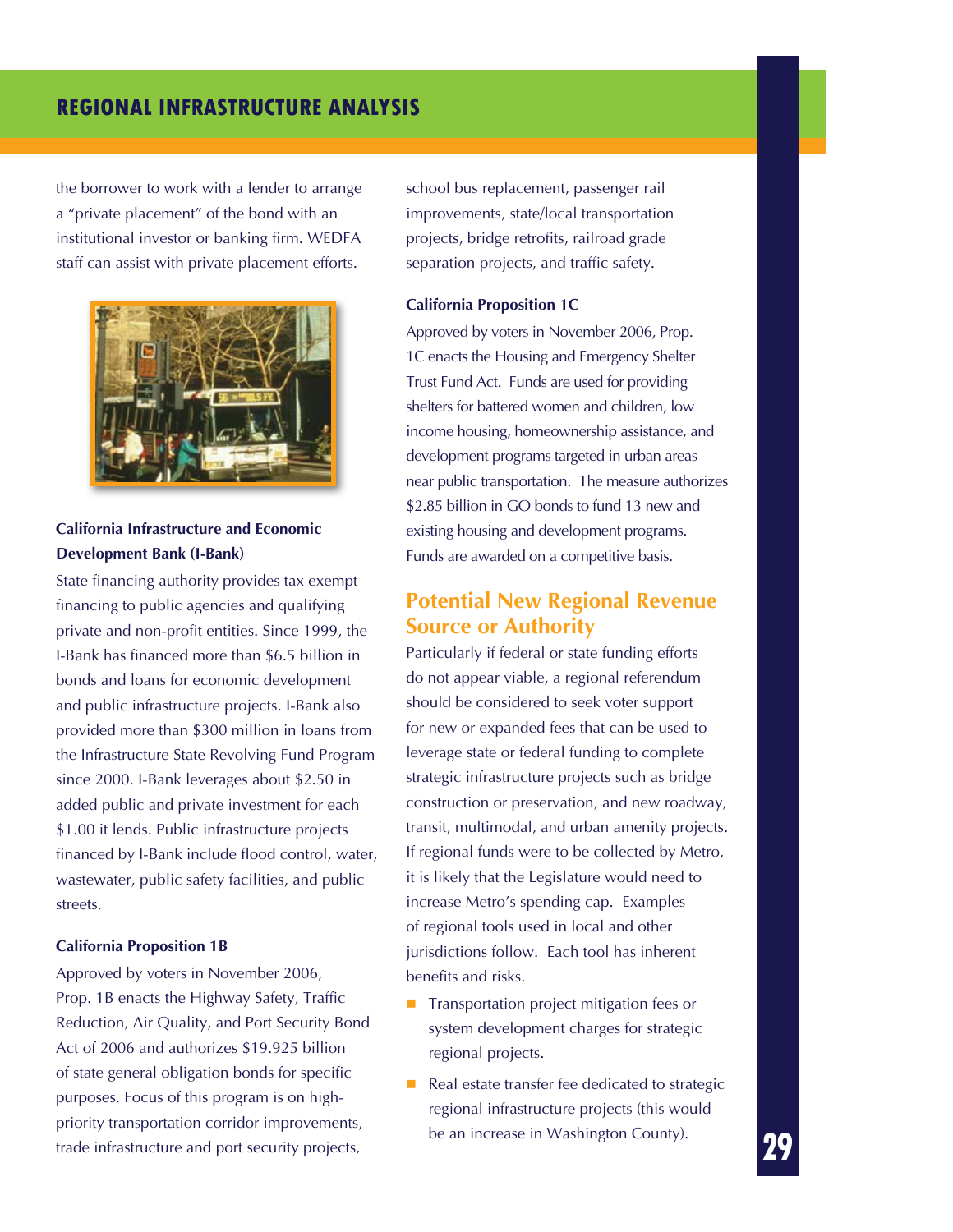the borrower to work with a lender to arrange a "private placement" of the bond with an institutional investor or banking firm. WEDFA staff can assist with private placement efforts.



**California Infrastructure and Economic Development Bank (I-Bank)**

State financing authority provides tax exempt financing to public agencies and qualifying private and non-profit entities. Since 1999, the I-Bank has financed more than \$6.5 billion in bonds and loans for economic development and public infrastructure projects. I-Bank also provided more than \$300 million in loans from the Infrastructure State Revolving Fund Program since 2000. I-Bank leverages about \$2.50 in added public and private investment for each \$1.00 it lends. Public infrastructure projects financed by I-Bank include flood control, water, wastewater, public safety facilities, and public streets.

#### **California Proposition 1B**

Approved by voters in November 2006, Prop. 1B enacts the Highway Safety, Traffic Reduction, Air Quality, and Port Security Bond Act of 2006 and authorizes \$19.925 billion of state general obligation bonds for specific purposes. Focus of this program is on highpriority transportation corridor improvements, trade infrastructure and port security projects,

school bus replacement, passenger rail improvements, state/local transportation projects, bridge retrofits, railroad grade separation projects, and traffic safety.

#### **California Proposition 1C**

Approved by voters in November 2006, Prop. 1C enacts the Housing and Emergency Shelter Trust Fund Act. Funds are used for providing shelters for battered women and children, low income housing, homeownership assistance, and development programs targeted in urban areas near public transportation. The measure authorizes \$2.85 billion in GO bonds to fund 13 new and existing housing and development programs. Funds are awarded on a competitive basis.

### **Potential New Regional Revenue Source or Authority**

Particularly if federal or state funding efforts do not appear viable, a regional referendum should be considered to seek voter support for new or expanded fees that can be used to leverage state or federal funding to complete strategic infrastructure projects such as bridge construction or preservation, and new roadway, transit, multimodal, and urban amenity projects. If regional funds were to be collected by Metro, it is likely that the Legislature would need to increase Metro's spending cap. Examples of regional tools used in local and other jurisdictions follow. Each tool has inherent benefits and risks.

- **Transportation project mitigation fees or** system development charges for strategic regional projects.
- Real estate transfer fee dedicated to strategic regional infrastructure projects (this would be an increase in Washington County).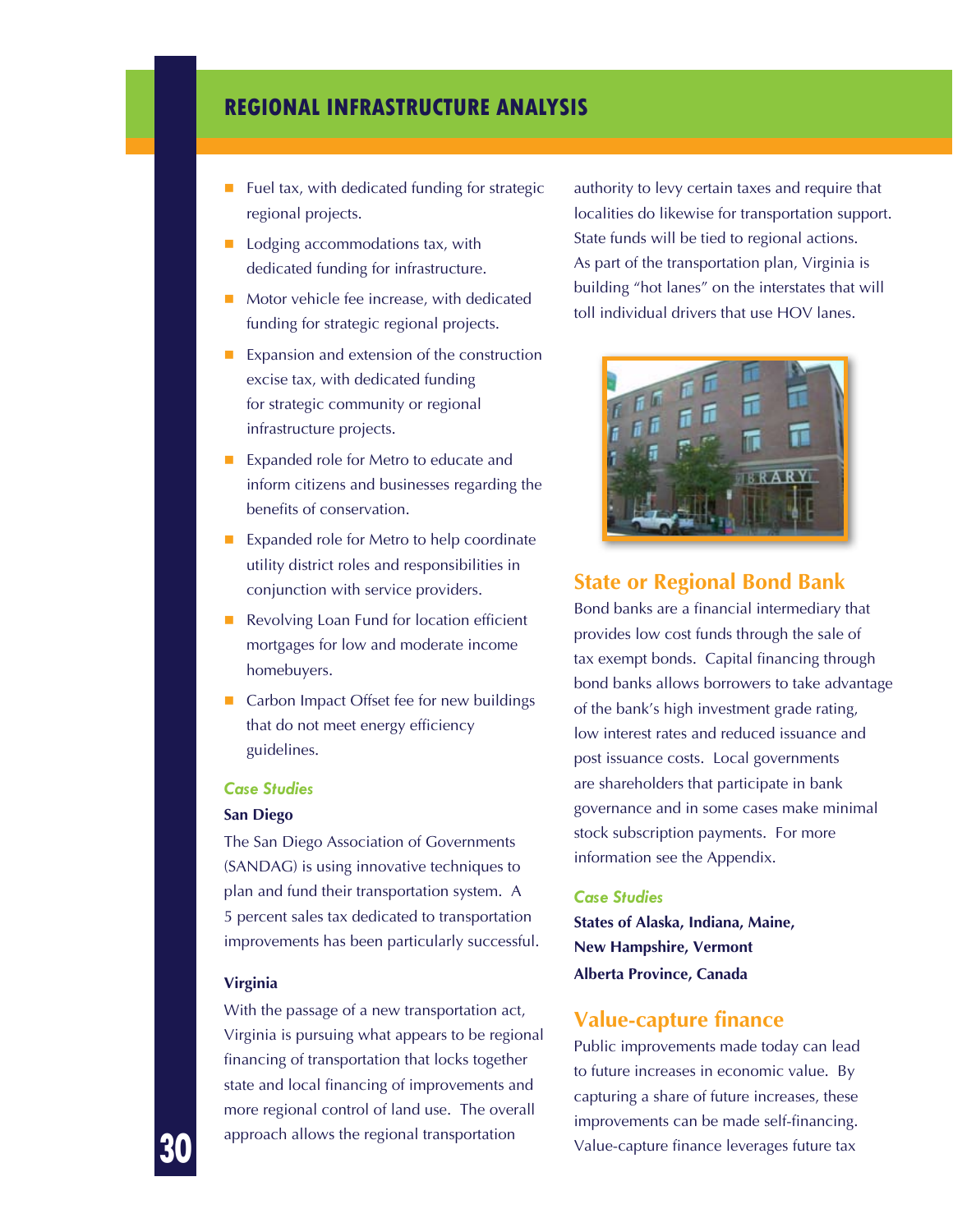- $\blacksquare$  Fuel tax, with dedicated funding for strategic regional projects.
- $\Box$  Lodging accommodations tax, with dedicated funding for infrastructure.
- Motor vehicle fee increase, with dedicated funding for strategic regional projects.
- Expansion and extension of the construction excise tax, with dedicated funding for strategic community or regional infrastructure projects.
- Expanded role for Metro to educate and inform citizens and businesses regarding the benefits of conservation.
- Expanded role for Metro to help coordinate utility district roles and responsibilities in conjunction with service providers.
- Revolving Loan Fund for location efficient mortgages for low and moderate income homebuyers.
- Carbon Impact Offset fee for new buildings that do not meet energy efficiency guidelines.

#### *Case Studies*

#### **San Diego**

The San Diego Association of Governments (SANDAG) is using innovative techniques to plan and fund their transportation system. A 5 percent sales tax dedicated to transportation improvements has been particularly successful.

#### **Virginia**

With the passage of a new transportation act, Virginia is pursuing what appears to be regional financing of transportation that locks together state and local financing of improvements and more regional control of land use. The overall approach allows the regional transportation

authority to levy certain taxes and require that localities do likewise for transportation support. State funds will be tied to regional actions. As part of the transportation plan, Virginia is building "hot lanes" on the interstates that will toll individual drivers that use HOV lanes.



#### **State or Regional Bond Bank**

Bond banks are a financial intermediary that provides low cost funds through the sale of tax exempt bonds. Capital financing through bond banks allows borrowers to take advantage of the bank's high investment grade rating, low interest rates and reduced issuance and post issuance costs. Local governments are shareholders that participate in bank governance and in some cases make minimal stock subscription payments. For more information see the Appendix.

#### *Case Studies*

**States of Alaska, Indiana, Maine, New Hampshire, Vermont Alberta Province, Canada**

#### **Value-capture finance**

Public improvements made today can lead to future increases in economic value. By capturing a share of future increases, these improvements can be made self-financing. Value-capture finance leverages future tax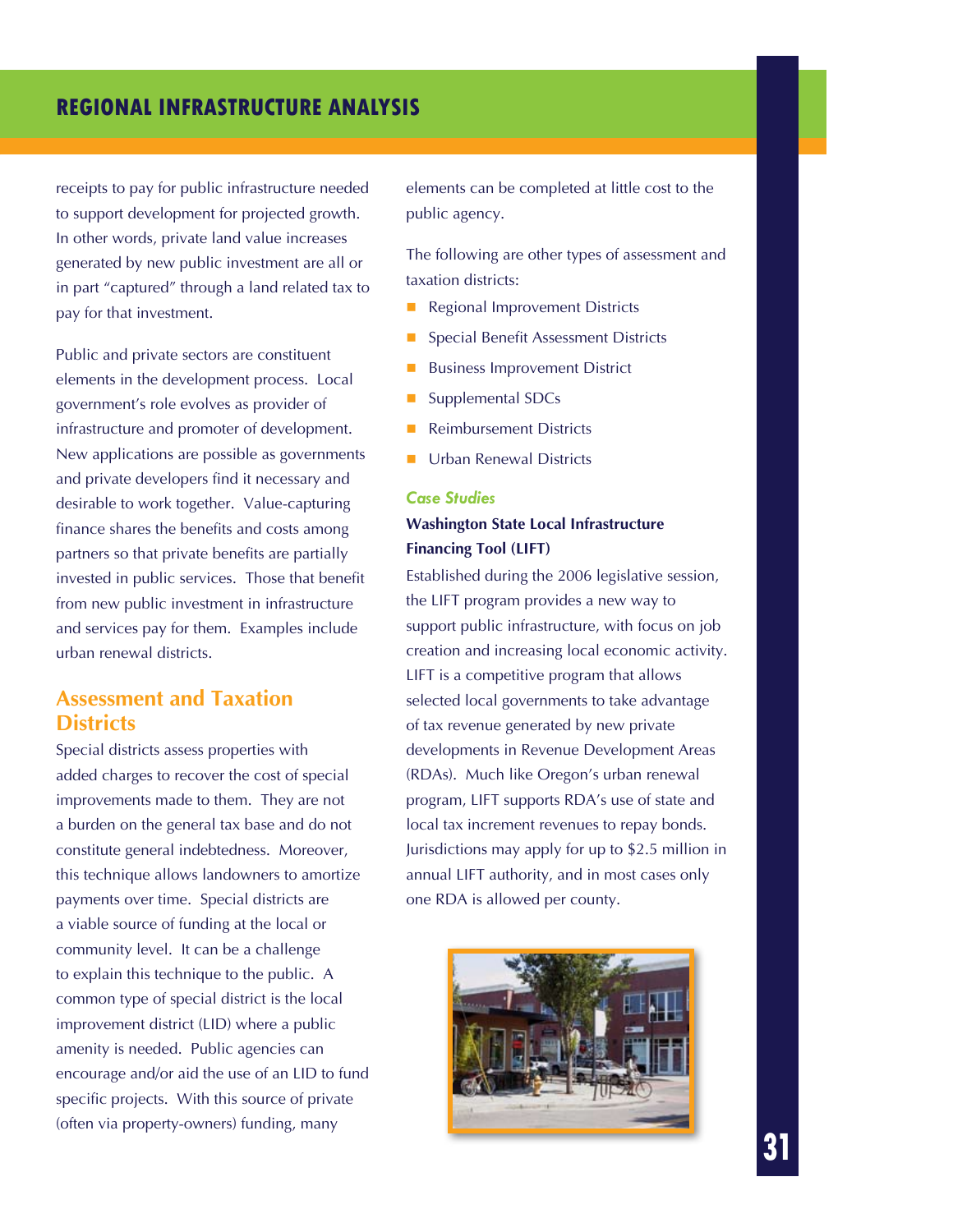receipts to pay for public infrastructure needed to support development for projected growth. In other words, private land value increases generated by new public investment are all or in part "captured" through a land related tax to pay for that investment.

Public and private sectors are constituent elements in the development process. Local government's role evolves as provider of infrastructure and promoter of development. New applications are possible as governments and private developers find it necessary and desirable to work together. Value-capturing finance shares the benefits and costs among partners so that private benefits are partially invested in public services. Those that benefit from new public investment in infrastructure and services pay for them. Examples include urban renewal districts.

### **Assessment and Taxation Districts**

Special districts assess properties with added charges to recover the cost of special improvements made to them. They are not a burden on the general tax base and do not constitute general indebtedness. Moreover, this technique allows landowners to amortize payments over time. Special districts are a viable source of funding at the local or community level. It can be a challenge to explain this technique to the public. A common type of special district is the local improvement district (LID) where a public amenity is needed. Public agencies can encourage and/or aid the use of an LID to fund specific projects. With this source of private (often via property-owners) funding, many

elements can be completed at little cost to the public agency.

The following are other types of assessment and taxation districts:

- **Regional Improvement Districts**
- Special Benefit Assessment Districts
- Business Improvement District
- Supplemental SDCs
- Reimbursement Districts
- Urban Renewal Districts

#### *Case Studies*

#### **Washington State Local Infrastructure Financing Tool (LIFT)**

Established during the 2006 legislative session, the LIFT program provides a new way to support public infrastructure, with focus on job creation and increasing local economic activity. LIFT is a competitive program that allows selected local governments to take advantage of tax revenue generated by new private developments in Revenue Development Areas (RDAs). Much like Oregon's urban renewal program, LIFT supports RDA's use of state and local tax increment revenues to repay bonds. Jurisdictions may apply for up to \$2.5 million in annual LIFT authority, and in most cases only one RDA is allowed per county.

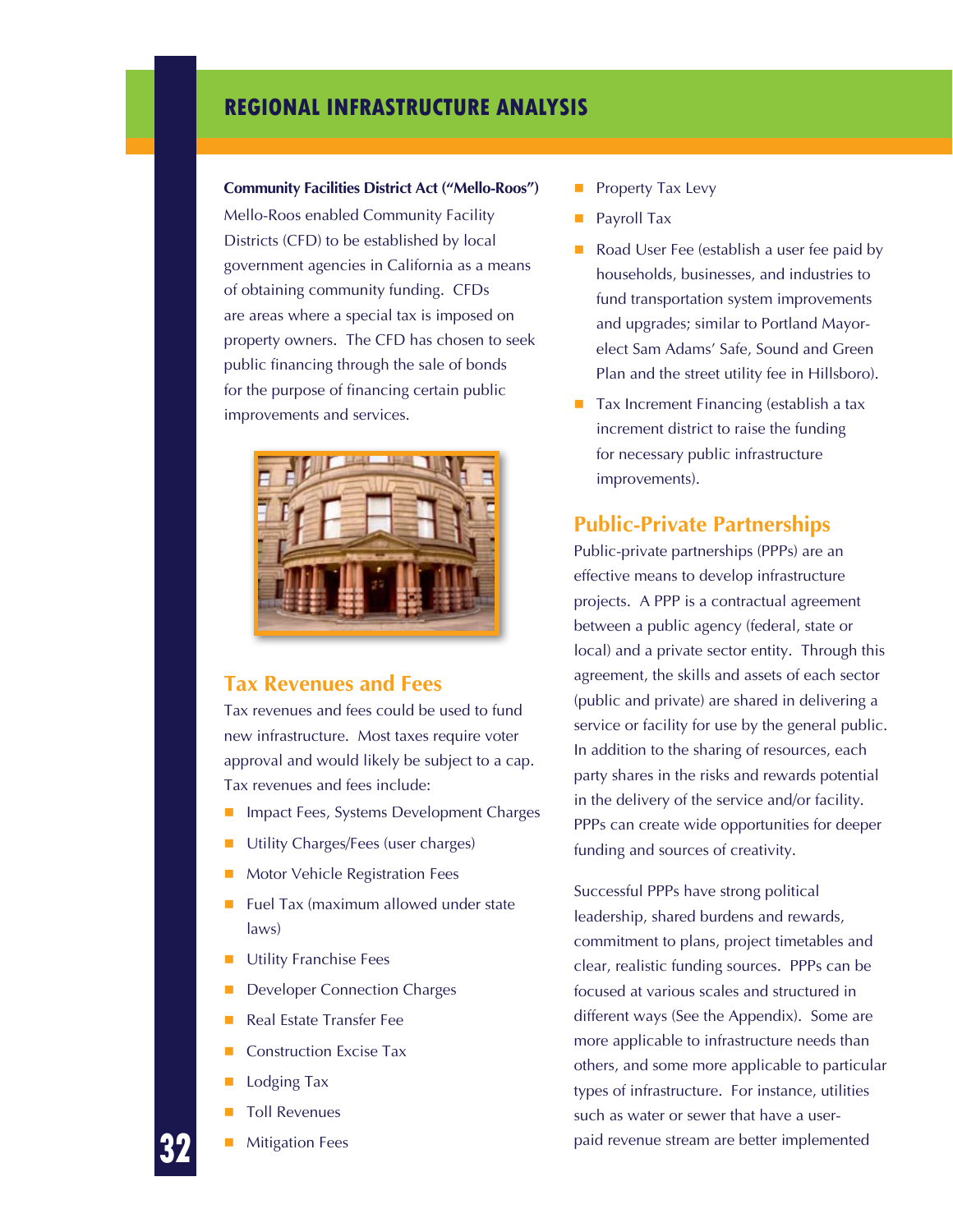#### **Community Facilities District Act ("Mello-Roos")**

Mello-Roos enabled Community Facility Districts (CFD) to be established by local government agencies in California as a means of obtaining community funding. CFDs are areas where a special tax is imposed on property owners. The CFD has chosen to seek public financing through the sale of bonds for the purpose of financing certain public improvements and services.



#### **Tax Revenues and Fees**

Tax revenues and fees could be used to fund new infrastructure. Most taxes require voter approval and would likely be subject to a cap. Tax revenues and fees include:

- Impact Fees, Systems Development Charges
- **Utility Charges/Fees (user charges)**
- Motor Vehicle Registration Fees
- Fuel Tax (maximum allowed under state laws)
- Utility Franchise Fees
- Developer Connection Charges
- Real Estate Transfer Fee
- Construction Excise Tax
- Lodging Tax
- Toll Revenues
- Mitigation Fees
- Property Tax Levy
- Payroll Tax
- Road User Fee (establish a user fee paid by households, businesses, and industries to fund transportation system improvements and upgrades; similar to Portland Mayorelect Sam Adams' Safe, Sound and Green Plan and the street utility fee in Hillsboro).
- $\blacksquare$  Tax Increment Financing (establish a tax increment district to raise the funding for necessary public infrastructure improvements).

#### **Public-Private Partnerships**

Public-private partnerships (PPPs) are an effective means to develop infrastructure projects. A PPP is a contractual agreement between a public agency (federal, state or local) and a private sector entity. Through this agreement, the skills and assets of each sector (public and private) are shared in delivering a service or facility for use by the general public. In addition to the sharing of resources, each party shares in the risks and rewards potential in the delivery of the service and/or facility. PPPs can create wide opportunities for deeper funding and sources of creativity.

Successful PPPs have strong political leadership, shared burdens and rewards, commitment to plans, project timetables and clear, realistic funding sources. PPPs can be focused at various scales and structured in different ways (See the Appendix). Some are more applicable to infrastructure needs than others, and some more applicable to particular types of infrastructure. For instance, utilities such as water or sewer that have a userpaid revenue stream are better implemented

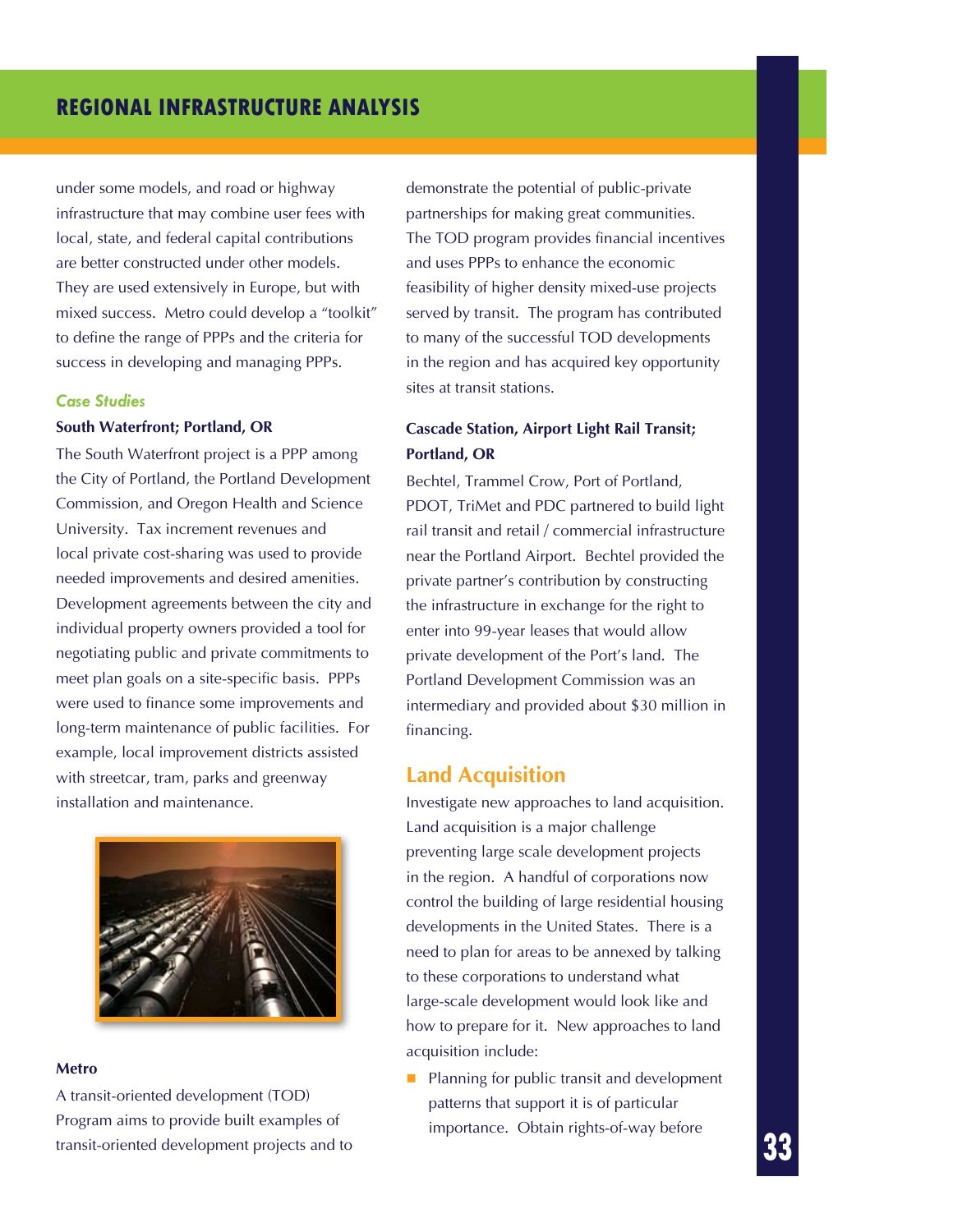under some models, and road or highway infrastructure that may combine user fees with local, state, and federal capital contributions are better constructed under other models. They are used extensively in Europe, but with mixed success. Metro could develop a "toolkit" to define the range of PPPs and the criteria for success in developing and managing PPPs.

#### *Case Studies*

#### **South Waterfront; Portland, OR**

The South Waterfront project is a PPP among the City of Portland, the Portland Development Commission, and Oregon Health and Science University. Tax increment revenues and local private cost-sharing was used to provide needed improvements and desired amenities. Development agreements between the city and individual property owners provided a tool for negotiating public and private commitments to meet plan goals on a site-specific basis. PPPs were used to finance some improvements and long-term maintenance of public facilities. For example, local improvement districts assisted with streetcar, tram, parks and greenway installation and maintenance.



#### **Metro**

A transit-oriented development (TOD) Program aims to provide built examples of transit-oriented development projects and to

demonstrate the potential of public-private partnerships for making great communities. The TOD program provides financial incentives and uses PPPs to enhance the economic feasibility of higher density mixed-use projects served by transit. The program has contributed to many of the successful TOD developments in the region and has acquired key opportunity sites at transit stations.

#### **Cascade Station, Airport Light Rail Transit; Portland, OR**

Bechtel, Trammel Crow, Port of Portland, PDOT, TriMet and PDC partnered to build light rail transit and retail / commercial infrastructure near the Portland Airport. Bechtel provided the private partner's contribution by constructing the infrastructure in exchange for the right to enter into 99-year leases that would allow private development of the Port's land. The Portland Development Commission was an intermediary and provided about \$30 million in financing.

#### **Land Acquisition**

Investigate new approaches to land acquisition. Land acquisition is a major challenge preventing large scale development projects in the region. A handful of corporations now control the building of large residential housing developments in the United States. There is a need to plan for areas to be annexed by talking to these corporations to understand what large-scale development would look like and how to prepare for it. New approaches to land acquisition include:

**Planning for public transit and development** patterns that support it is of particular importance. Obtain rights-of-way before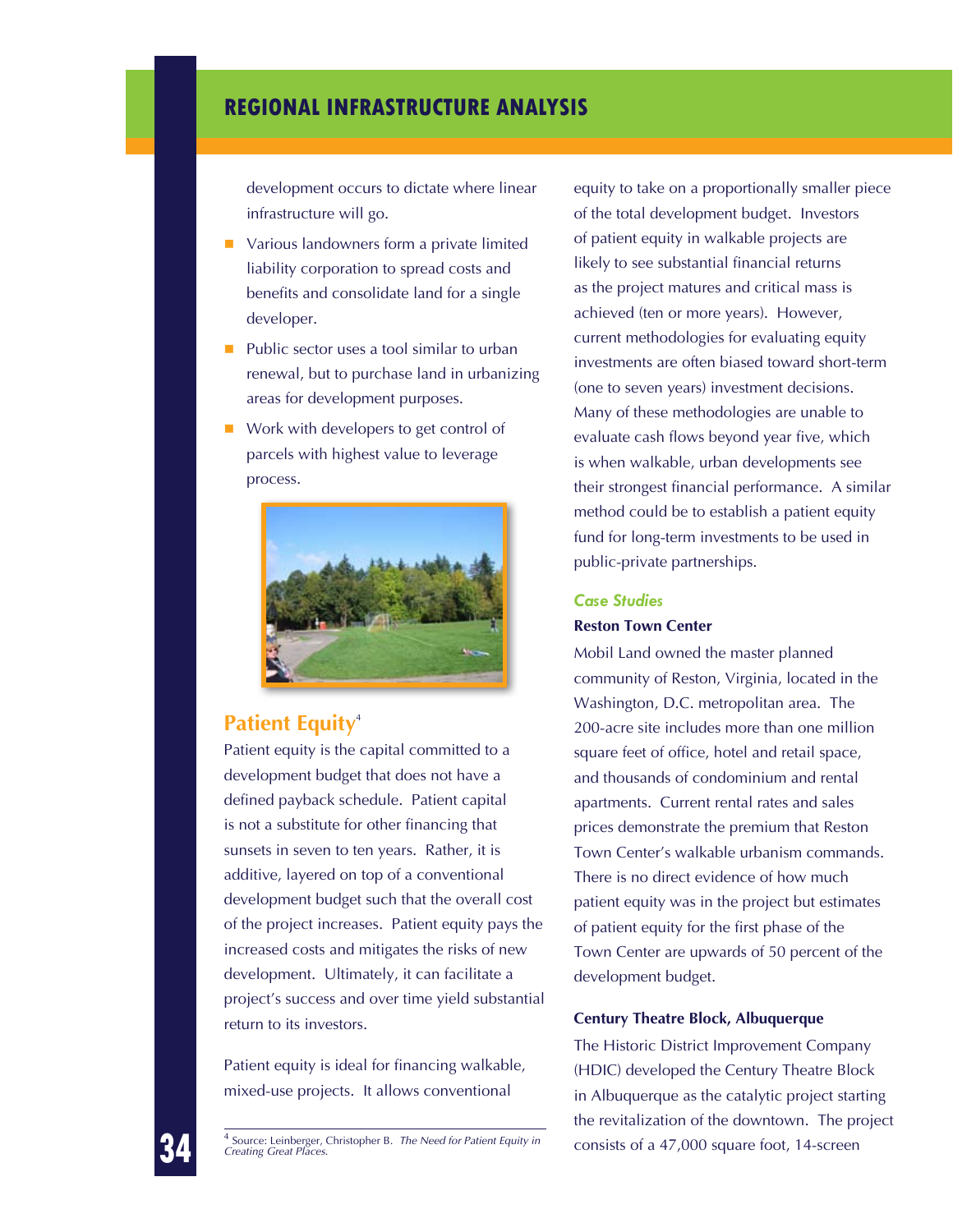development occurs to dictate where linear infrastructure will go.

- **U** Various landowners form a private limited liability corporation to spread costs and benefits and consolidate land for a single developer.
- Public sector uses a tool similar to urban renewal, but to purchase land in urbanizing areas for development purposes.
- Work with developers to get control of parcels with highest value to leverage process.



### **Patient Equity<sup>4</sup>**

Patient equity is the capital committed to a development budget that does not have a defined payback schedule. Patient capital is not a substitute for other financing that sunsets in seven to ten years. Rather, it is additive, layered on top of a conventional development budget such that the overall cost of the project increases. Patient equity pays the increased costs and mitigates the risks of new development. Ultimately, it can facilitate a project's success and over time yield substantial return to its investors.

Patient equity is ideal for financing walkable, mixed-use projects. It allows conventional

equity to take on a proportionally smaller piece of the total development budget. Investors of patient equity in walkable projects are likely to see substantial financial returns as the project matures and critical mass is achieved (ten or more years). However, current methodologies for evaluating equity investments are often biased toward short-term (one to seven years) investment decisions. Many of these methodologies are unable to evaluate cash flows beyond year five, which is when walkable, urban developments see their strongest financial performance. A similar method could be to establish a patient equity fund for long-term investments to be used in public-private partnerships.

#### *Case Studies*

#### **Reston Town Center**

Mobil Land owned the master planned community of Reston, Virginia, located in the Washington, D.C. metropolitan area. The 200-acre site includes more than one million square feet of office, hotel and retail space, and thousands of condominium and rental apartments. Current rental rates and sales prices demonstrate the premium that Reston Town Center's walkable urbanism commands. There is no direct evidence of how much patient equity was in the project but estimates of patient equity for the first phase of the Town Center are upwards of 50 percent of the development budget.

#### **Century Theatre Block, Albuquerque**

The Historic District Improvement Company (HDIC) developed the Century Theatre Block in Albuquerque as the catalytic project starting the revitalization of the downtown. The project

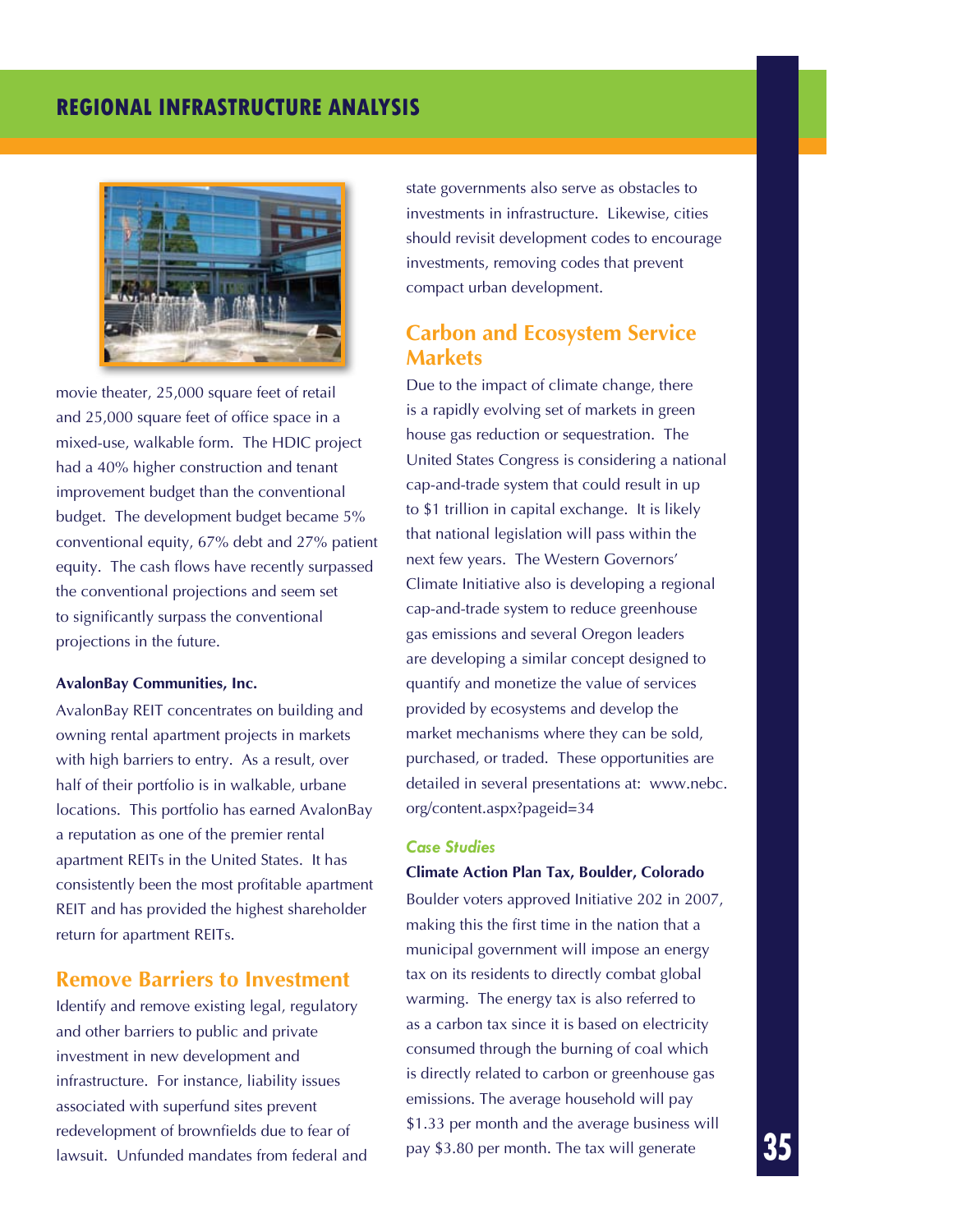

movie theater, 25,000 square feet of retail and 25,000 square feet of office space in a mixed-use, walkable form. The HDIC project had a 40% higher construction and tenant improvement budget than the conventional budget. The development budget became 5% conventional equity, 67% debt and 27% patient equity. The cash flows have recently surpassed the conventional projections and seem set to significantly surpass the conventional projections in the future.

#### **AvalonBay Communities, Inc.**

AvalonBay REIT concentrates on building and owning rental apartment projects in markets with high barriers to entry. As a result, over half of their portfolio is in walkable, urbane locations. This portfolio has earned AvalonBay a reputation as one of the premier rental apartment REITs in the United States. It has consistently been the most profitable apartment REIT and has provided the highest shareholder return for apartment REITs.

#### **Remove Barriers to Investment**

Identify and remove existing legal, regulatory and other barriers to public and private investment in new development and infrastructure. For instance, liability issues associated with superfund sites prevent redevelopment of brownfields due to fear of lawsuit. Unfunded mandates from federal and state governments also serve as obstacles to investments in infrastructure. Likewise, cities should revisit development codes to encourage investments, removing codes that prevent compact urban development.

### **Carbon and Ecosystem Service Markets**

Due to the impact of climate change, there is a rapidly evolving set of markets in green house gas reduction or sequestration. The United States Congress is considering a national cap-and-trade system that could result in up to \$1 trillion in capital exchange. It is likely that national legislation will pass within the next few years. The Western Governors' Climate Initiative also is developing a regional cap-and-trade system to reduce greenhouse gas emissions and several Oregon leaders are developing a similar concept designed to quantify and monetize the value of services provided by ecosystems and develop the market mechanisms where they can be sold, purchased, or traded. These opportunities are detailed in several presentations at: www.nebc. org/content.aspx?pageid=34

#### *Case Studies*

#### **Climate Action Plan Tax, Boulder, Colorado**

Boulder voters approved Initiative 202 in 2007, making this the first time in the nation that a municipal government will impose an energy tax on its residents to directly combat global warming. The energy tax is also referred to as a carbon tax since it is based on electricity consumed through the burning of coal which is directly related to carbon or greenhouse gas emissions. The average household will pay \$1.33 per month and the average business will pay \$3.80 per month. The tax will generate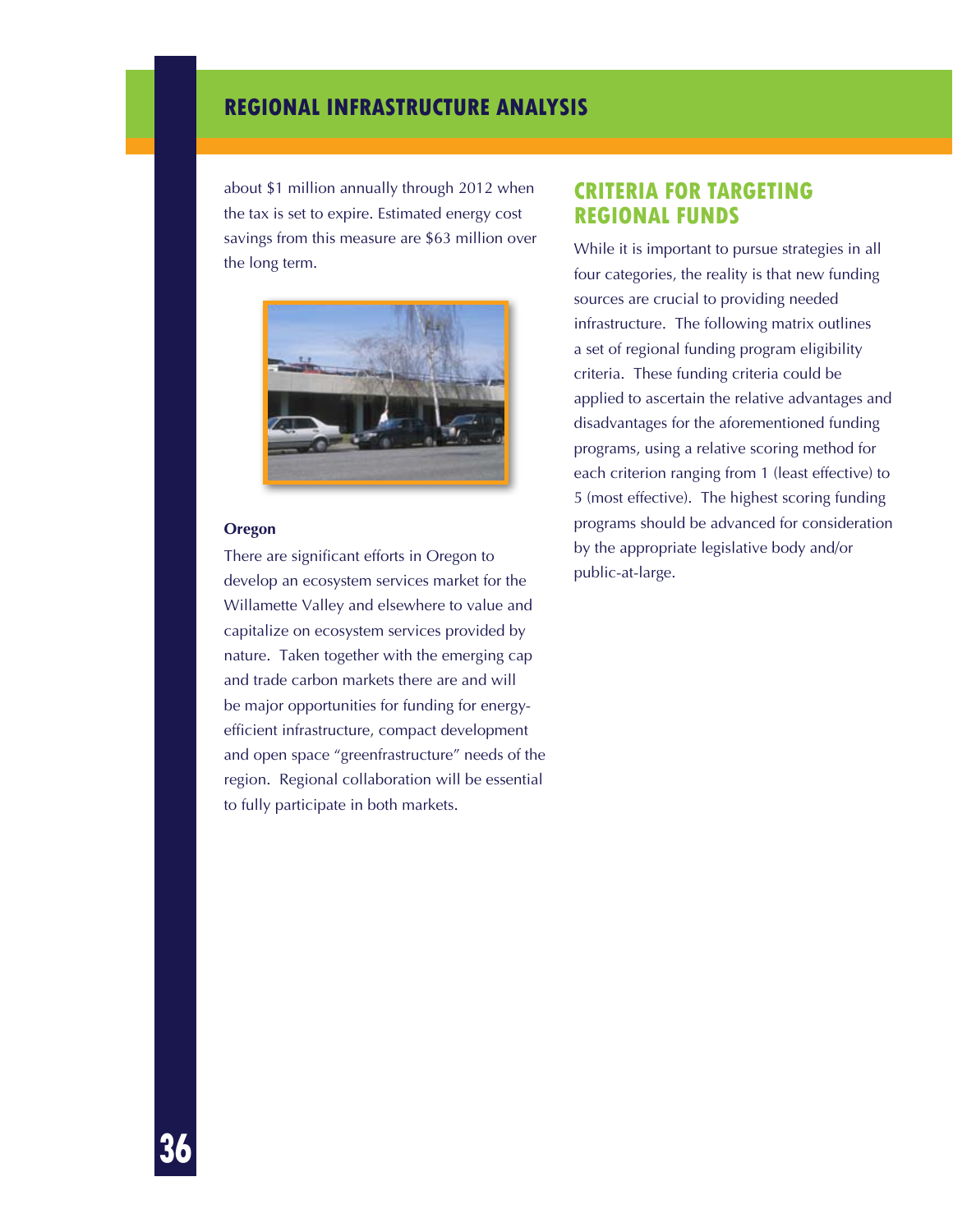about \$1 million annually through 2012 when the tax is set to expire. Estimated energy cost savings from this measure are \$63 million over the long term.



#### **Oregon**

There are significant efforts in Oregon to develop an ecosystem services market for the Willamette Valley and elsewhere to value and capitalize on ecosystem services provided by nature. Taken together with the emerging cap and trade carbon markets there are and will be major opportunities for funding for energyefficient infrastructure, compact development and open space "greenfrastructure" needs of the region. Regional collaboration will be essential to fully participate in both markets.

### **CRITERIA FOR TARGETING REGIONAL FUNDS**

While it is important to pursue strategies in all four categories, the reality is that new funding sources are crucial to providing needed infrastructure. The following matrix outlines a set of regional funding program eligibility criteria. These funding criteria could be applied to ascertain the relative advantages and disadvantages for the aforementioned funding programs, using a relative scoring method for each criterion ranging from 1 (least effective) to 5 (most effective). The highest scoring funding programs should be advanced for consideration by the appropriate legislative body and/or public-at-large.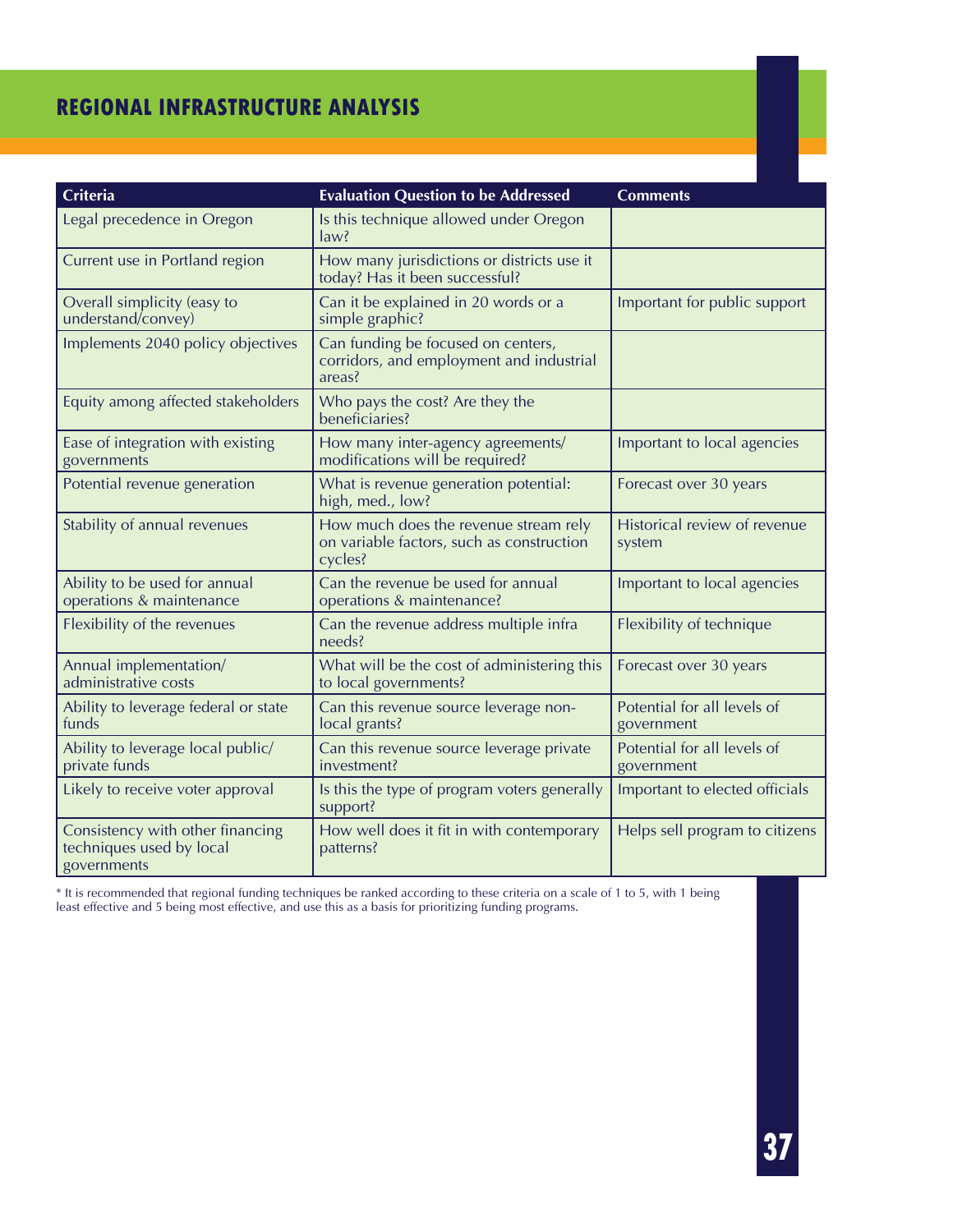| Criteria                                                                    | <b>Evaluation Question to be Addressed</b>                                                    | <b>Comments</b>                           |
|-----------------------------------------------------------------------------|-----------------------------------------------------------------------------------------------|-------------------------------------------|
| Legal precedence in Oregon                                                  | Is this technique allowed under Oregon<br>law?                                                |                                           |
| Current use in Portland region                                              | How many jurisdictions or districts use it<br>today? Has it been successful?                  |                                           |
| Overall simplicity (easy to<br>understand/convey)                           | Can it be explained in 20 words or a<br>simple graphic?                                       | Important for public support              |
| Implements 2040 policy objectives                                           | Can funding be focused on centers,<br>corridors, and employment and industrial<br>areas?      |                                           |
| Equity among affected stakeholders                                          | Who pays the cost? Are they the<br>beneficiaries?                                             |                                           |
| Ease of integration with existing<br>governments                            | How many inter-agency agreements/<br>modifications will be required?                          | Important to local agencies               |
| Potential revenue generation                                                | What is revenue generation potential:<br>high, med., low?                                     | Forecast over 30 years                    |
| Stability of annual revenues                                                | How much does the revenue stream rely<br>on variable factors, such as construction<br>cycles? | Historical review of revenue<br>system    |
| Ability to be used for annual<br>operations & maintenance                   | Can the revenue be used for annual<br>operations & maintenance?                               | Important to local agencies               |
| Flexibility of the revenues                                                 | Can the revenue address multiple infra<br>needs?                                              | Flexibility of technique                  |
| Annual implementation/<br>administrative costs                              | What will be the cost of administering this<br>to local governments?                          | Forecast over 30 years                    |
| Ability to leverage federal or state<br>funds                               | Can this revenue source leverage non-<br>local grants?                                        | Potential for all levels of<br>government |
| Ability to leverage local public/<br>private funds                          | Can this revenue source leverage private<br>investment?                                       | Potential for all levels of<br>government |
| Likely to receive voter approval                                            | Is this the type of program voters generally<br>support?                                      | Important to elected officials            |
| Consistency with other financing<br>techniques used by local<br>governments | How well does it fit in with contemporary<br>patterns?                                        | Helps sell program to citizens            |

\* It is recommended that regional funding techniques be ranked according to these criteria on a scale of 1 to 5, with 1 being least effective and 5 being most effective, and use this as a basis for prioritizing funding programs.

**37**